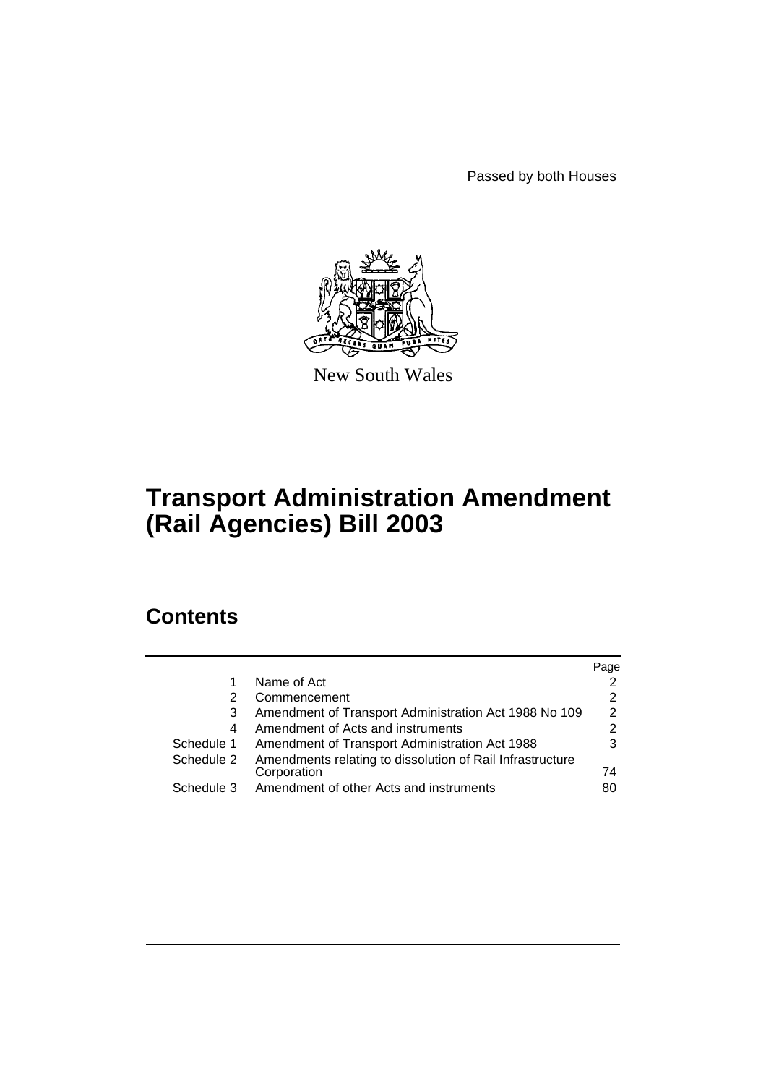Passed by both Houses



New South Wales

# **Transport Administration Amendment (Rail Agencies) Bill 2003**

# **Contents**

|            |                                                           | Page          |
|------------|-----------------------------------------------------------|---------------|
|            | Name of Act                                               |               |
| 2          | Commencement                                              | 2             |
| 3          | Amendment of Transport Administration Act 1988 No 109     | $\mathcal{P}$ |
| 4          | Amendment of Acts and instruments                         | 2             |
| Schedule 1 | Amendment of Transport Administration Act 1988            | 3             |
| Schedule 2 | Amendments relating to dissolution of Rail Infrastructure |               |
|            | Corporation                                               | 74            |
| Schedule 3 | Amendment of other Acts and instruments                   | 80            |
|            |                                                           |               |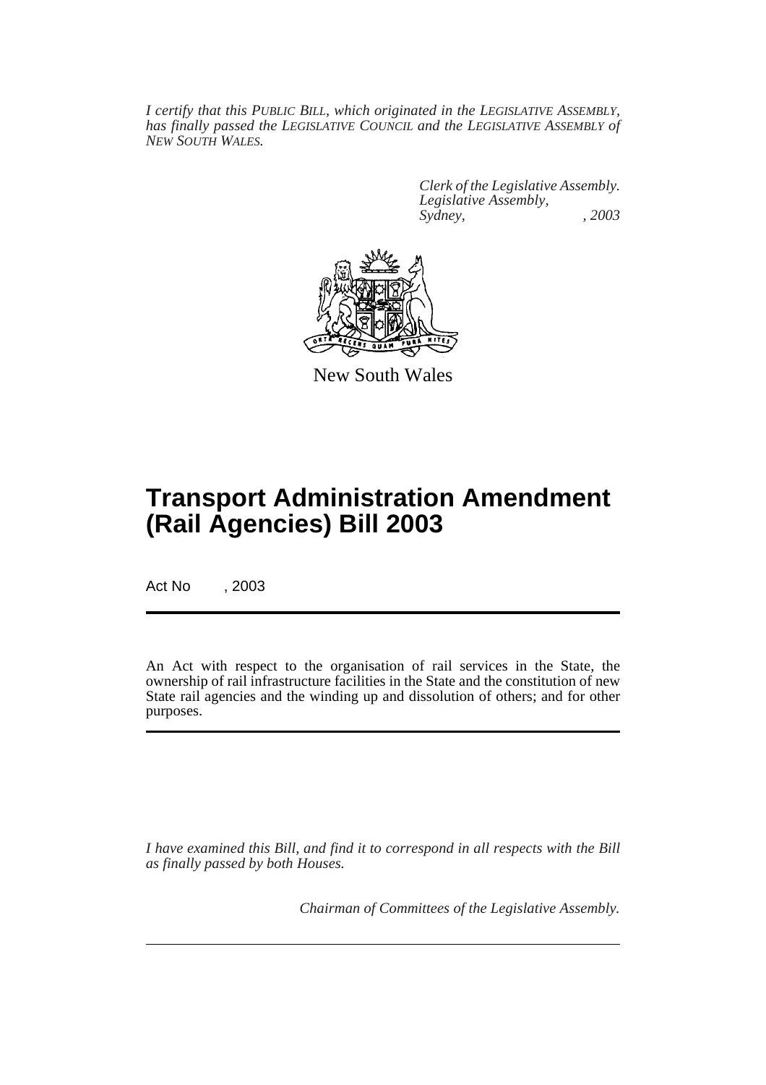*I certify that this PUBLIC BILL, which originated in the LEGISLATIVE ASSEMBLY, has finally passed the LEGISLATIVE COUNCIL and the LEGISLATIVE ASSEMBLY of NEW SOUTH WALES.*

> *Clerk of the Legislative Assembly. Legislative Assembly, Sydney, , 2003*



New South Wales

# **Transport Administration Amendment (Rail Agencies) Bill 2003**

Act No , 2003

An Act with respect to the organisation of rail services in the State, the ownership of rail infrastructure facilities in the State and the constitution of new State rail agencies and the winding up and dissolution of others; and for other purposes.

*I have examined this Bill, and find it to correspond in all respects with the Bill as finally passed by both Houses.*

*Chairman of Committees of the Legislative Assembly.*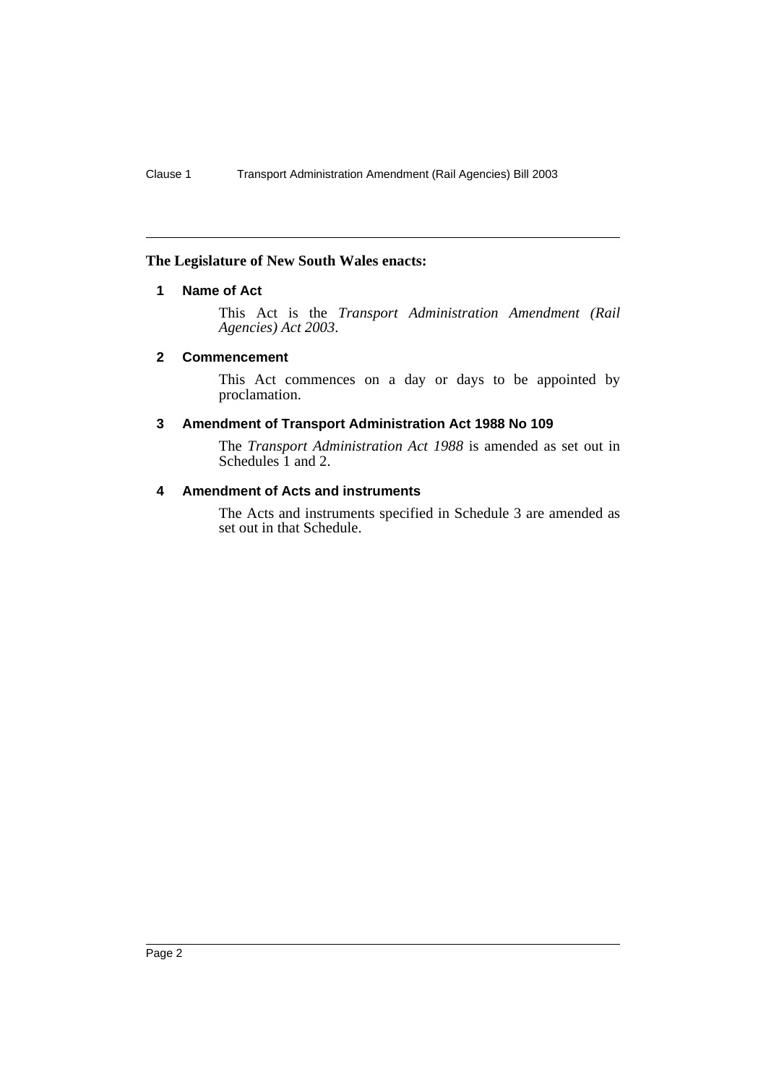# **The Legislature of New South Wales enacts:**

# **1 Name of Act**

This Act is the *Transport Administration Amendment (Rail Agencies) Act 2003*.

#### **2 Commencement**

This Act commences on a day or days to be appointed by proclamation.

#### **3 Amendment of Transport Administration Act 1988 No 109**

The *Transport Administration Act 1988* is amended as set out in Schedules 1 and 2.

## **4 Amendment of Acts and instruments**

The Acts and instruments specified in Schedule 3 are amended as set out in that Schedule.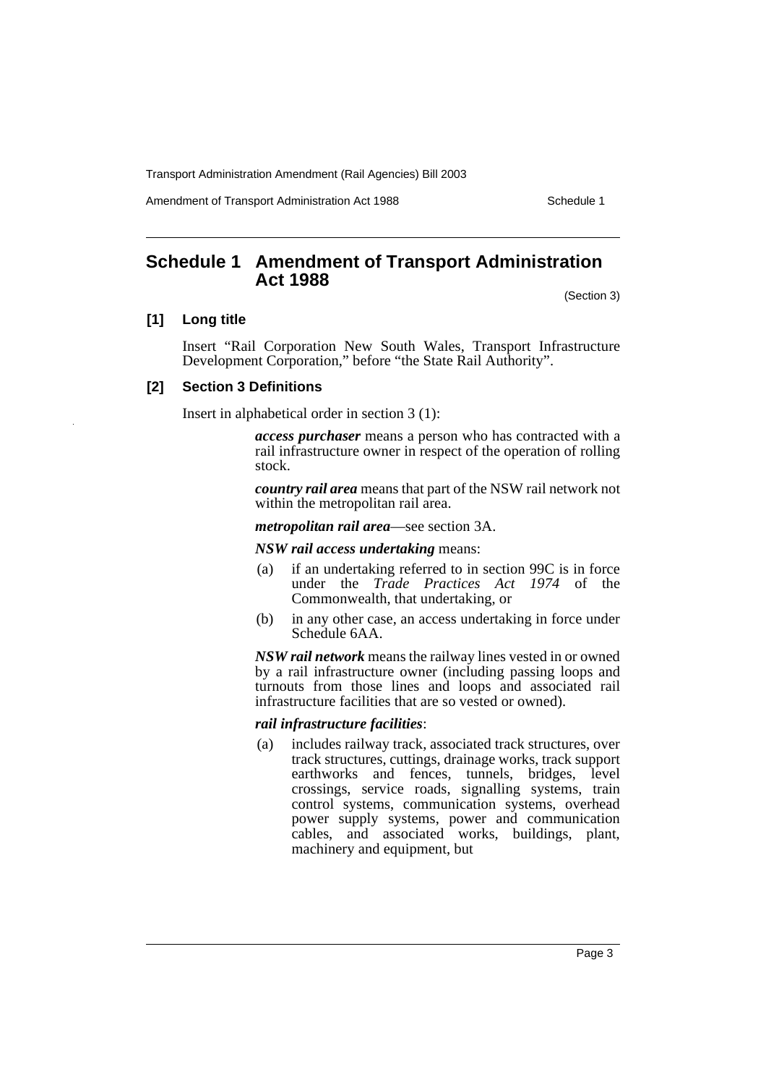Amendment of Transport Administration Act 1988 **Schedule 1** Schedule 1

# **Schedule 1 Amendment of Transport Administration Act 1988**

(Section 3)

# **[1] Long title**

Insert "Rail Corporation New South Wales, Transport Infrastructure Development Corporation," before "the State Rail Authority".

# **[2] Section 3 Definitions**

Insert in alphabetical order in section 3 (1):

*access purchaser* means a person who has contracted with a rail infrastructure owner in respect of the operation of rolling stock.

*country rail area* means that part of the NSW rail network not within the metropolitan rail area.

*metropolitan rail area*—see section 3A.

#### *NSW rail access undertaking* means:

- (a) if an undertaking referred to in section 99C is in force under the *Trade Practices Act 1974* of the Commonwealth, that undertaking, or
- (b) in any other case, an access undertaking in force under Schedule 6AA.

*NSW rail network* means the railway lines vested in or owned by a rail infrastructure owner (including passing loops and turnouts from those lines and loops and associated rail infrastructure facilities that are so vested or owned).

#### *rail infrastructure facilities*:

(a) includes railway track, associated track structures, over track structures, cuttings, drainage works, track support earthworks and fences, tunnels, bridges, level crossings, service roads, signalling systems, train control systems, communication systems, overhead power supply systems, power and communication cables, and associated works, buildings, plant, machinery and equipment, but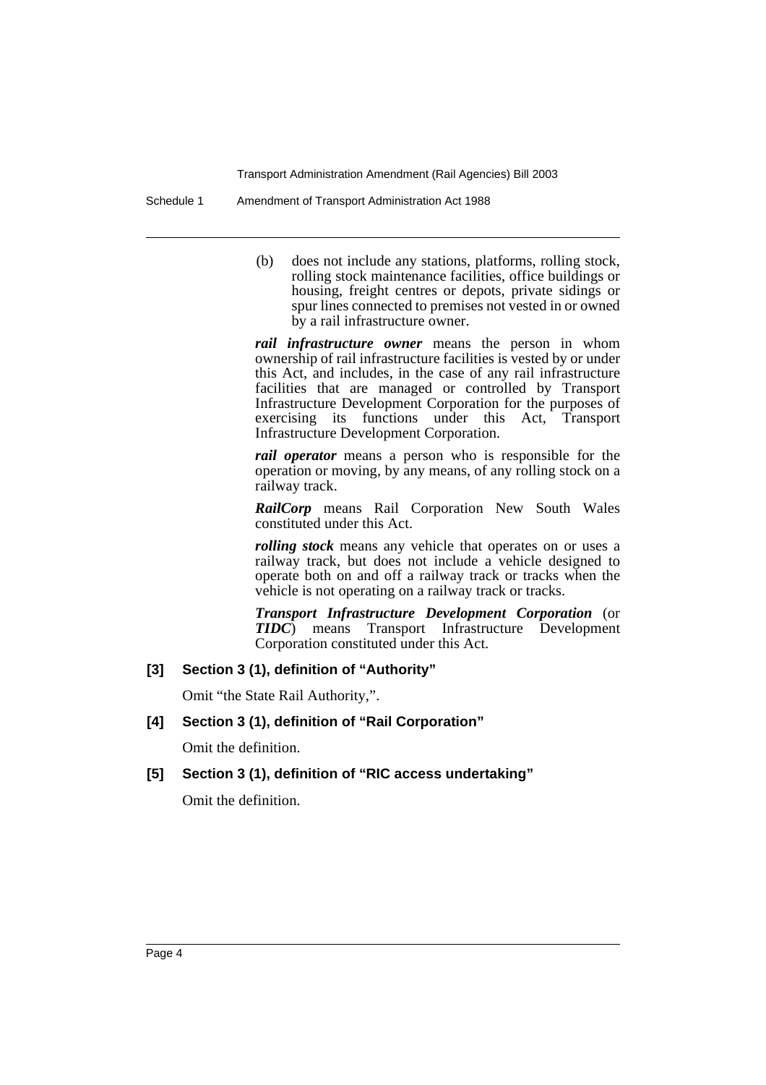Schedule 1 Amendment of Transport Administration Act 1988

(b) does not include any stations, platforms, rolling stock, rolling stock maintenance facilities, office buildings or housing, freight centres or depots, private sidings or spur lines connected to premises not vested in or owned by a rail infrastructure owner.

*rail infrastructure owner* means the person in whom ownership of rail infrastructure facilities is vested by or under this Act, and includes, in the case of any rail infrastructure facilities that are managed or controlled by Transport Infrastructure Development Corporation for the purposes of exercising its functions under this Act, Transport Infrastructure Development Corporation.

*rail operator* means a person who is responsible for the operation or moving, by any means, of any rolling stock on a railway track.

*RailCorp* means Rail Corporation New South Wales constituted under this Act.

*rolling stock* means any vehicle that operates on or uses a railway track, but does not include a vehicle designed to operate both on and off a railway track or tracks when the vehicle is not operating on a railway track or tracks.

*Transport Infrastructure Development Corporation* (or *TIDC*) means Transport Infrastructure Development Corporation constituted under this Act.

# **[3] Section 3 (1), definition of "Authority"**

Omit "the State Rail Authority,".

# **[4] Section 3 (1), definition of "Rail Corporation"**

Omit the definition.

# **[5] Section 3 (1), definition of "RIC access undertaking"**

Omit the definition.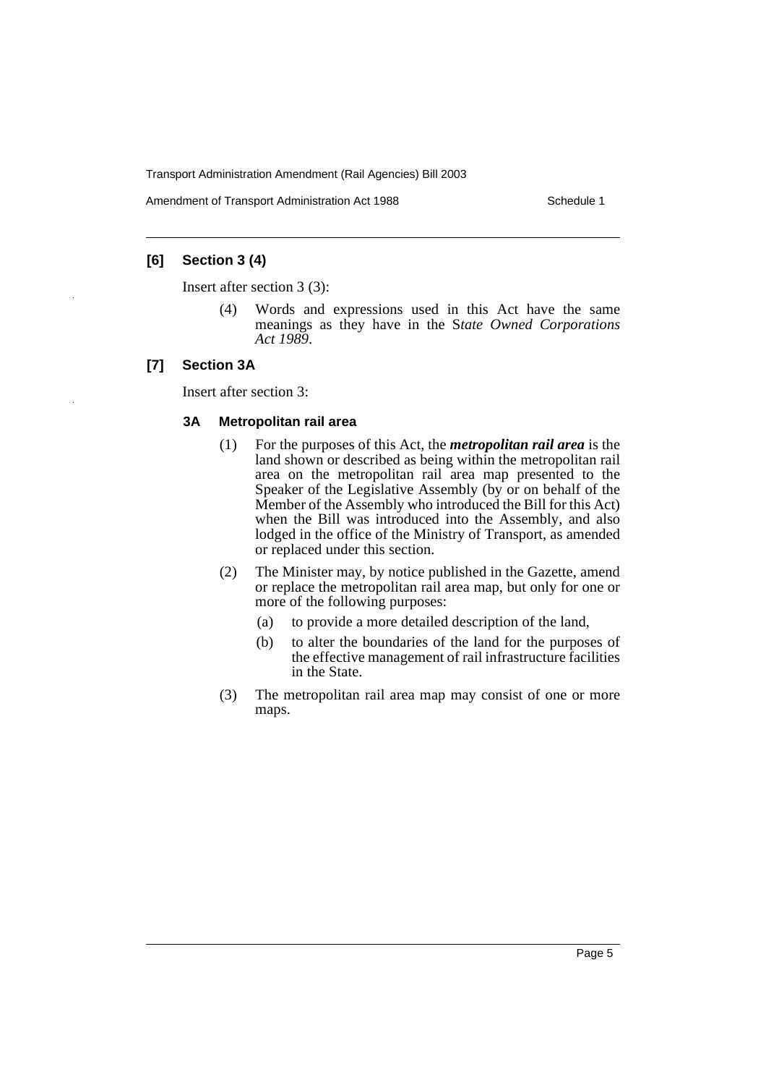Amendment of Transport Administration Act 1988 **Schedule 1** Schedule 1

# **[6] Section 3 (4)**

Insert after section 3 (3):

(4) Words and expressions used in this Act have the same meanings as they have in the S*tate Owned Corporations Act 1989*.

#### **[7] Section 3A**

Insert after section 3:

#### **3A Metropolitan rail area**

- (1) For the purposes of this Act, the *metropolitan rail area* is the land shown or described as being within the metropolitan rail area on the metropolitan rail area map presented to the Speaker of the Legislative Assembly (by or on behalf of the Member of the Assembly who introduced the Bill for this Act) when the Bill was introduced into the Assembly, and also lodged in the office of the Ministry of Transport, as amended or replaced under this section.
- (2) The Minister may, by notice published in the Gazette, amend or replace the metropolitan rail area map, but only for one or more of the following purposes:
	- (a) to provide a more detailed description of the land,
	- (b) to alter the boundaries of the land for the purposes of the effective management of rail infrastructure facilities in the State.
- (3) The metropolitan rail area map may consist of one or more maps.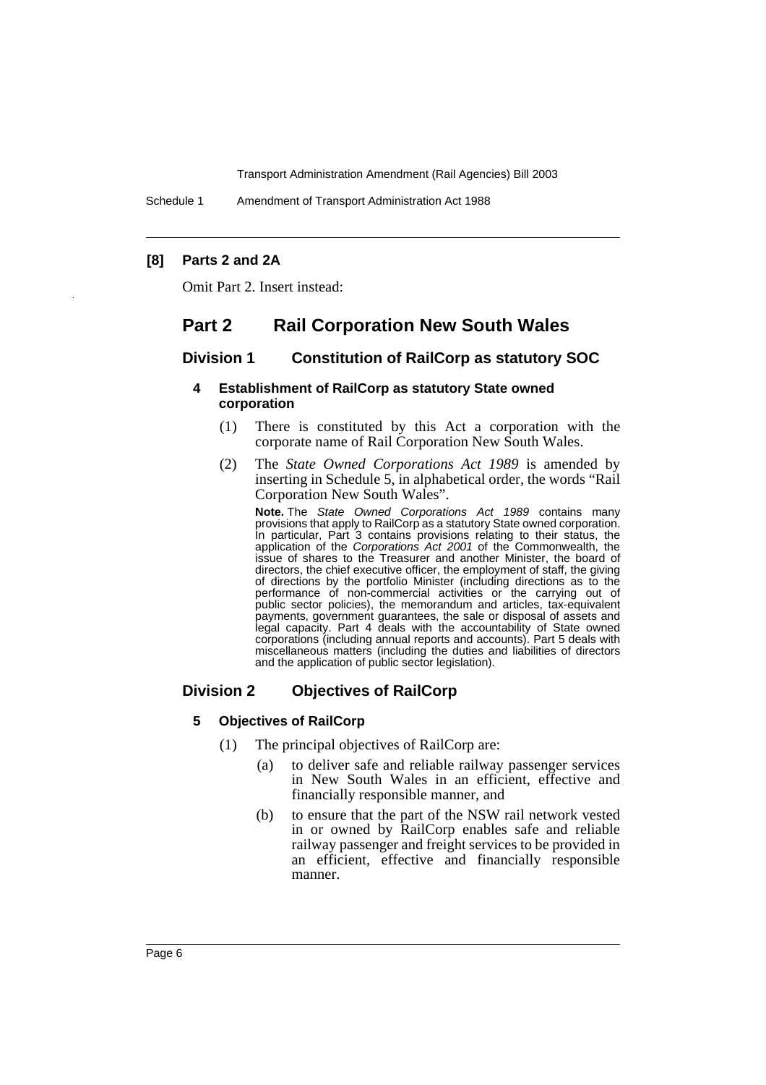Schedule 1 Amendment of Transport Administration Act 1988

# **[8] Parts 2 and 2A**

Omit Part 2. Insert instead:

# **Part 2 Rail Corporation New South Wales**

# **Division 1 Constitution of RailCorp as statutory SOC**

# **4 Establishment of RailCorp as statutory State owned corporation**

- (1) There is constituted by this Act a corporation with the corporate name of Rail Corporation New South Wales.
- (2) The *State Owned Corporations Act 1989* is amended by inserting in Schedule 5, in alphabetical order, the words "Rail Corporation New South Wales".

**Note.** The State Owned Corporations Act 1989 contains many provisions that apply to RailCorp as a statutory State owned corporation. In particular, Part 3 contains provisions relating to their status, the application of the Corporations Act 2001 of the Commonwealth, the issue of shares to the Treasurer and another Minister, the board of directors, the chief executive officer, the employment of staff, the giving of directions by the portfolio Minister (including directions as to the performance of non-commercial activities or the carrying out of public sector policies), the memorandum and articles, tax-equivalent payments, government guarantees, the sale or disposal of assets and legal capacity. Part 4 deals with the accountability of State owned corporations (including annual reports and accounts). Part 5 deals with miscellaneous matters (including the duties and liabilities of directors and the application of public sector legislation).

# **Division 2 Objectives of RailCorp**

# **5 Objectives of RailCorp**

- (1) The principal objectives of RailCorp are:
	- (a) to deliver safe and reliable railway passenger services in New South Wales in an efficient, effective and financially responsible manner, and
	- (b) to ensure that the part of the NSW rail network vested in or owned by RailCorp enables safe and reliable railway passenger and freight services to be provided in an efficient, effective and financially responsible manner.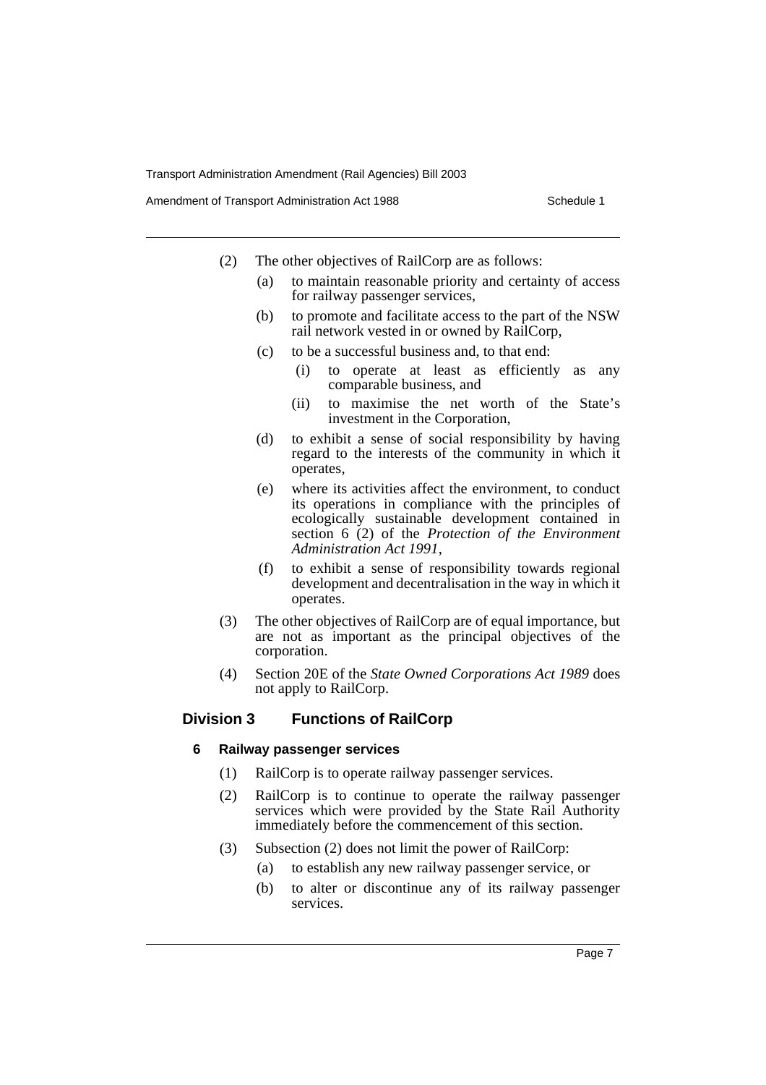Amendment of Transport Administration Act 1988 **Schedule 1** Schedule 1

- (2) The other objectives of RailCorp are as follows:
	- (a) to maintain reasonable priority and certainty of access for railway passenger services,
	- (b) to promote and facilitate access to the part of the NSW rail network vested in or owned by RailCorp,
	- (c) to be a successful business and, to that end:
		- (i) to operate at least as efficiently as any comparable business, and
		- (ii) to maximise the net worth of the State's investment in the Corporation,
	- (d) to exhibit a sense of social responsibility by having regard to the interests of the community in which it operates,
	- (e) where its activities affect the environment, to conduct its operations in compliance with the principles of ecologically sustainable development contained in section 6 (2) of the *Protection of the Environment Administration Act 1991*,
	- (f) to exhibit a sense of responsibility towards regional development and decentralisation in the way in which it operates.
- (3) The other objectives of RailCorp are of equal importance, but are not as important as the principal objectives of the corporation.
- (4) Section 20E of the *State Owned Corporations Act 1989* does not apply to RailCorp.

# **Division 3 Functions of RailCorp**

#### **6 Railway passenger services**

- (1) RailCorp is to operate railway passenger services.
- (2) RailCorp is to continue to operate the railway passenger services which were provided by the State Rail Authority immediately before the commencement of this section.
- (3) Subsection (2) does not limit the power of RailCorp:
	- (a) to establish any new railway passenger service, or
	- (b) to alter or discontinue any of its railway passenger services.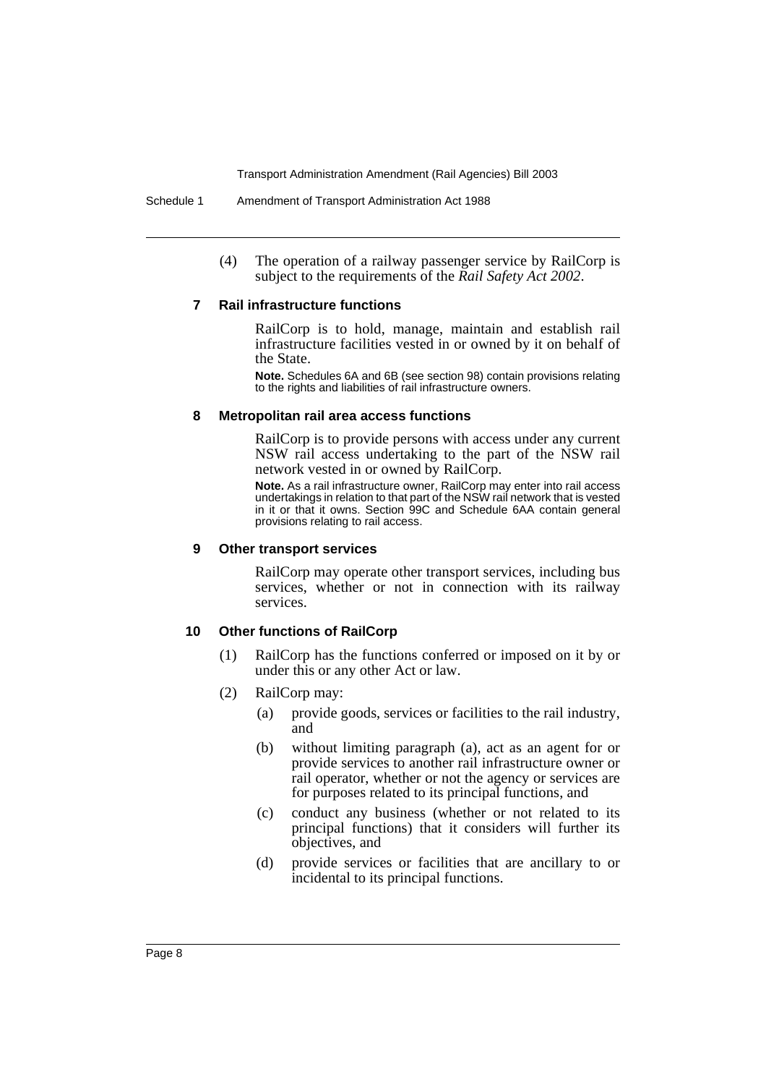(4) The operation of a railway passenger service by RailCorp is subject to the requirements of the *Rail Safety Act 2002*.

#### **7 Rail infrastructure functions**

RailCorp is to hold, manage, maintain and establish rail infrastructure facilities vested in or owned by it on behalf of the State.

**Note.** Schedules 6A and 6B (see section 98) contain provisions relating to the rights and liabilities of rail infrastructure owners.

#### **8 Metropolitan rail area access functions**

RailCorp is to provide persons with access under any current NSW rail access undertaking to the part of the NSW rail network vested in or owned by RailCorp.

**Note.** As a rail infrastructure owner, RailCorp may enter into rail access undertakings in relation to that part of the NSW rail network that is vested in it or that it owns. Section 99C and Schedule 6AA contain general provisions relating to rail access.

## **9 Other transport services**

RailCorp may operate other transport services, including bus services, whether or not in connection with its railway services.

# **10 Other functions of RailCorp**

- (1) RailCorp has the functions conferred or imposed on it by or under this or any other Act or law.
- (2) RailCorp may:
	- (a) provide goods, services or facilities to the rail industry, and
	- (b) without limiting paragraph (a), act as an agent for or provide services to another rail infrastructure owner or rail operator, whether or not the agency or services are for purposes related to its principal functions, and
	- (c) conduct any business (whether or not related to its principal functions) that it considers will further its objectives, and
	- (d) provide services or facilities that are ancillary to or incidental to its principal functions.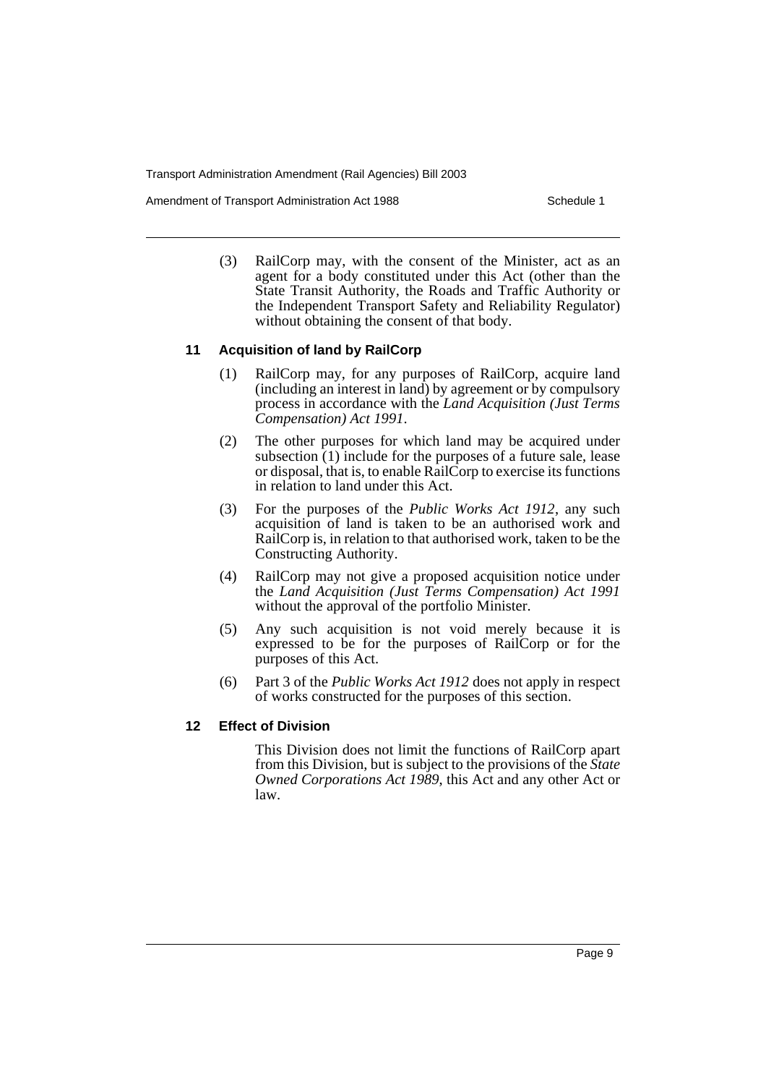Amendment of Transport Administration Act 1988 **Schedule 1** Schedule 1

(3) RailCorp may, with the consent of the Minister, act as an agent for a body constituted under this Act (other than the State Transit Authority, the Roads and Traffic Authority or the Independent Transport Safety and Reliability Regulator) without obtaining the consent of that body.

# **11 Acquisition of land by RailCorp**

- (1) RailCorp may, for any purposes of RailCorp, acquire land (including an interest in land) by agreement or by compulsory process in accordance with the *Land Acquisition (Just Terms Compensation) Act 1991*.
- (2) The other purposes for which land may be acquired under subsection  $(1)$  include for the purposes of a future sale, lease or disposal, that is, to enable RailCorp to exercise its functions in relation to land under this Act.
- (3) For the purposes of the *Public Works Act 1912*, any such acquisition of land is taken to be an authorised work and RailCorp is, in relation to that authorised work, taken to be the Constructing Authority.
- (4) RailCorp may not give a proposed acquisition notice under the *Land Acquisition (Just Terms Compensation) Act 1991* without the approval of the portfolio Minister.
- (5) Any such acquisition is not void merely because it is expressed to be for the purposes of RailCorp or for the purposes of this Act.
- (6) Part 3 of the *Public Works Act 1912* does not apply in respect of works constructed for the purposes of this section.

#### **12 Effect of Division**

This Division does not limit the functions of RailCorp apart from this Division, but is subject to the provisions of the *State Owned Corporations Act 1989*, this Act and any other Act or law.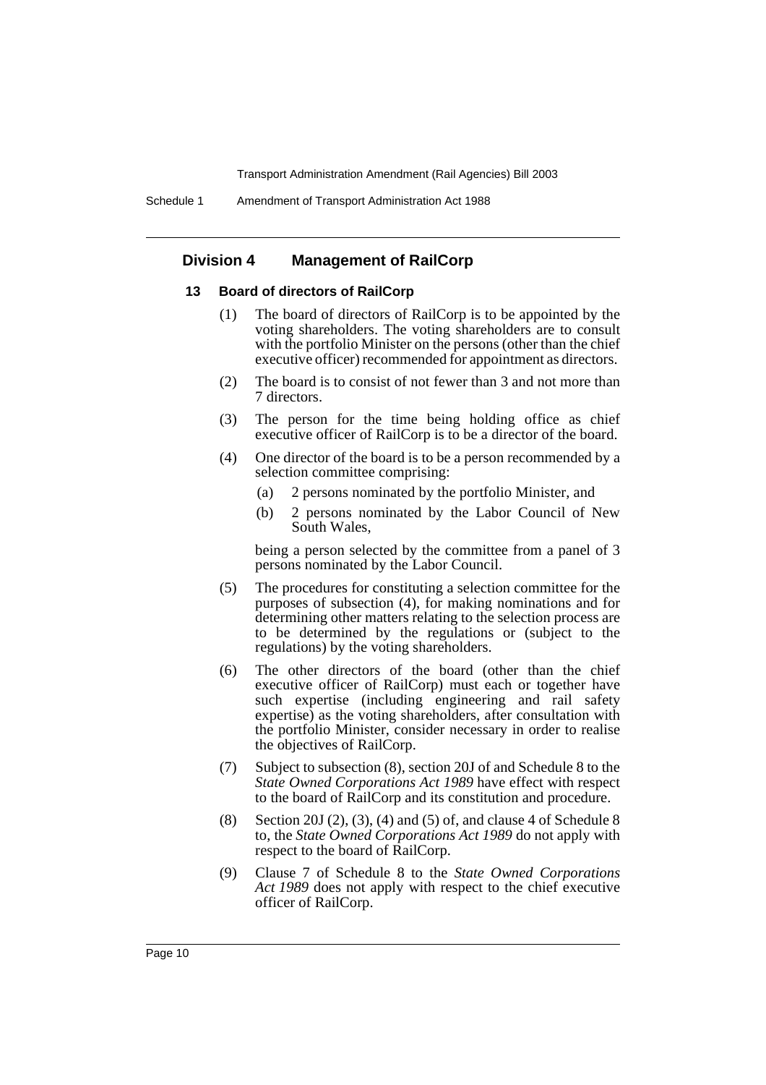# **Division 4 Management of RailCorp**

# **13 Board of directors of RailCorp**

- (1) The board of directors of RailCorp is to be appointed by the voting shareholders. The voting shareholders are to consult with the portfolio Minister on the persons (other than the chief executive officer) recommended for appointment as directors.
- (2) The board is to consist of not fewer than 3 and not more than 7 directors.
- (3) The person for the time being holding office as chief executive officer of RailCorp is to be a director of the board.
- (4) One director of the board is to be a person recommended by a selection committee comprising:
	- (a) 2 persons nominated by the portfolio Minister, and
	- (b) 2 persons nominated by the Labor Council of New South Wales,

being a person selected by the committee from a panel of 3 persons nominated by the Labor Council.

- (5) The procedures for constituting a selection committee for the purposes of subsection (4), for making nominations and for determining other matters relating to the selection process are to be determined by the regulations or (subject to the regulations) by the voting shareholders.
- (6) The other directors of the board (other than the chief executive officer of RailCorp) must each or together have such expertise (including engineering and rail safety expertise) as the voting shareholders, after consultation with the portfolio Minister, consider necessary in order to realise the objectives of RailCorp.
- (7) Subject to subsection (8), section 20J of and Schedule 8 to the *State Owned Corporations Act 1989* have effect with respect to the board of RailCorp and its constitution and procedure.
- (8) Section 20J (2), (3), (4) and (5) of, and clause 4 of Schedule 8 to, the *State Owned Corporations Act 1989* do not apply with respect to the board of RailCorp.
- (9) Clause 7 of Schedule 8 to the *State Owned Corporations Act 1989* does not apply with respect to the chief executive officer of RailCorp.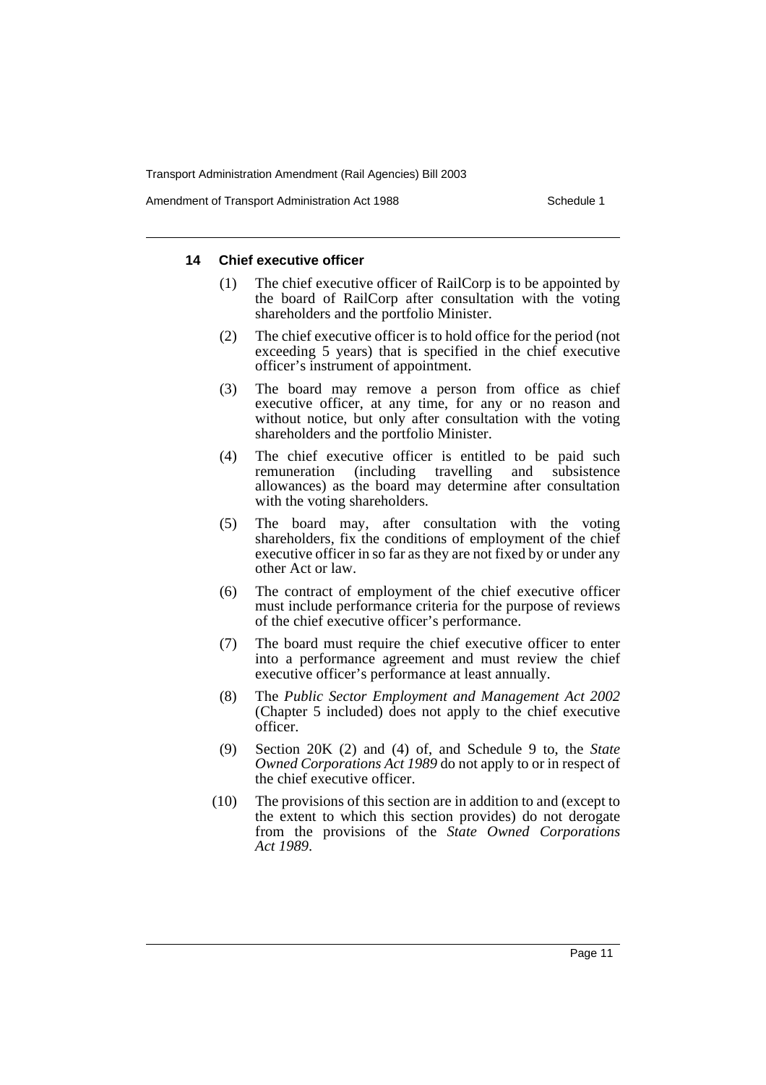Amendment of Transport Administration Act 1988 **Schedule 1** Schedule 1

#### **14 Chief executive officer**

- (1) The chief executive officer of RailCorp is to be appointed by the board of RailCorp after consultation with the voting shareholders and the portfolio Minister.
- (2) The chief executive officer is to hold office for the period (not exceeding 5 years) that is specified in the chief executive officer's instrument of appointment.
- (3) The board may remove a person from office as chief executive officer, at any time, for any or no reason and without notice, but only after consultation with the voting shareholders and the portfolio Minister.
- (4) The chief executive officer is entitled to be paid such remuneration (including travelling and subsistence allowances) as the board may determine after consultation with the voting shareholders.
- (5) The board may, after consultation with the voting shareholders, fix the conditions of employment of the chief executive officer in so far as they are not fixed by or under any other Act or law.
- (6) The contract of employment of the chief executive officer must include performance criteria for the purpose of reviews of the chief executive officer's performance.
- (7) The board must require the chief executive officer to enter into a performance agreement and must review the chief executive officer's performance at least annually.
- (8) The *Public Sector Employment and Management Act 2002* (Chapter 5 included) does not apply to the chief executive officer.
- (9) Section 20K (2) and (4) of, and Schedule 9 to, the *State Owned Corporations Act 1989* do not apply to or in respect of the chief executive officer.
- (10) The provisions of this section are in addition to and (except to the extent to which this section provides) do not derogate from the provisions of the *State Owned Corporations Act 1989*.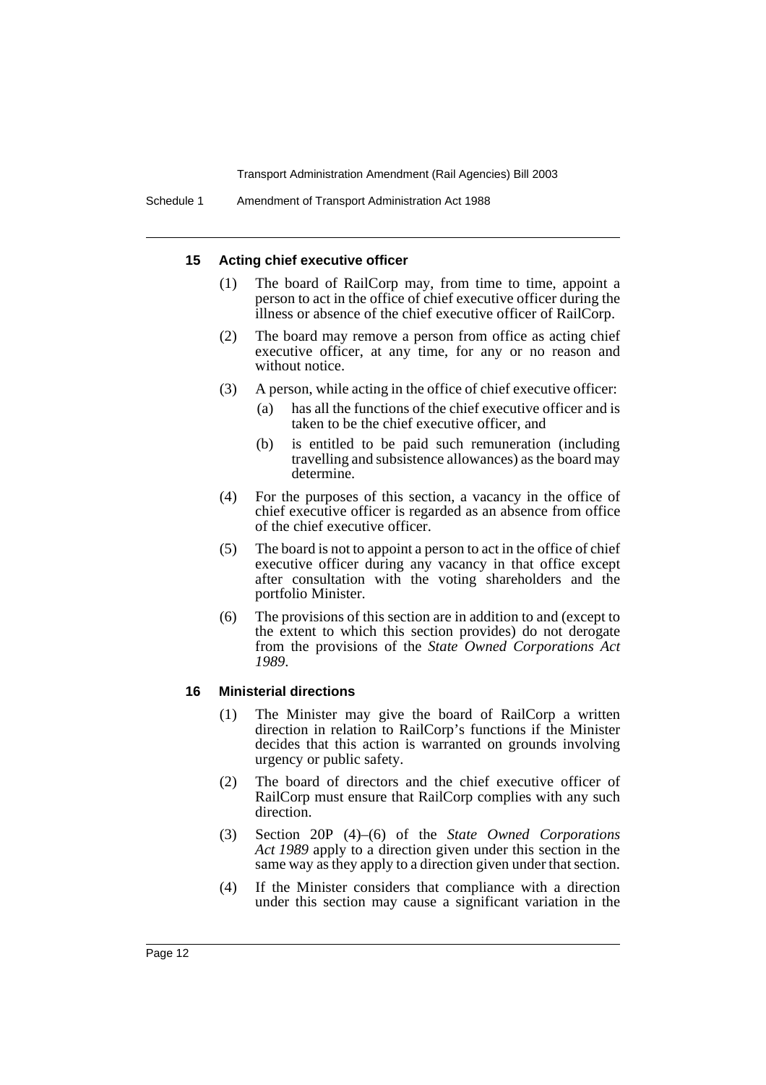#### **15 Acting chief executive officer**

- (1) The board of RailCorp may, from time to time, appoint a person to act in the office of chief executive officer during the illness or absence of the chief executive officer of RailCorp.
- (2) The board may remove a person from office as acting chief executive officer, at any time, for any or no reason and without notice.
- (3) A person, while acting in the office of chief executive officer:
	- (a) has all the functions of the chief executive officer and is taken to be the chief executive officer, and
	- (b) is entitled to be paid such remuneration (including travelling and subsistence allowances) as the board may determine.
- (4) For the purposes of this section, a vacancy in the office of chief executive officer is regarded as an absence from office of the chief executive officer.
- (5) The board is not to appoint a person to act in the office of chief executive officer during any vacancy in that office except after consultation with the voting shareholders and the portfolio Minister.
- (6) The provisions of this section are in addition to and (except to the extent to which this section provides) do not derogate from the provisions of the *State Owned Corporations Act 1989*.

#### **16 Ministerial directions**

- (1) The Minister may give the board of RailCorp a written direction in relation to RailCorp's functions if the Minister decides that this action is warranted on grounds involving urgency or public safety.
- (2) The board of directors and the chief executive officer of RailCorp must ensure that RailCorp complies with any such direction.
- (3) Section 20P (4)–(6) of the *State Owned Corporations Act 1989* apply to a direction given under this section in the same way as they apply to a direction given under that section.
- (4) If the Minister considers that compliance with a direction under this section may cause a significant variation in the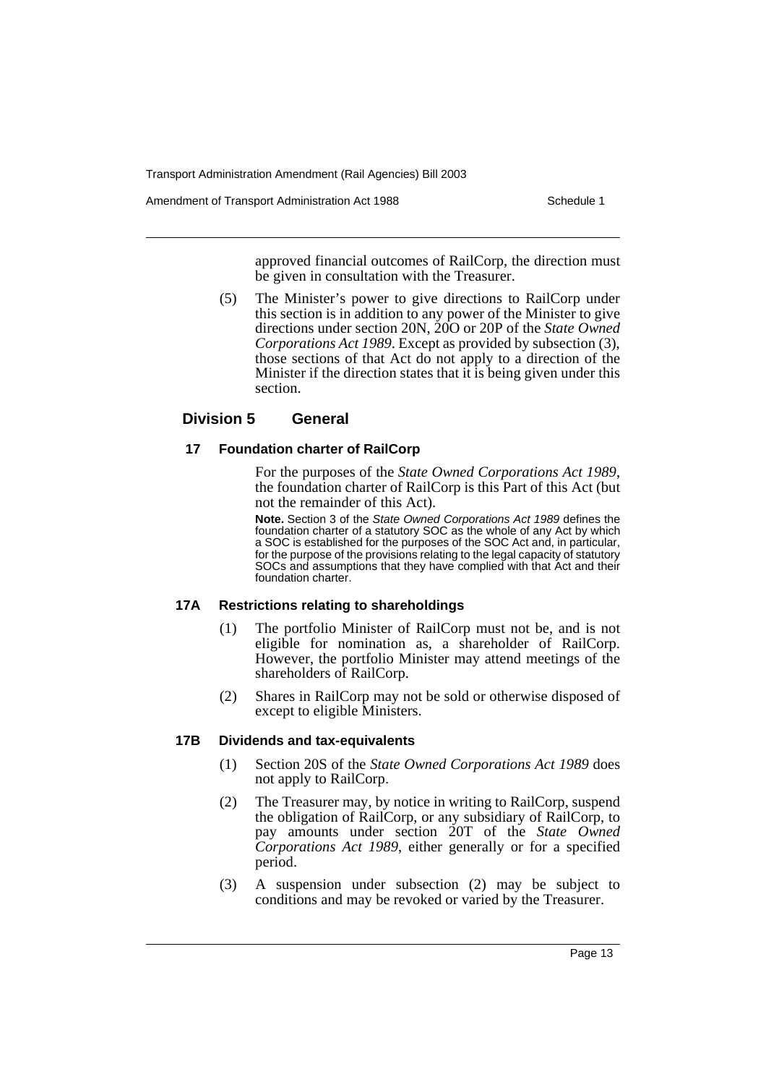Amendment of Transport Administration Act 1988 **Schedule 1** Schedule 1

approved financial outcomes of RailCorp, the direction must be given in consultation with the Treasurer.

(5) The Minister's power to give directions to RailCorp under this section is in addition to any power of the Minister to give directions under section 20N, 20O or 20P of the *State Owned Corporations Act 1989*. Except as provided by subsection (3), those sections of that Act do not apply to a direction of the Minister if the direction states that it is being given under this section.

# **Division 5 General**

#### **17 Foundation charter of RailCorp**

For the purposes of the *State Owned Corporations Act 1989*, the foundation charter of RailCorp is this Part of this Act (but not the remainder of this Act).

**Note.** Section 3 of the State Owned Corporations Act 1989 defines the foundation charter of a statutory SOC as the whole of any Act by which a SOC is established for the purposes of the SOC Act and, in particular, for the purpose of the provisions relating to the legal capacity of statutory SOCs and assumptions that they have complied with that Act and their foundation charter.

#### **17A Restrictions relating to shareholdings**

- (1) The portfolio Minister of RailCorp must not be, and is not eligible for nomination as, a shareholder of RailCorp. However, the portfolio Minister may attend meetings of the shareholders of RailCorp.
- (2) Shares in RailCorp may not be sold or otherwise disposed of except to eligible Ministers.

# **17B Dividends and tax-equivalents**

- (1) Section 20S of the *State Owned Corporations Act 1989* does not apply to RailCorp.
- (2) The Treasurer may, by notice in writing to RailCorp, suspend the obligation of RailCorp, or any subsidiary of RailCorp, to pay amounts under section 20T of the *State Owned Corporations Act 1989*, either generally or for a specified period.
- (3) A suspension under subsection (2) may be subject to conditions and may be revoked or varied by the Treasurer.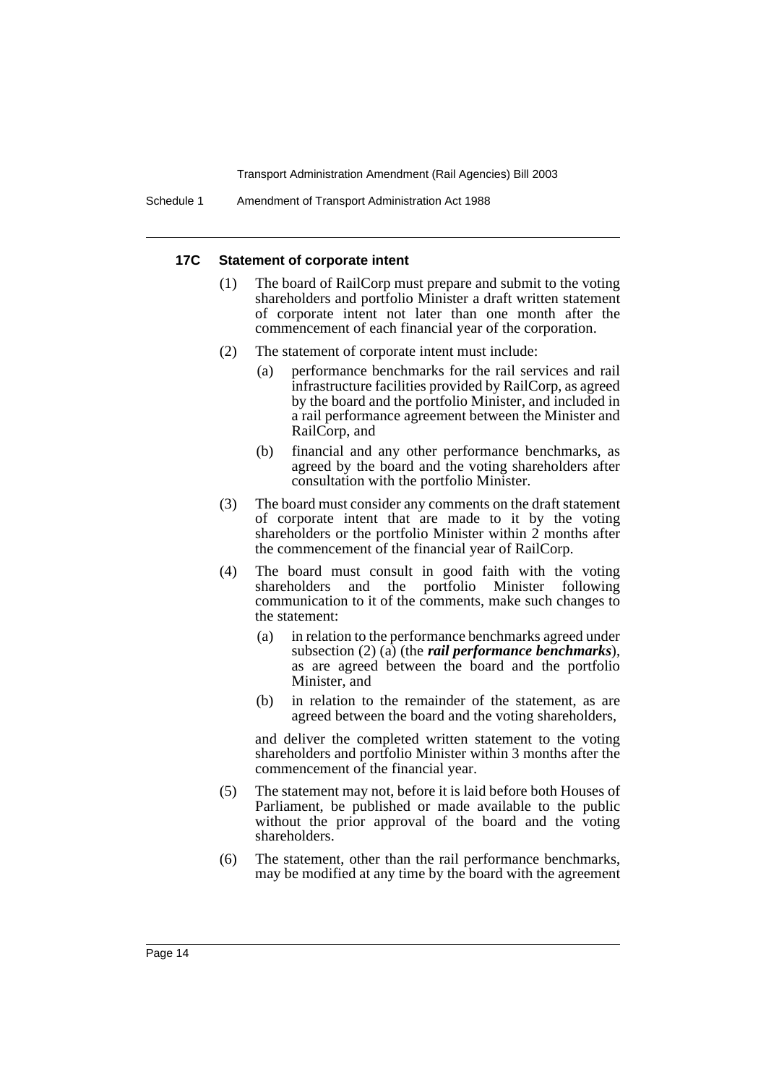#### **17C Statement of corporate intent**

- (1) The board of RailCorp must prepare and submit to the voting shareholders and portfolio Minister a draft written statement of corporate intent not later than one month after the commencement of each financial year of the corporation.
- (2) The statement of corporate intent must include:
	- (a) performance benchmarks for the rail services and rail infrastructure facilities provided by RailCorp, as agreed by the board and the portfolio Minister, and included in a rail performance agreement between the Minister and RailCorp, and
	- (b) financial and any other performance benchmarks, as agreed by the board and the voting shareholders after consultation with the portfolio Minister.
- (3) The board must consider any comments on the draft statement of corporate intent that are made to it by the voting shareholders or the portfolio Minister within 2 months after the commencement of the financial year of RailCorp.
- (4) The board must consult in good faith with the voting shareholders and the portfolio Minister following communication to it of the comments, make such changes to the statement:
	- (a) in relation to the performance benchmarks agreed under subsection (2) (a) (the *rail performance benchmarks*), as are agreed between the board and the portfolio Minister, and
	- (b) in relation to the remainder of the statement, as are agreed between the board and the voting shareholders,

and deliver the completed written statement to the voting shareholders and portfolio Minister within 3 months after the commencement of the financial year.

- (5) The statement may not, before it is laid before both Houses of Parliament, be published or made available to the public without the prior approval of the board and the voting shareholders.
- (6) The statement, other than the rail performance benchmarks, may be modified at any time by the board with the agreement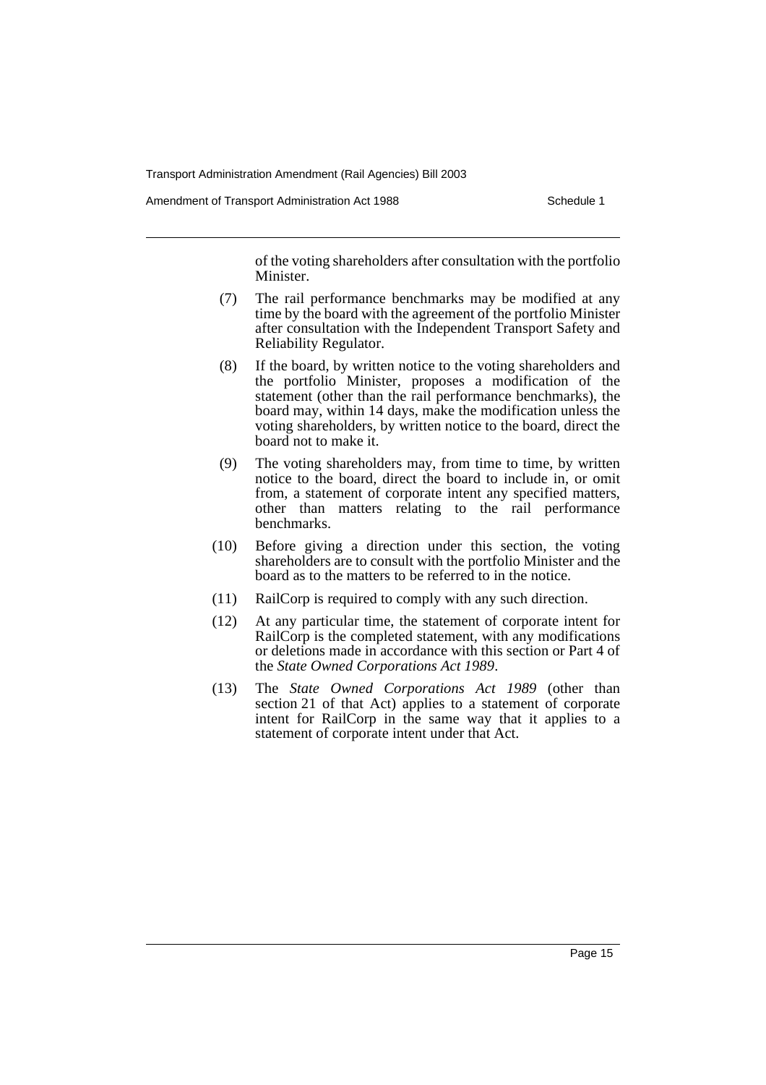Amendment of Transport Administration Act 1988 **Schedule 1** Schedule 1

of the voting shareholders after consultation with the portfolio Minister.

- (7) The rail performance benchmarks may be modified at any time by the board with the agreement of the portfolio Minister after consultation with the Independent Transport Safety and Reliability Regulator.
- (8) If the board, by written notice to the voting shareholders and the portfolio Minister, proposes a modification of the statement (other than the rail performance benchmarks), the board may, within 14 days, make the modification unless the voting shareholders, by written notice to the board, direct the board not to make it.
- (9) The voting shareholders may, from time to time, by written notice to the board, direct the board to include in, or omit from, a statement of corporate intent any specified matters, other than matters relating to the rail performance benchmarks.
- (10) Before giving a direction under this section, the voting shareholders are to consult with the portfolio Minister and the board as to the matters to be referred to in the notice.
- (11) RailCorp is required to comply with any such direction.
- (12) At any particular time, the statement of corporate intent for RailCorp is the completed statement, with any modifications or deletions made in accordance with this section or Part 4 of the *State Owned Corporations Act 1989*.
- (13) The *State Owned Corporations Act 1989* (other than section 21 of that Act) applies to a statement of corporate intent for RailCorp in the same way that it applies to a statement of corporate intent under that Act.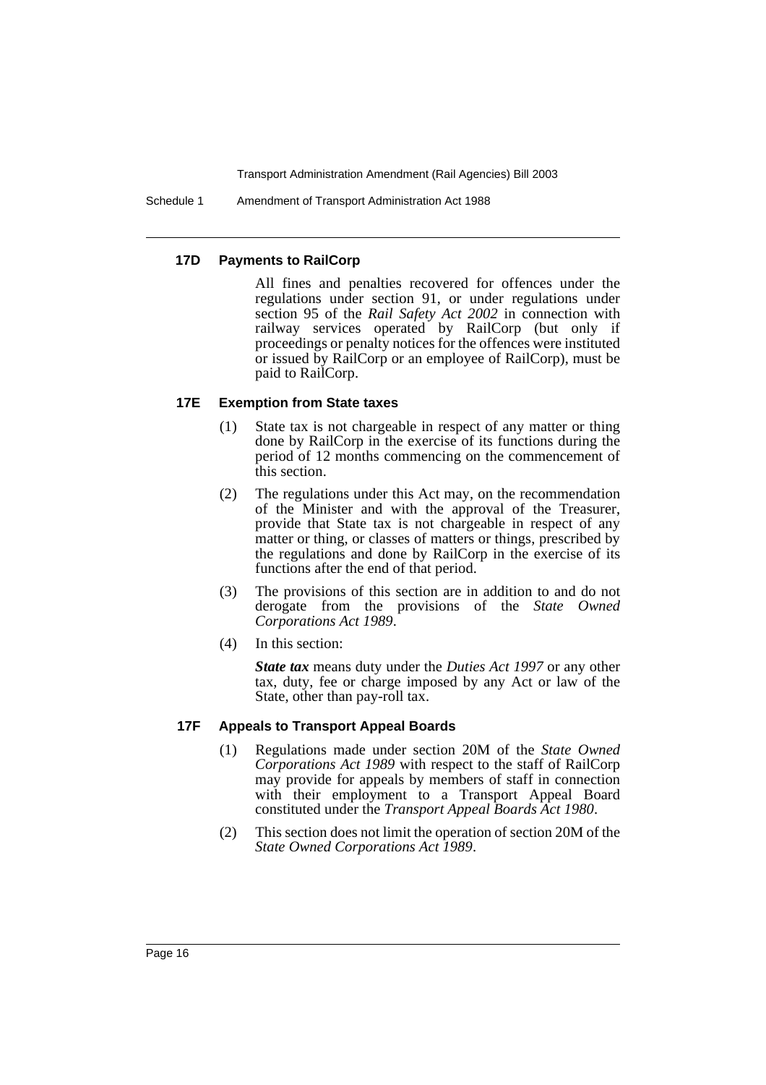Schedule 1 Amendment of Transport Administration Act 1988

# **17D Payments to RailCorp**

All fines and penalties recovered for offences under the regulations under section 91, or under regulations under section 95 of the *Rail Safety Act 2002* in connection with railway services operated by RailCorp (but only if proceedings or penalty notices for the offences were instituted or issued by RailCorp or an employee of RailCorp), must be paid to RailCorp.

# **17E Exemption from State taxes**

- (1) State tax is not chargeable in respect of any matter or thing done by RailCorp in the exercise of its functions during the period of 12 months commencing on the commencement of this section.
- (2) The regulations under this Act may, on the recommendation of the Minister and with the approval of the Treasurer, provide that State tax is not chargeable in respect of any matter or thing, or classes of matters or things, prescribed by the regulations and done by RailCorp in the exercise of its functions after the end of that period.
- (3) The provisions of this section are in addition to and do not derogate from the provisions of the *State Owned Corporations Act 1989*.
- (4) In this section:

*State tax* means duty under the *Duties Act 1997* or any other tax, duty, fee or charge imposed by any Act or law of the State, other than pay-roll tax.

# **17F Appeals to Transport Appeal Boards**

- (1) Regulations made under section 20M of the *State Owned Corporations Act 1989* with respect to the staff of RailCorp may provide for appeals by members of staff in connection with their employment to a Transport Appeal Board constituted under the *Transport Appeal Boards Act 1980*.
- (2) This section does not limit the operation of section 20M of the *State Owned Corporations Act 1989*.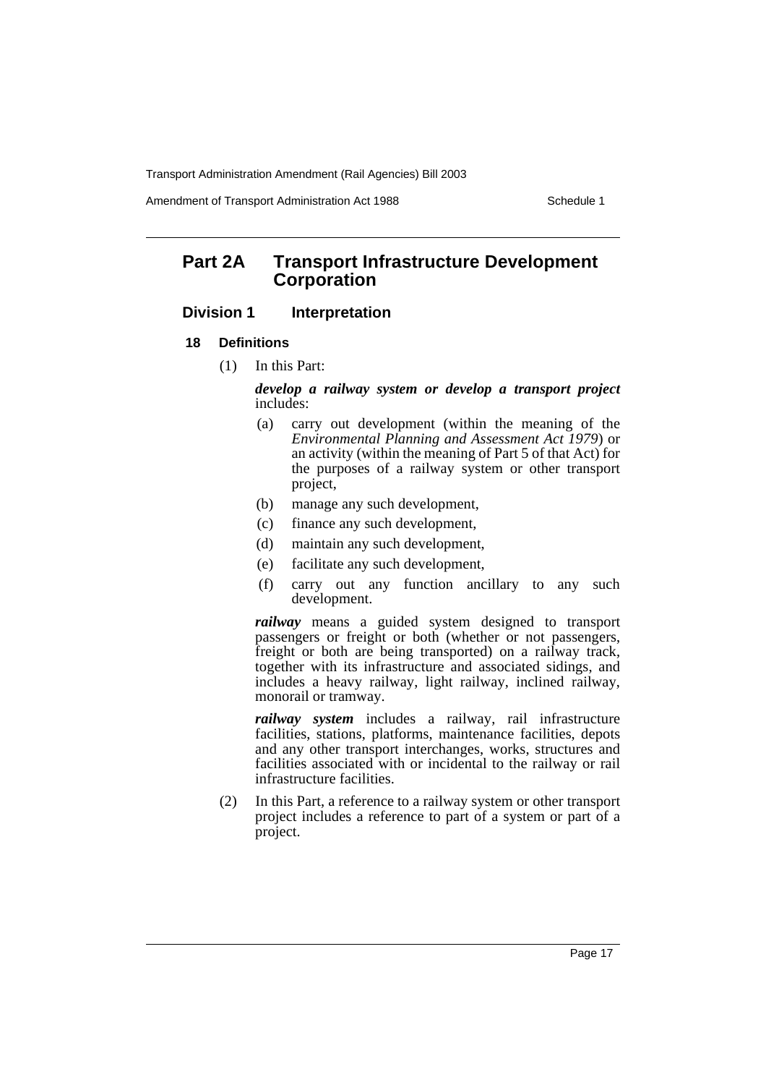Amendment of Transport Administration Act 1988 Schedule 1

# **Part 2A Transport Infrastructure Development Corporation**

# **Division 1 Interpretation**

- **18 Definitions**
	- (1) In this Part:

*develop a railway system or develop a transport project* includes:

- (a) carry out development (within the meaning of the *Environmental Planning and Assessment Act 1979*) or an activity (within the meaning of Part 5 of that Act) for the purposes of a railway system or other transport project,
- (b) manage any such development,
- (c) finance any such development,
- (d) maintain any such development,
- (e) facilitate any such development,
- (f) carry out any function ancillary to any such development.

*railway* means a guided system designed to transport passengers or freight or both (whether or not passengers, freight or both are being transported) on a railway track, together with its infrastructure and associated sidings, and includes a heavy railway, light railway, inclined railway, monorail or tramway.

*railway system* includes a railway, rail infrastructure facilities, stations, platforms, maintenance facilities, depots and any other transport interchanges, works, structures and facilities associated with or incidental to the railway or rail infrastructure facilities.

(2) In this Part, a reference to a railway system or other transport project includes a reference to part of a system or part of a project.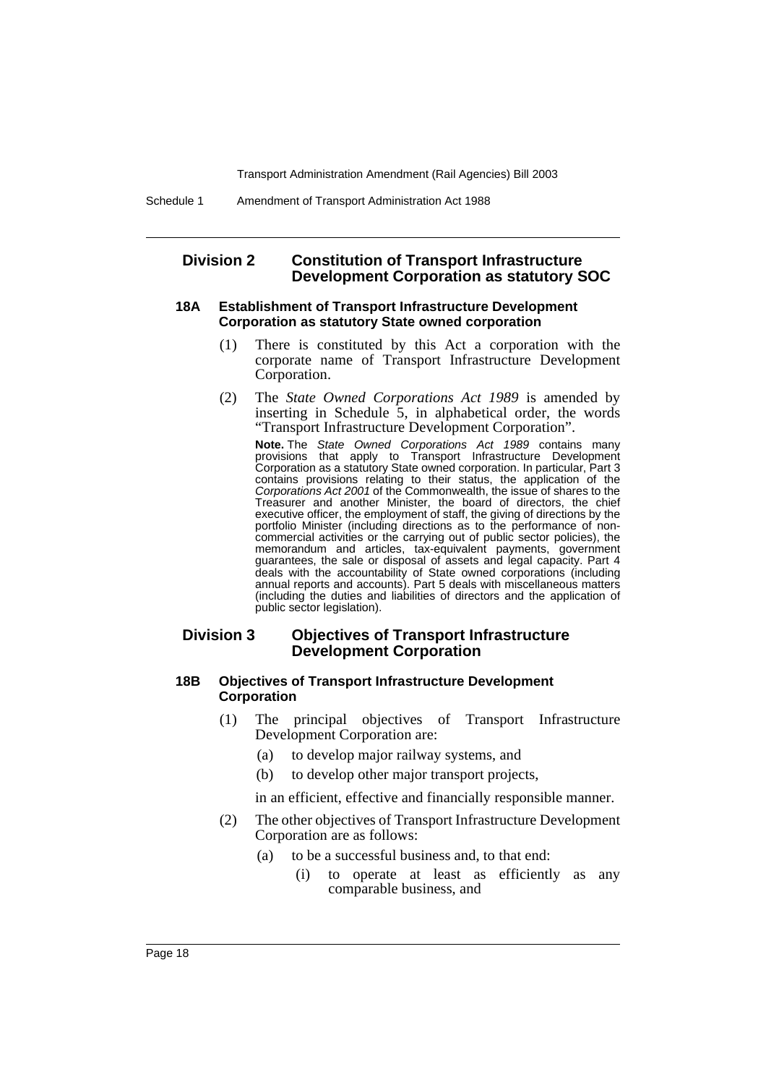# **Division 2 Constitution of Transport Infrastructure Development Corporation as statutory SOC**

#### **18A Establishment of Transport Infrastructure Development Corporation as statutory State owned corporation**

- (1) There is constituted by this Act a corporation with the corporate name of Transport Infrastructure Development Corporation.
- (2) The *State Owned Corporations Act 1989* is amended by inserting in Schedule 5, in alphabetical order, the words "Transport Infrastructure Development Corporation".

**Note.** The State Owned Corporations Act 1989 contains many provisions that apply to Transport Infrastructure Development Corporation as a statutory State owned corporation. In particular, Part 3 contains provisions relating to their status, the application of the Corporations Act 2001 of the Commonwealth, the issue of shares to the Treasurer and another Minister, the board of directors, the chief executive officer, the employment of staff, the giving of directions by the portfolio Minister (including directions as to the performance of noncommercial activities or the carrying out of public sector policies), the memorandum and articles, tax-equivalent payments, government guarantees, the sale or disposal of assets and legal capacity. Part 4 deals with the accountability of State owned corporations (including annual reports and accounts). Part 5 deals with miscellaneous matters (including the duties and liabilities of directors and the application of public sector legislation).

# **Division 3 Objectives of Transport Infrastructure Development Corporation**

#### **18B Objectives of Transport Infrastructure Development Corporation**

- (1) The principal objectives of Transport Infrastructure Development Corporation are:
	- (a) to develop major railway systems, and
	- (b) to develop other major transport projects,

in an efficient, effective and financially responsible manner.

- (2) The other objectives of Transport Infrastructure Development Corporation are as follows:
	- (a) to be a successful business and, to that end:
		- (i) to operate at least as efficiently as any comparable business, and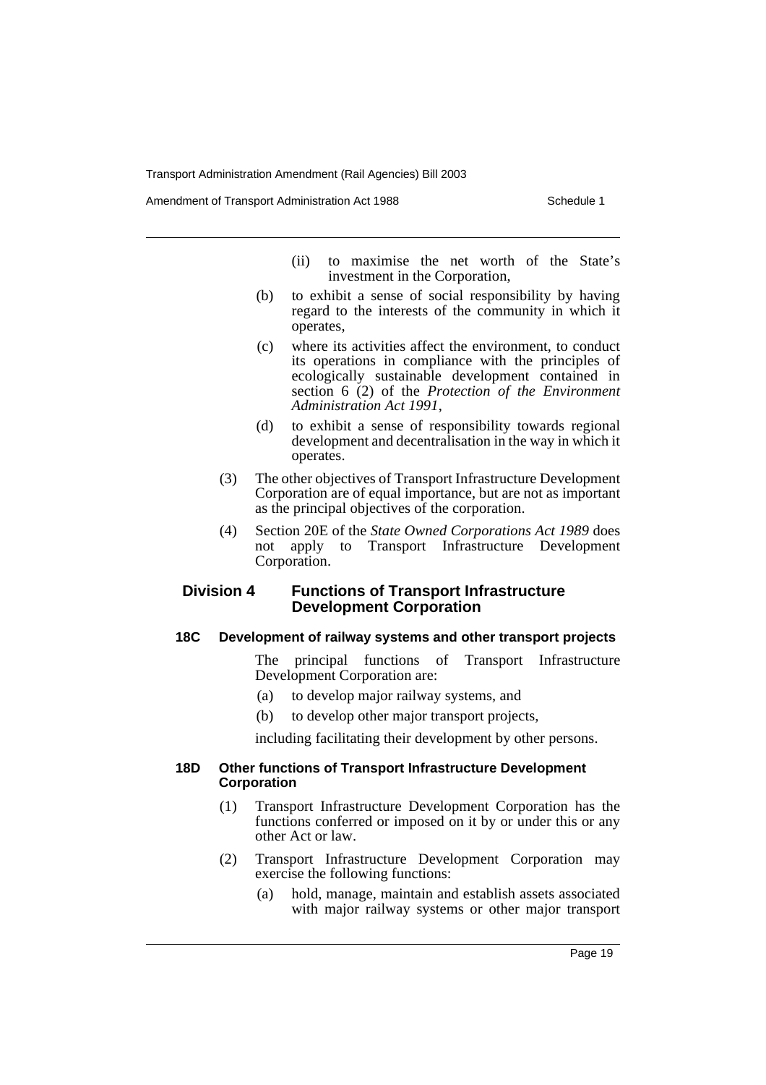Amendment of Transport Administration Act 1988 **Schedule 1** Schedule 1

- (ii) to maximise the net worth of the State's investment in the Corporation,
- (b) to exhibit a sense of social responsibility by having regard to the interests of the community in which it operates,
- (c) where its activities affect the environment, to conduct its operations in compliance with the principles of ecologically sustainable development contained in section 6 (2) of the *Protection of the Environment Administration Act 1991*,
- (d) to exhibit a sense of responsibility towards regional development and decentralisation in the way in which it operates.
- (3) The other objectives of Transport Infrastructure Development Corporation are of equal importance, but are not as important as the principal objectives of the corporation.
- (4) Section 20E of the *State Owned Corporations Act 1989* does not apply to Transport Infrastructure Development Corporation.

# **Division 4 Functions of Transport Infrastructure Development Corporation**

# **18C Development of railway systems and other transport projects**

The principal functions of Transport Infrastructure Development Corporation are:

- (a) to develop major railway systems, and
- (b) to develop other major transport projects,

including facilitating their development by other persons.

#### **18D Other functions of Transport Infrastructure Development Corporation**

- (1) Transport Infrastructure Development Corporation has the functions conferred or imposed on it by or under this or any other Act or law.
- (2) Transport Infrastructure Development Corporation may exercise the following functions:
	- (a) hold, manage, maintain and establish assets associated with major railway systems or other major transport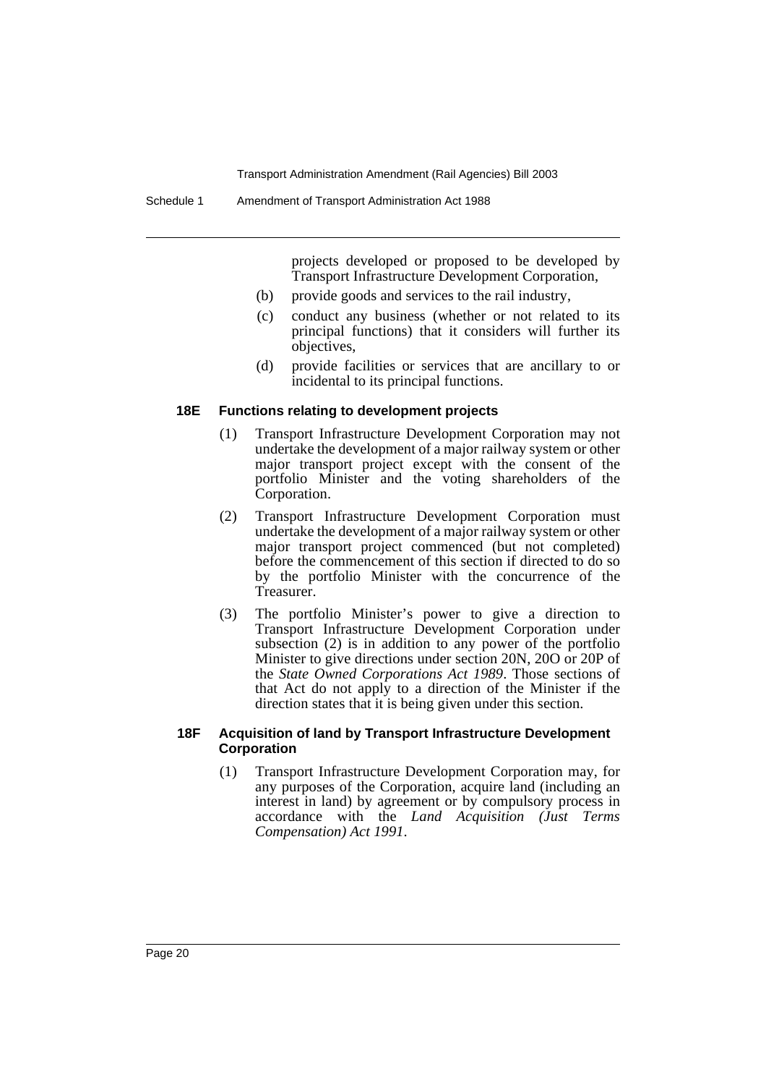projects developed or proposed to be developed by Transport Infrastructure Development Corporation,

- (b) provide goods and services to the rail industry,
- (c) conduct any business (whether or not related to its principal functions) that it considers will further its objectives,
- (d) provide facilities or services that are ancillary to or incidental to its principal functions.

#### **18E Functions relating to development projects**

- (1) Transport Infrastructure Development Corporation may not undertake the development of a major railway system or other major transport project except with the consent of the portfolio Minister and the voting shareholders of the Corporation.
- (2) Transport Infrastructure Development Corporation must undertake the development of a major railway system or other major transport project commenced (but not completed) before the commencement of this section if directed to do so by the portfolio Minister with the concurrence of the Treasurer.
- (3) The portfolio Minister's power to give a direction to Transport Infrastructure Development Corporation under subsection (2) is in addition to any power of the portfolio Minister to give directions under section 20N, 20O or 20P of the *State Owned Corporations Act 1989*. Those sections of that Act do not apply to a direction of the Minister if the direction states that it is being given under this section.

#### **18F Acquisition of land by Transport Infrastructure Development Corporation**

(1) Transport Infrastructure Development Corporation may, for any purposes of the Corporation, acquire land (including an interest in land) by agreement or by compulsory process in accordance with the *Land Acquisition (Just Terms Compensation) Act 1991*.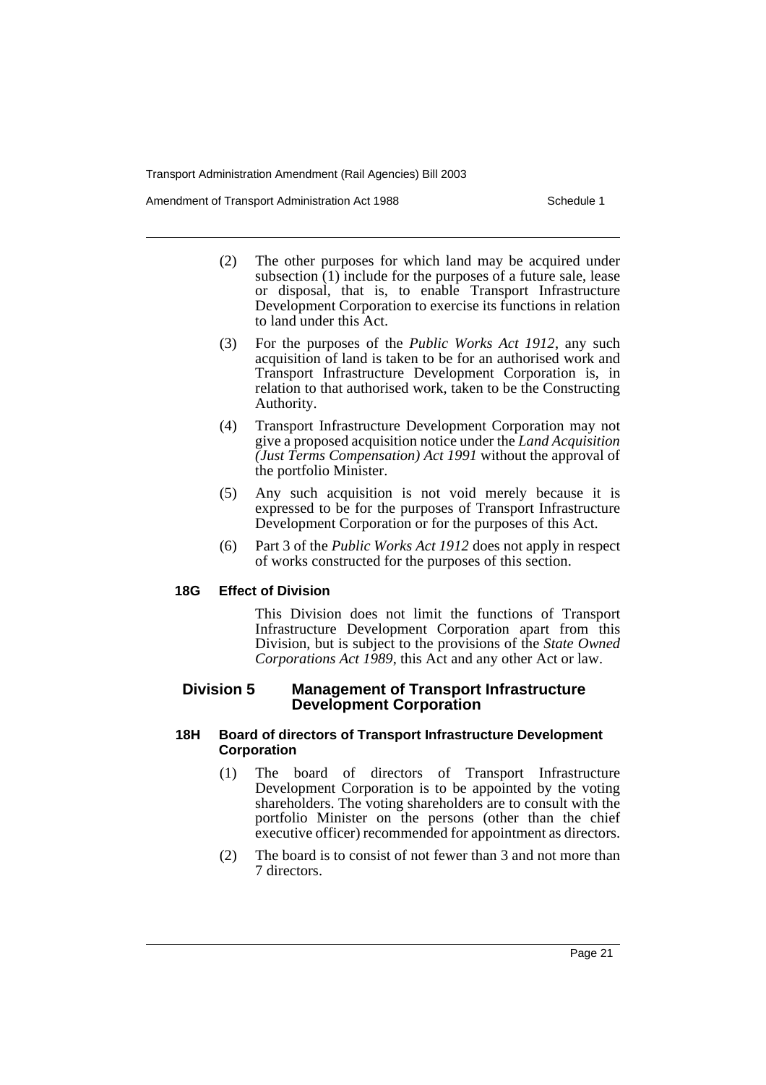Amendment of Transport Administration Act 1988 **Schedule 1** Schedule 1

- (2) The other purposes for which land may be acquired under subsection  $(1)$  include for the purposes of a future sale, lease or disposal, that is, to enable Transport Infrastructure Development Corporation to exercise its functions in relation to land under this Act.
- (3) For the purposes of the *Public Works Act 1912*, any such acquisition of land is taken to be for an authorised work and Transport Infrastructure Development Corporation is, in relation to that authorised work, taken to be the Constructing Authority.
- (4) Transport Infrastructure Development Corporation may not give a proposed acquisition notice under the *Land Acquisition (Just Terms Compensation) Act 1991* without the approval of the portfolio Minister.
- (5) Any such acquisition is not void merely because it is expressed to be for the purposes of Transport Infrastructure Development Corporation or for the purposes of this Act.
- (6) Part 3 of the *Public Works Act 1912* does not apply in respect of works constructed for the purposes of this section.

# **18G Effect of Division**

This Division does not limit the functions of Transport Infrastructure Development Corporation apart from this Division, but is subject to the provisions of the *State Owned Corporations Act 1989*, this Act and any other Act or law.

# **Division 5 Management of Transport Infrastructure Development Corporation**

# **18H Board of directors of Transport Infrastructure Development Corporation**

- (1) The board of directors of Transport Infrastructure Development Corporation is to be appointed by the voting shareholders. The voting shareholders are to consult with the portfolio Minister on the persons (other than the chief executive officer) recommended for appointment as directors.
- (2) The board is to consist of not fewer than 3 and not more than 7 directors.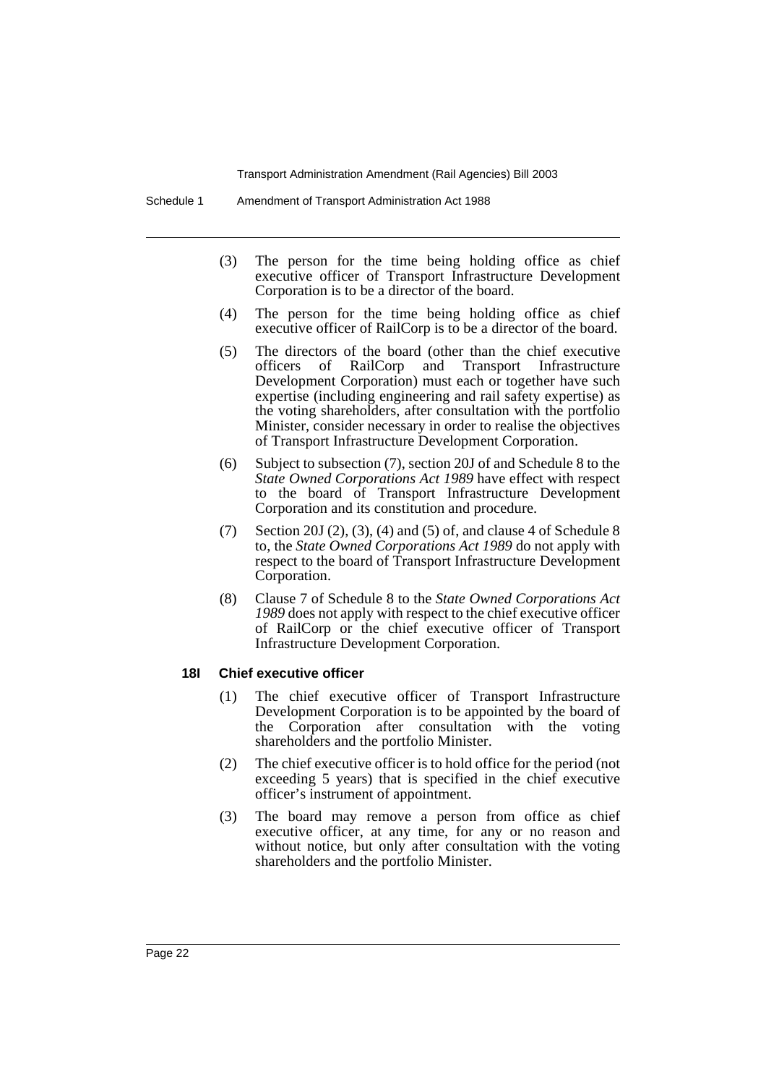- (3) The person for the time being holding office as chief executive officer of Transport Infrastructure Development Corporation is to be a director of the board.
- (4) The person for the time being holding office as chief executive officer of RailCorp is to be a director of the board.
- (5) The directors of the board (other than the chief executive officers of RailCorp and Transport Infrastructure Development Corporation) must each or together have such expertise (including engineering and rail safety expertise) as the voting shareholders, after consultation with the portfolio Minister, consider necessary in order to realise the objectives of Transport Infrastructure Development Corporation.
- (6) Subject to subsection (7), section 20J of and Schedule 8 to the *State Owned Corporations Act 1989* have effect with respect to the board of Transport Infrastructure Development Corporation and its constitution and procedure.
- (7) Section 20J (2), (3), (4) and (5) of, and clause 4 of Schedule 8 to, the *State Owned Corporations Act 1989* do not apply with respect to the board of Transport Infrastructure Development Corporation.
- (8) Clause 7 of Schedule 8 to the *State Owned Corporations Act 1989* does not apply with respect to the chief executive officer of RailCorp or the chief executive officer of Transport Infrastructure Development Corporation.

#### **18I Chief executive officer**

- (1) The chief executive officer of Transport Infrastructure Development Corporation is to be appointed by the board of the Corporation after consultation with the voting shareholders and the portfolio Minister.
- (2) The chief executive officer is to hold office for the period (not exceeding 5 years) that is specified in the chief executive officer's instrument of appointment.
- (3) The board may remove a person from office as chief executive officer, at any time, for any or no reason and without notice, but only after consultation with the voting shareholders and the portfolio Minister.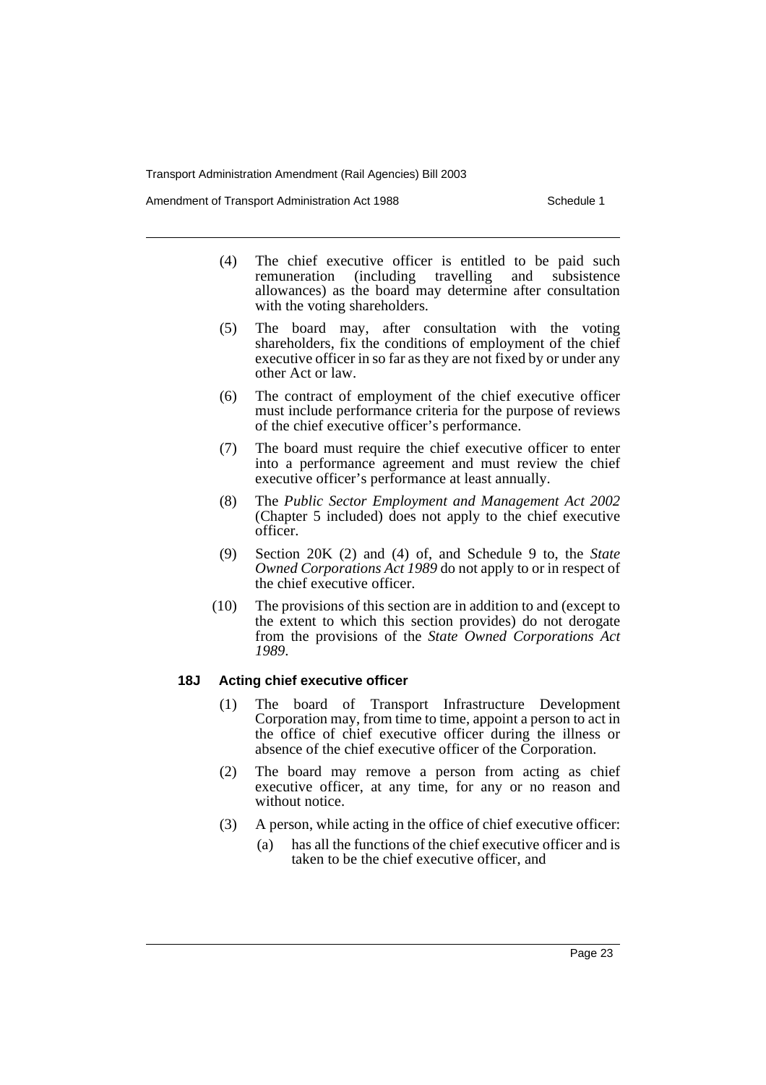Amendment of Transport Administration Act 1988 **Schedule 1** Schedule 1

- (4) The chief executive officer is entitled to be paid such remuneration (including travelling and subsistence allowances) as the board may determine after consultation with the voting shareholders.
- (5) The board may, after consultation with the voting shareholders, fix the conditions of employment of the chief executive officer in so far as they are not fixed by or under any other Act or law.
- (6) The contract of employment of the chief executive officer must include performance criteria for the purpose of reviews of the chief executive officer's performance.
- (7) The board must require the chief executive officer to enter into a performance agreement and must review the chief executive officer's performance at least annually.
- (8) The *Public Sector Employment and Management Act 2002* (Chapter 5 included) does not apply to the chief executive officer.
- (9) Section 20K (2) and (4) of, and Schedule 9 to, the *State Owned Corporations Act 1989* do not apply to or in respect of the chief executive officer.
- (10) The provisions of this section are in addition to and (except to the extent to which this section provides) do not derogate from the provisions of the *State Owned Corporations Act 1989*.

#### **18J Acting chief executive officer**

- (1) The board of Transport Infrastructure Development Corporation may, from time to time, appoint a person to act in the office of chief executive officer during the illness or absence of the chief executive officer of the Corporation.
- (2) The board may remove a person from acting as chief executive officer, at any time, for any or no reason and without notice.
- (3) A person, while acting in the office of chief executive officer:
	- (a) has all the functions of the chief executive officer and is taken to be the chief executive officer, and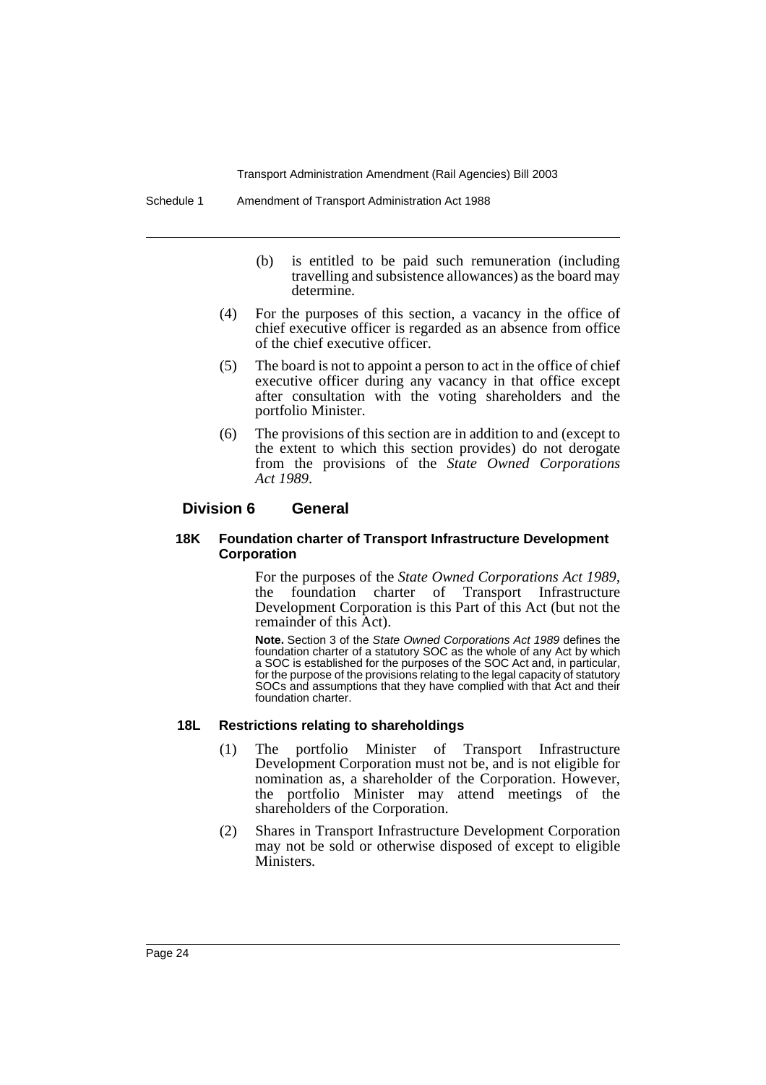- (b) is entitled to be paid such remuneration (including travelling and subsistence allowances) as the board may determine.
- (4) For the purposes of this section, a vacancy in the office of chief executive officer is regarded as an absence from office of the chief executive officer.
- (5) The board is not to appoint a person to act in the office of chief executive officer during any vacancy in that office except after consultation with the voting shareholders and the portfolio Minister.
- (6) The provisions of this section are in addition to and (except to the extent to which this section provides) do not derogate from the provisions of the *State Owned Corporations Act 1989*.

# **Division 6 General**

#### **18K Foundation charter of Transport Infrastructure Development Corporation**

For the purposes of the *State Owned Corporations Act 1989*, the foundation charter of Transport Infrastructure Development Corporation is this Part of this Act (but not the remainder of this Act).

**Note.** Section 3 of the State Owned Corporations Act 1989 defines the foundation charter of a statutory SOC as the whole of any Act by which a SOC is established for the purposes of the SOC Act and, in particular, for the purpose of the provisions relating to the legal capacity of statutory SOCs and assumptions that they have complied with that Act and their foundation charter.

#### **18L Restrictions relating to shareholdings**

- (1) The portfolio Minister of Transport Infrastructure Development Corporation must not be, and is not eligible for nomination as, a shareholder of the Corporation. However, the portfolio Minister may attend meetings of the shareholders of the Corporation.
- (2) Shares in Transport Infrastructure Development Corporation may not be sold or otherwise disposed of except to eligible Ministers.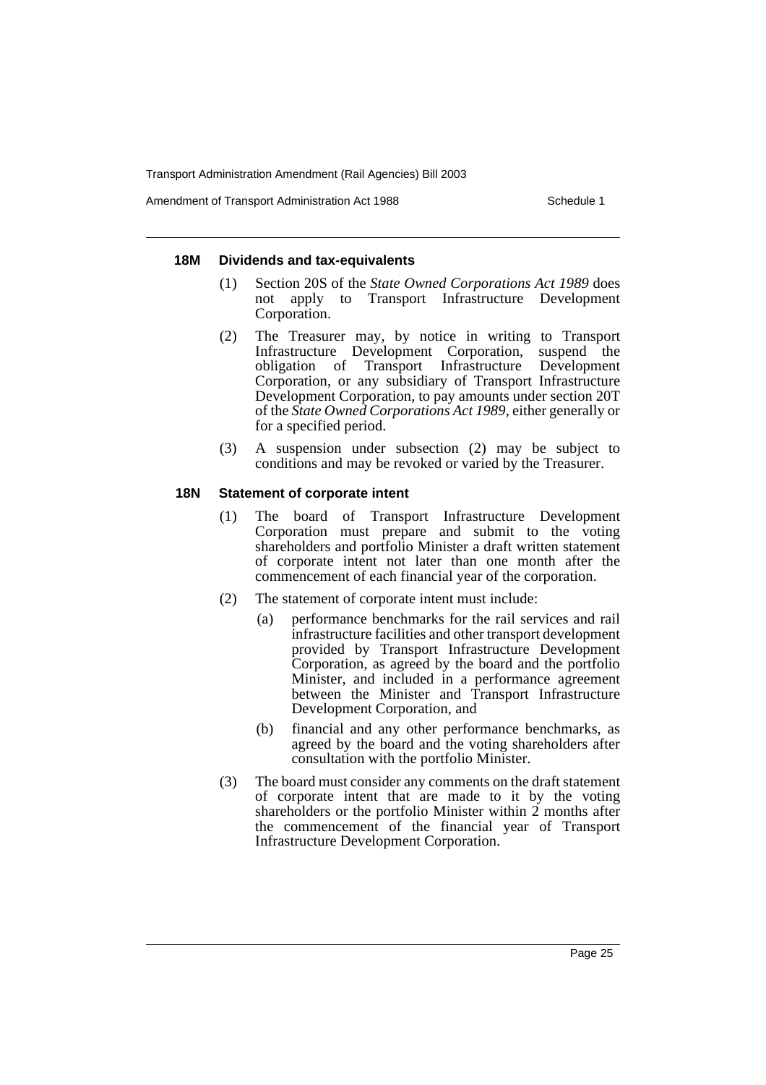Amendment of Transport Administration Act 1988 **Schedule 1** Schedule 1

#### **18M Dividends and tax-equivalents**

- (1) Section 20S of the *State Owned Corporations Act 1989* does not apply to Transport Infrastructure Development Corporation.
- (2) The Treasurer may, by notice in writing to Transport Infrastructure Development Corporation, suspend the obligation of Transport Infrastructure Development Corporation, or any subsidiary of Transport Infrastructure Development Corporation, to pay amounts under section 20T of the *State Owned Corporations Act 1989*, either generally or for a specified period.
- (3) A suspension under subsection (2) may be subject to conditions and may be revoked or varied by the Treasurer.

#### **18N Statement of corporate intent**

- (1) The board of Transport Infrastructure Development Corporation must prepare and submit to the voting shareholders and portfolio Minister a draft written statement of corporate intent not later than one month after the commencement of each financial year of the corporation.
- (2) The statement of corporate intent must include:
	- (a) performance benchmarks for the rail services and rail infrastructure facilities and other transport development provided by Transport Infrastructure Development Corporation, as agreed by the board and the portfolio Minister, and included in a performance agreement between the Minister and Transport Infrastructure Development Corporation, and
	- (b) financial and any other performance benchmarks, as agreed by the board and the voting shareholders after consultation with the portfolio Minister.
- (3) The board must consider any comments on the draft statement of corporate intent that are made to it by the voting shareholders or the portfolio Minister within 2 months after the commencement of the financial year of Transport Infrastructure Development Corporation.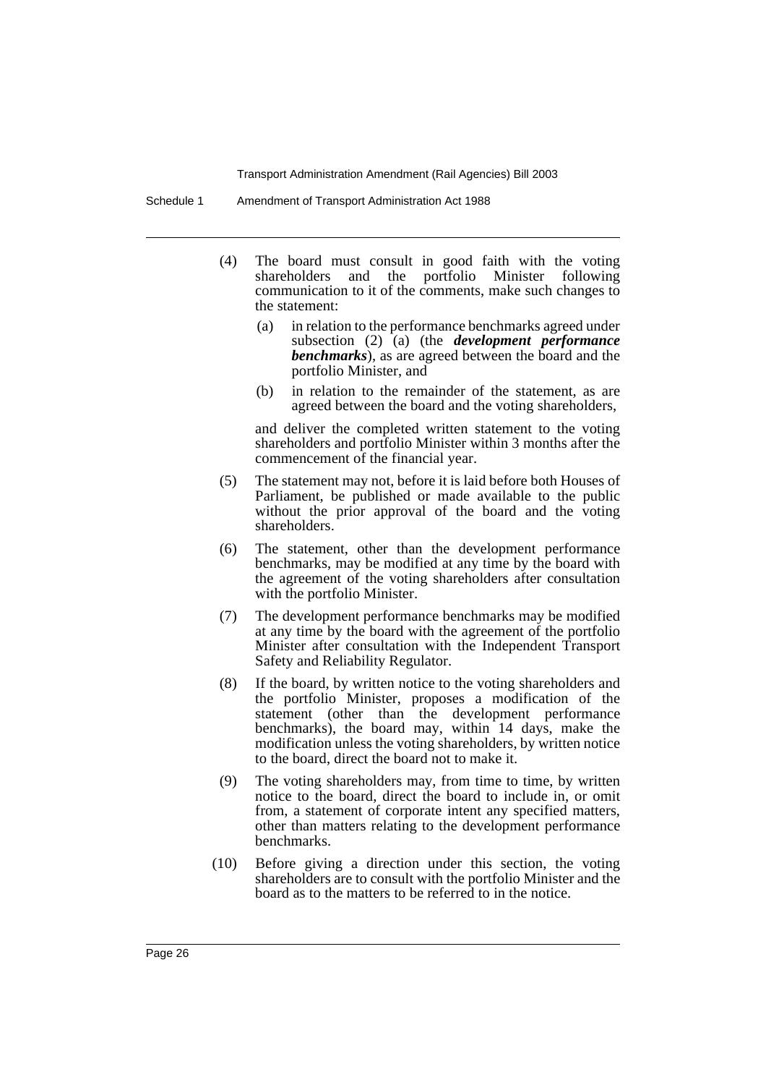Schedule 1 Amendment of Transport Administration Act 1988

- (4) The board must consult in good faith with the voting shareholders and the portfolio Minister following communication to it of the comments, make such changes to the statement:
	- (a) in relation to the performance benchmarks agreed under subsection (2) (a) (the *development performance benchmarks*), as are agreed between the board and the portfolio Minister, and
	- (b) in relation to the remainder of the statement, as are agreed between the board and the voting shareholders,

and deliver the completed written statement to the voting shareholders and portfolio Minister within 3 months after the commencement of the financial year.

- (5) The statement may not, before it is laid before both Houses of Parliament, be published or made available to the public without the prior approval of the board and the voting shareholders.
- (6) The statement, other than the development performance benchmarks, may be modified at any time by the board with the agreement of the voting shareholders after consultation with the portfolio Minister.
- (7) The development performance benchmarks may be modified at any time by the board with the agreement of the portfolio Minister after consultation with the Independent Transport Safety and Reliability Regulator.
- (8) If the board, by written notice to the voting shareholders and the portfolio Minister, proposes a modification of the statement (other than the development performance benchmarks), the board may, within 14 days, make the modification unless the voting shareholders, by written notice to the board, direct the board not to make it.
- (9) The voting shareholders may, from time to time, by written notice to the board, direct the board to include in, or omit from, a statement of corporate intent any specified matters, other than matters relating to the development performance benchmarks.
- (10) Before giving a direction under this section, the voting shareholders are to consult with the portfolio Minister and the board as to the matters to be referred to in the notice.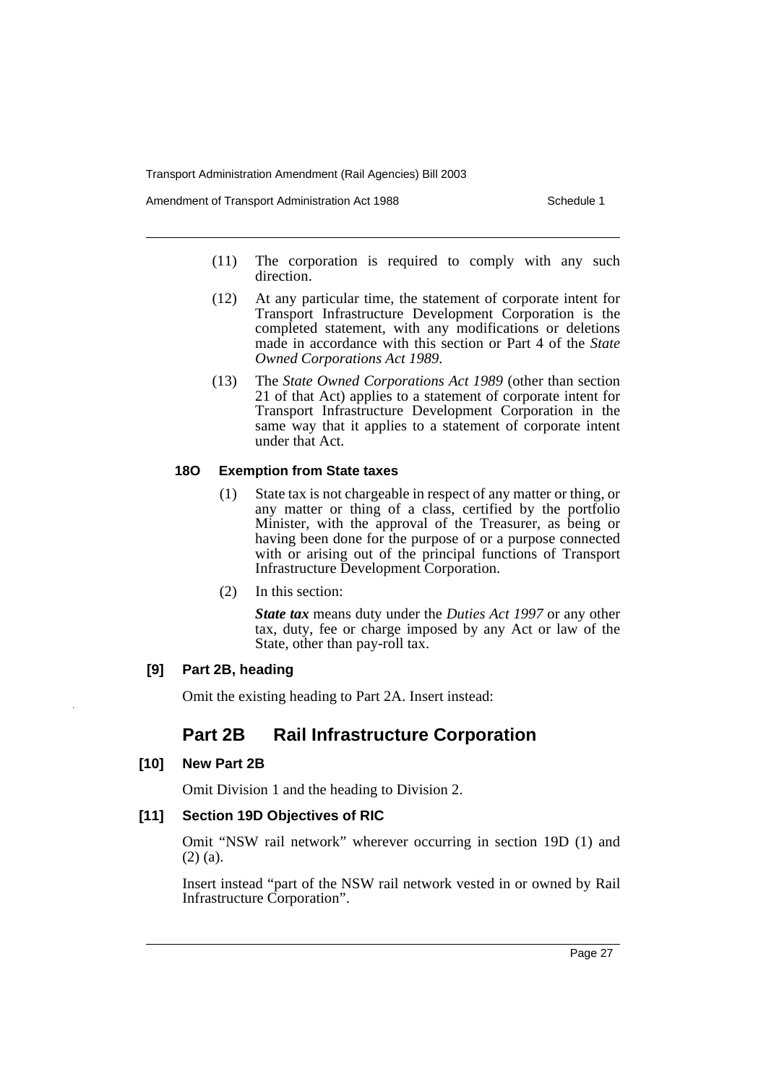Amendment of Transport Administration Act 1988 **Schedule 1** Schedule 1

- (11) The corporation is required to comply with any such direction.
- (12) At any particular time, the statement of corporate intent for Transport Infrastructure Development Corporation is the completed statement, with any modifications or deletions made in accordance with this section or Part 4 of the *State Owned Corporations Act 1989*.
- (13) The *State Owned Corporations Act 1989* (other than section 21 of that Act) applies to a statement of corporate intent for Transport Infrastructure Development Corporation in the same way that it applies to a statement of corporate intent under that Act.

# **18O Exemption from State taxes**

- (1) State tax is not chargeable in respect of any matter or thing, or any matter or thing of a class, certified by the portfolio Minister, with the approval of the Treasurer, as being or having been done for the purpose of or a purpose connected with or arising out of the principal functions of Transport Infrastructure Development Corporation.
- (2) In this section:

*State tax* means duty under the *Duties Act 1997* or any other tax, duty, fee or charge imposed by any Act or law of the State, other than pay-roll tax.

# **[9] Part 2B, heading**

Omit the existing heading to Part 2A. Insert instead:

# **Part 2B Rail Infrastructure Corporation**

# **[10] New Part 2B**

Omit Division 1 and the heading to Division 2.

# **[11] Section 19D Objectives of RIC**

Omit "NSW rail network" wherever occurring in section 19D (1) and (2) (a).

Insert instead "part of the NSW rail network vested in or owned by Rail Infrastructure Corporation".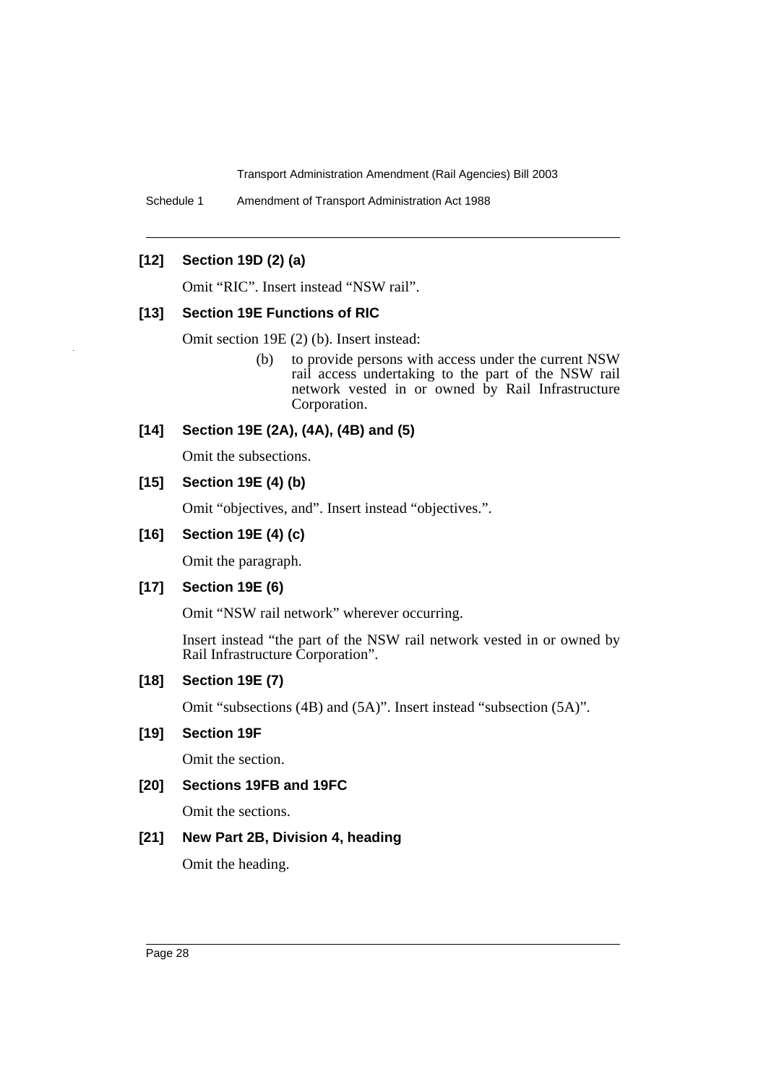Schedule 1 Amendment of Transport Administration Act 1988

# **[12] Section 19D (2) (a)**

Omit "RIC". Insert instead "NSW rail".

#### **[13] Section 19E Functions of RIC**

Omit section 19E (2) (b). Insert instead:

(b) to provide persons with access under the current NSW rail access undertaking to the part of the NSW rail network vested in or owned by Rail Infrastructure Corporation.

# **[14] Section 19E (2A), (4A), (4B) and (5)**

Omit the subsections.

# **[15] Section 19E (4) (b)**

Omit "objectives, and". Insert instead "objectives.".

#### **[16] Section 19E (4) (c)**

Omit the paragraph.

## **[17] Section 19E (6)**

Omit "NSW rail network" wherever occurring.

Insert instead "the part of the NSW rail network vested in or owned by Rail Infrastructure Corporation".

# **[18] Section 19E (7)**

Omit "subsections (4B) and (5A)". Insert instead "subsection (5A)".

# **[19] Section 19F**

Omit the section.

# **[20] Sections 19FB and 19FC**

Omit the sections.

# **[21] New Part 2B, Division 4, heading**

Omit the heading.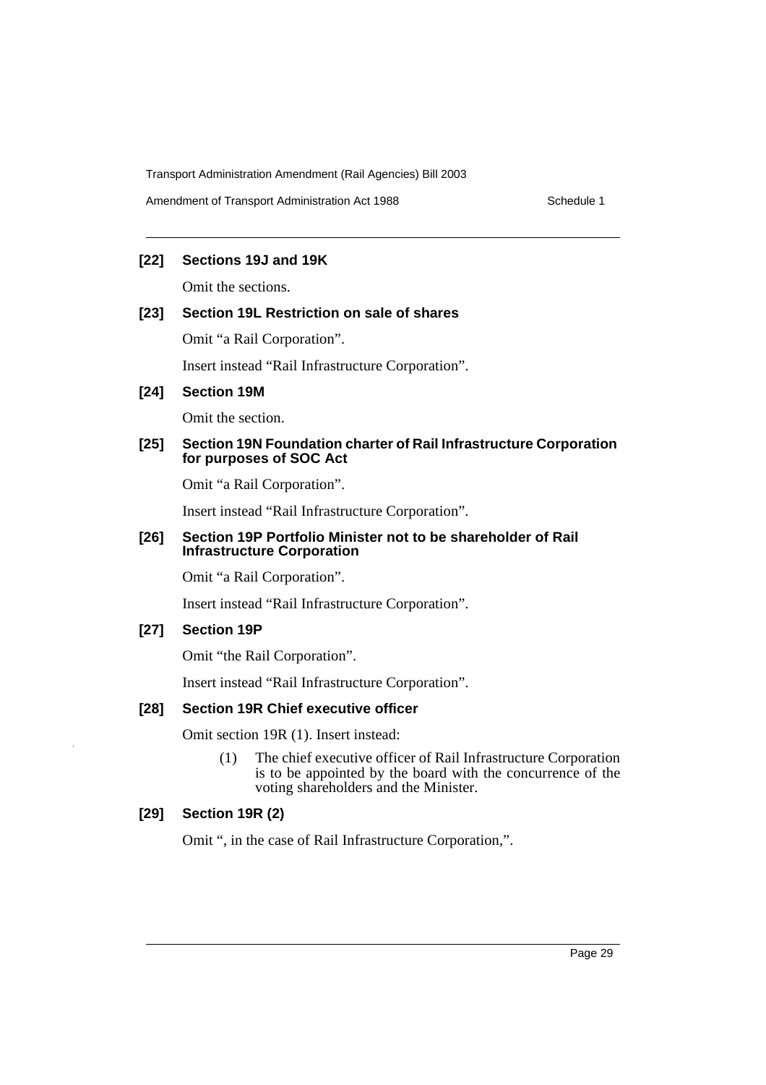Amendment of Transport Administration Act 1988 Schedule 1

# **[22] Sections 19J and 19K**

Omit the sections.

# **[23] Section 19L Restriction on sale of shares**

Omit "a Rail Corporation".

Insert instead "Rail Infrastructure Corporation".

# **[24] Section 19M**

Omit the section.

# **[25] Section 19N Foundation charter of Rail Infrastructure Corporation for purposes of SOC Act**

Omit "a Rail Corporation".

Insert instead "Rail Infrastructure Corporation".

# **[26] Section 19P Portfolio Minister not to be shareholder of Rail Infrastructure Corporation**

Omit "a Rail Corporation".

Insert instead "Rail Infrastructure Corporation".

# **[27] Section 19P**

Omit "the Rail Corporation".

Insert instead "Rail Infrastructure Corporation".

# **[28] Section 19R Chief executive officer**

Omit section 19R (1). Insert instead:

(1) The chief executive officer of Rail Infrastructure Corporation is to be appointed by the board with the concurrence of the voting shareholders and the Minister.

# **[29] Section 19R (2)**

Omit ", in the case of Rail Infrastructure Corporation,".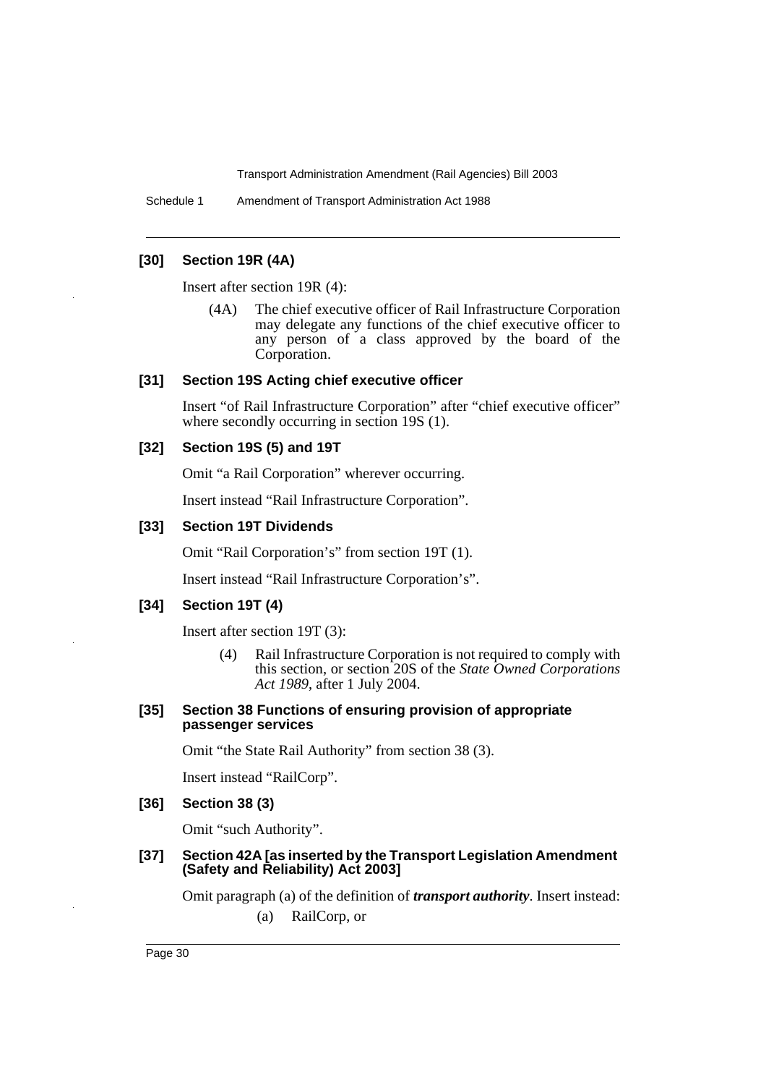Schedule 1 Amendment of Transport Administration Act 1988

# **[30] Section 19R (4A)**

Insert after section 19R (4):

(4A) The chief executive officer of Rail Infrastructure Corporation may delegate any functions of the chief executive officer to any person of a class approved by the board of the Corporation.

#### **[31] Section 19S Acting chief executive officer**

Insert "of Rail Infrastructure Corporation" after "chief executive officer" where secondly occurring in section 19S  $(1)$ .

# **[32] Section 19S (5) and 19T**

Omit "a Rail Corporation" wherever occurring.

Insert instead "Rail Infrastructure Corporation".

# **[33] Section 19T Dividends**

Omit "Rail Corporation's" from section 19T (1).

Insert instead "Rail Infrastructure Corporation's".

# **[34] Section 19T (4)**

Insert after section 19T (3):

- (4) Rail Infrastructure Corporation is not required to comply with this section, or section 20S of the *State Owned Corporations Act 1989*, after 1 July 2004.
- **[35] Section 38 Functions of ensuring provision of appropriate passenger services**

Omit "the State Rail Authority" from section 38 (3).

Insert instead "RailCorp".

## **[36] Section 38 (3)**

Omit "such Authority".

#### **[37] Section 42A [as inserted by the Transport Legislation Amendment (Safety and Reliability) Act 2003]**

Omit paragraph (a) of the definition of *transport authority*. Insert instead:

(a) RailCorp, or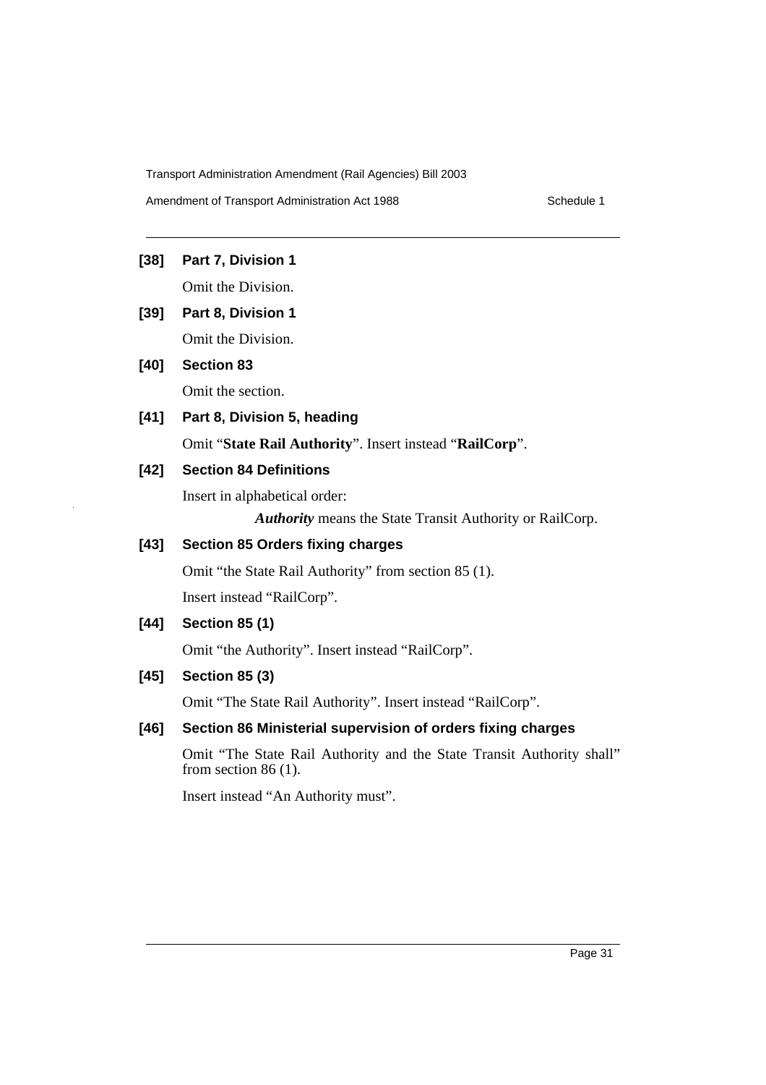Amendment of Transport Administration Act 1988 Schedule 1

# **[38] Part 7, Division 1**

Omit the Division.

**[39] Part 8, Division 1** Omit the Division.

# **[40] Section 83**

Omit the section.

**[41] Part 8, Division 5, heading** Omit "**State Rail Authority**". Insert instead "**RailCorp**".

# **[42] Section 84 Definitions**

Insert in alphabetical order:

*Authority* means the State Transit Authority or RailCorp.

# **[43] Section 85 Orders fixing charges**

Omit "the State Rail Authority" from section 85 (1). Insert instead "RailCorp".

# **[44] Section 85 (1)**

Omit "the Authority". Insert instead "RailCorp".

# **[45] Section 85 (3)**

Omit "The State Rail Authority". Insert instead "RailCorp".

# **[46] Section 86 Ministerial supervision of orders fixing charges**

Omit "The State Rail Authority and the State Transit Authority shall" from section 86 (1).

Insert instead "An Authority must".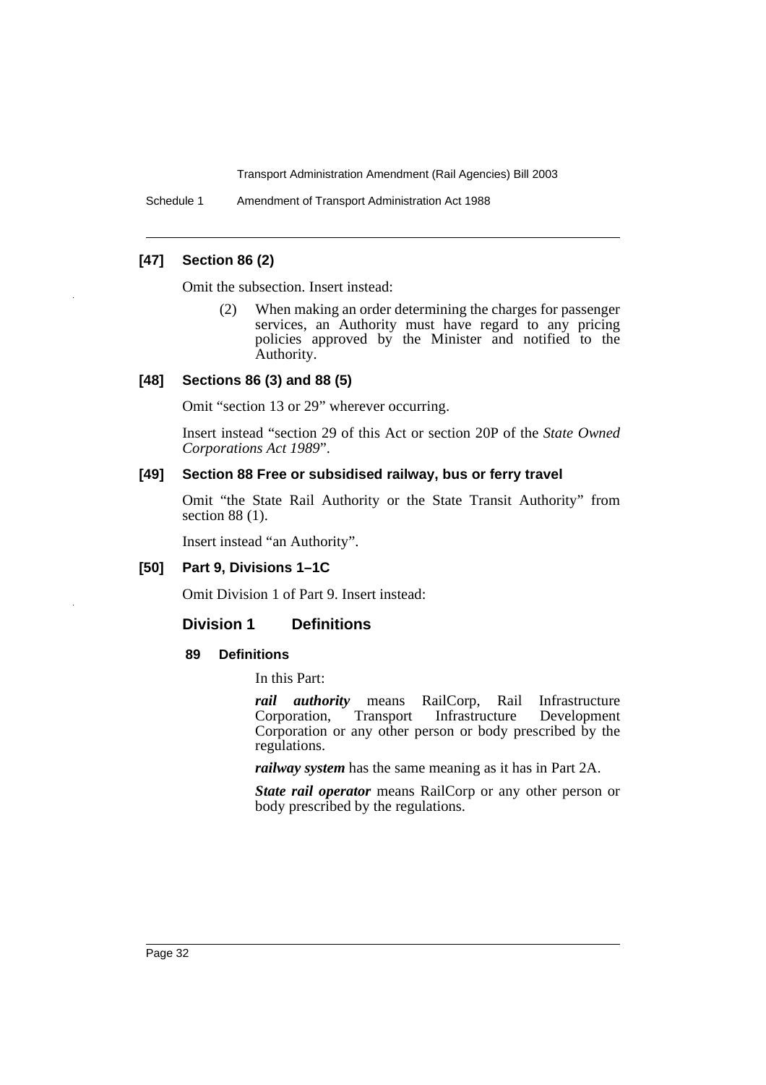Schedule 1 Amendment of Transport Administration Act 1988

# **[47] Section 86 (2)**

Omit the subsection. Insert instead:

(2) When making an order determining the charges for passenger services, an Authority must have regard to any pricing policies approved by the Minister and notified to the Authority.

#### **[48] Sections 86 (3) and 88 (5)**

Omit "section 13 or 29" wherever occurring.

Insert instead "section 29 of this Act or section 20P of the *State Owned Corporations Act 1989*".

#### **[49] Section 88 Free or subsidised railway, bus or ferry travel**

Omit "the State Rail Authority or the State Transit Authority" from section 88 (1).

Insert instead "an Authority".

# **[50] Part 9, Divisions 1–1C**

Omit Division 1 of Part 9. Insert instead:

# **Division 1 Definitions**

#### **89 Definitions**

In this Part:

*rail authority* means RailCorp, Rail Infrastructure<br>Corporation, Transport Infrastructure Development Infrastructure Development Corporation or any other person or body prescribed by the regulations.

*railway system* has the same meaning as it has in Part 2A.

*State rail operator* means RailCorp or any other person or body prescribed by the regulations.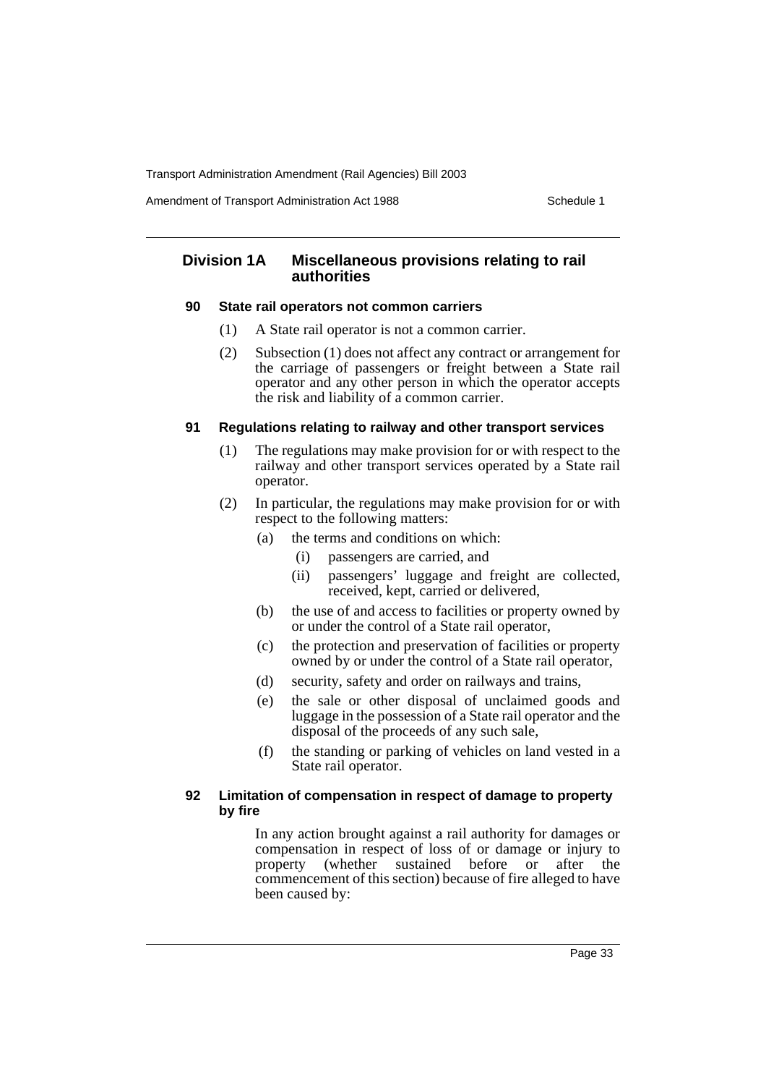Amendment of Transport Administration Act 1988 **Schedule 1** Schedule 1

# **Division 1A Miscellaneous provisions relating to rail authorities**

# **90 State rail operators not common carriers**

- (1) A State rail operator is not a common carrier.
- (2) Subsection (1) does not affect any contract or arrangement for the carriage of passengers or freight between a State rail operator and any other person in which the operator accepts the risk and liability of a common carrier.

# **91 Regulations relating to railway and other transport services**

- (1) The regulations may make provision for or with respect to the railway and other transport services operated by a State rail operator.
- (2) In particular, the regulations may make provision for or with respect to the following matters:
	- (a) the terms and conditions on which:
		- (i) passengers are carried, and
		- (ii) passengers' luggage and freight are collected, received, kept, carried or delivered,
	- (b) the use of and access to facilities or property owned by or under the control of a State rail operator,
	- (c) the protection and preservation of facilities or property owned by or under the control of a State rail operator,
	- (d) security, safety and order on railways and trains,
	- (e) the sale or other disposal of unclaimed goods and luggage in the possession of a State rail operator and the disposal of the proceeds of any such sale,
	- (f) the standing or parking of vehicles on land vested in a State rail operator.

# **92 Limitation of compensation in respect of damage to property by fire**

In any action brought against a rail authority for damages or compensation in respect of loss of or damage or injury to property (whether sustained before or after the commencement of this section) because of fire alleged to have been caused by: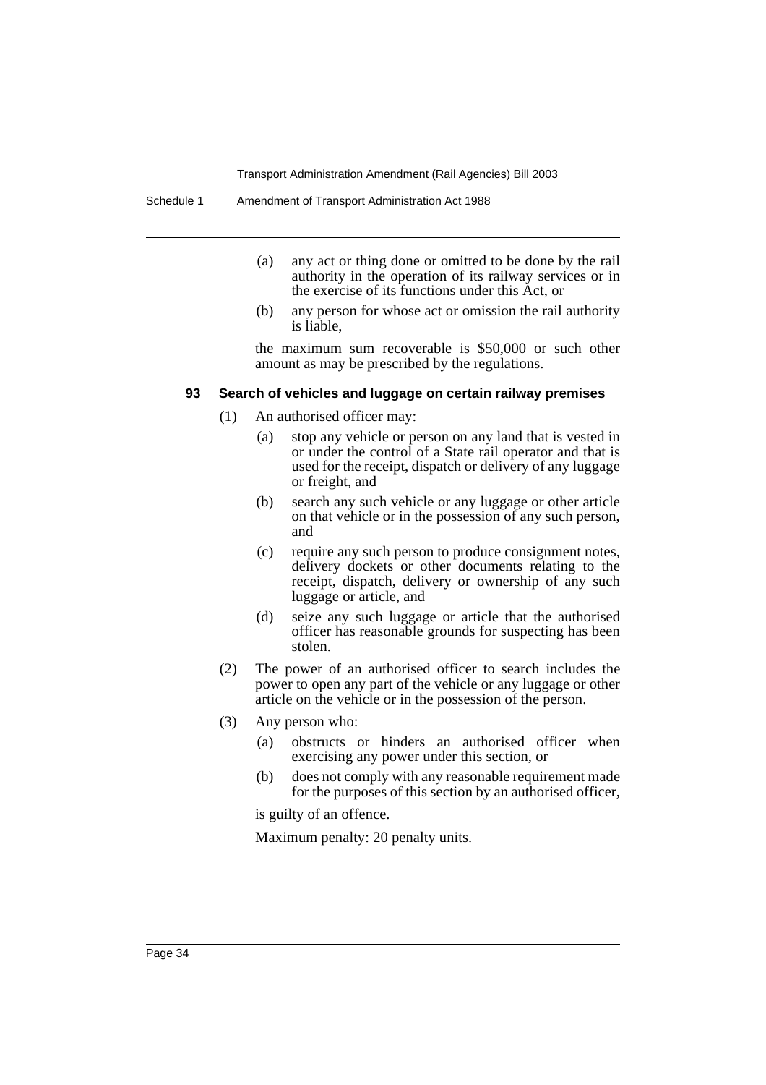- (a) any act or thing done or omitted to be done by the rail authority in the operation of its railway services or in the exercise of its functions under this Act, or
- (b) any person for whose act or omission the rail authority is liable,

the maximum sum recoverable is \$50,000 or such other amount as may be prescribed by the regulations.

#### **93 Search of vehicles and luggage on certain railway premises**

- (1) An authorised officer may:
	- (a) stop any vehicle or person on any land that is vested in or under the control of a State rail operator and that is used for the receipt, dispatch or delivery of any luggage or freight, and
	- (b) search any such vehicle or any luggage or other article on that vehicle or in the possession of any such person, and
	- (c) require any such person to produce consignment notes, delivery dockets or other documents relating to the receipt, dispatch, delivery or ownership of any such luggage or article, and
	- (d) seize any such luggage or article that the authorised officer has reasonable grounds for suspecting has been stolen.
- (2) The power of an authorised officer to search includes the power to open any part of the vehicle or any luggage or other article on the vehicle or in the possession of the person.
- (3) Any person who:
	- (a) obstructs or hinders an authorised officer when exercising any power under this section, or
	- (b) does not comply with any reasonable requirement made for the purposes of this section by an authorised officer,

is guilty of an offence.

Maximum penalty: 20 penalty units.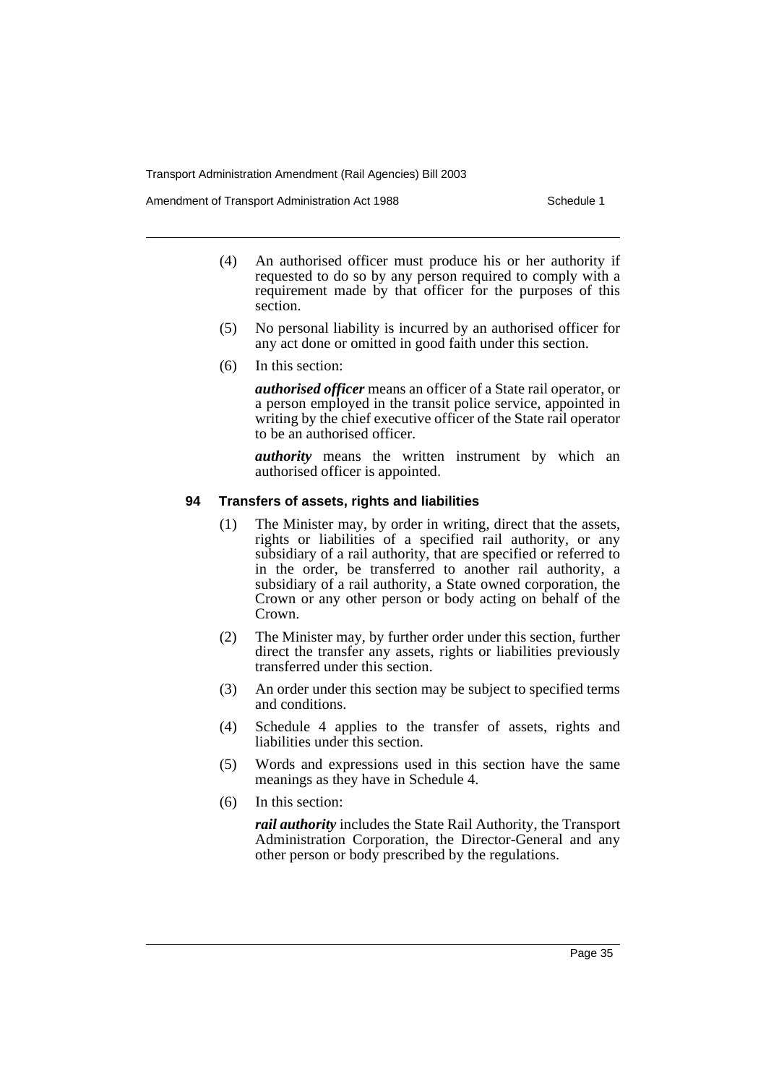Amendment of Transport Administration Act 1988 **Schedule 1** Schedule 1

- (4) An authorised officer must produce his or her authority if requested to do so by any person required to comply with a requirement made by that officer for the purposes of this section.
- (5) No personal liability is incurred by an authorised officer for any act done or omitted in good faith under this section.
- (6) In this section:

*authorised officer* means an officer of a State rail operator, or a person employed in the transit police service, appointed in writing by the chief executive officer of the State rail operator to be an authorised officer.

*authority* means the written instrument by which an authorised officer is appointed.

# **94 Transfers of assets, rights and liabilities**

- (1) The Minister may, by order in writing, direct that the assets, rights or liabilities of a specified rail authority, or any subsidiary of a rail authority, that are specified or referred to in the order, be transferred to another rail authority, a subsidiary of a rail authority, a State owned corporation, the Crown or any other person or body acting on behalf of the Crown.
- (2) The Minister may, by further order under this section, further direct the transfer any assets, rights or liabilities previously transferred under this section.
- (3) An order under this section may be subject to specified terms and conditions.
- (4) Schedule 4 applies to the transfer of assets, rights and liabilities under this section.
- (5) Words and expressions used in this section have the same meanings as they have in Schedule 4.
- (6) In this section:

*rail authority* includes the State Rail Authority, the Transport Administration Corporation, the Director-General and any other person or body prescribed by the regulations.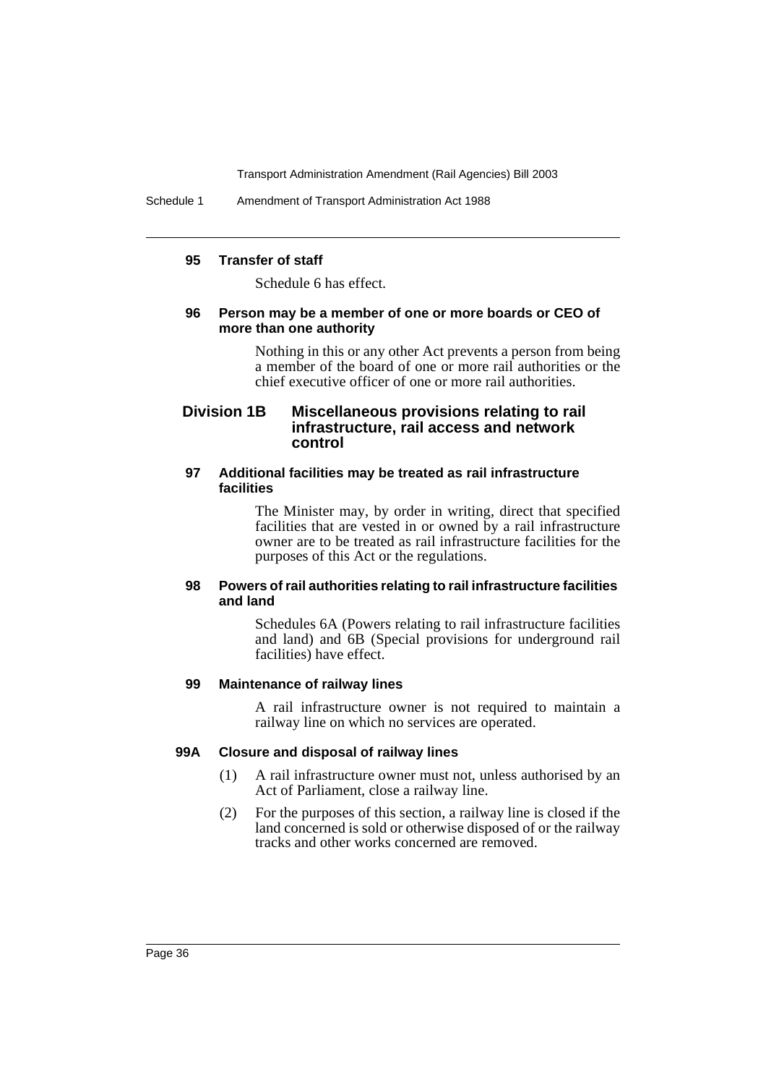Schedule 1 Amendment of Transport Administration Act 1988

#### **95 Transfer of staff**

Schedule 6 has effect.

#### **96 Person may be a member of one or more boards or CEO of more than one authority**

Nothing in this or any other Act prevents a person from being a member of the board of one or more rail authorities or the chief executive officer of one or more rail authorities.

# **Division 1B Miscellaneous provisions relating to rail infrastructure, rail access and network control**

### **97 Additional facilities may be treated as rail infrastructure facilities**

The Minister may, by order in writing, direct that specified facilities that are vested in or owned by a rail infrastructure owner are to be treated as rail infrastructure facilities for the purposes of this Act or the regulations.

### **98 Powers of rail authorities relating to rail infrastructure facilities and land**

Schedules 6A (Powers relating to rail infrastructure facilities and land) and 6B (Special provisions for underground rail facilities) have effect.

#### **99 Maintenance of railway lines**

A rail infrastructure owner is not required to maintain a railway line on which no services are operated.

#### **99A Closure and disposal of railway lines**

- (1) A rail infrastructure owner must not, unless authorised by an Act of Parliament, close a railway line.
- (2) For the purposes of this section, a railway line is closed if the land concerned is sold or otherwise disposed of or the railway tracks and other works concerned are removed.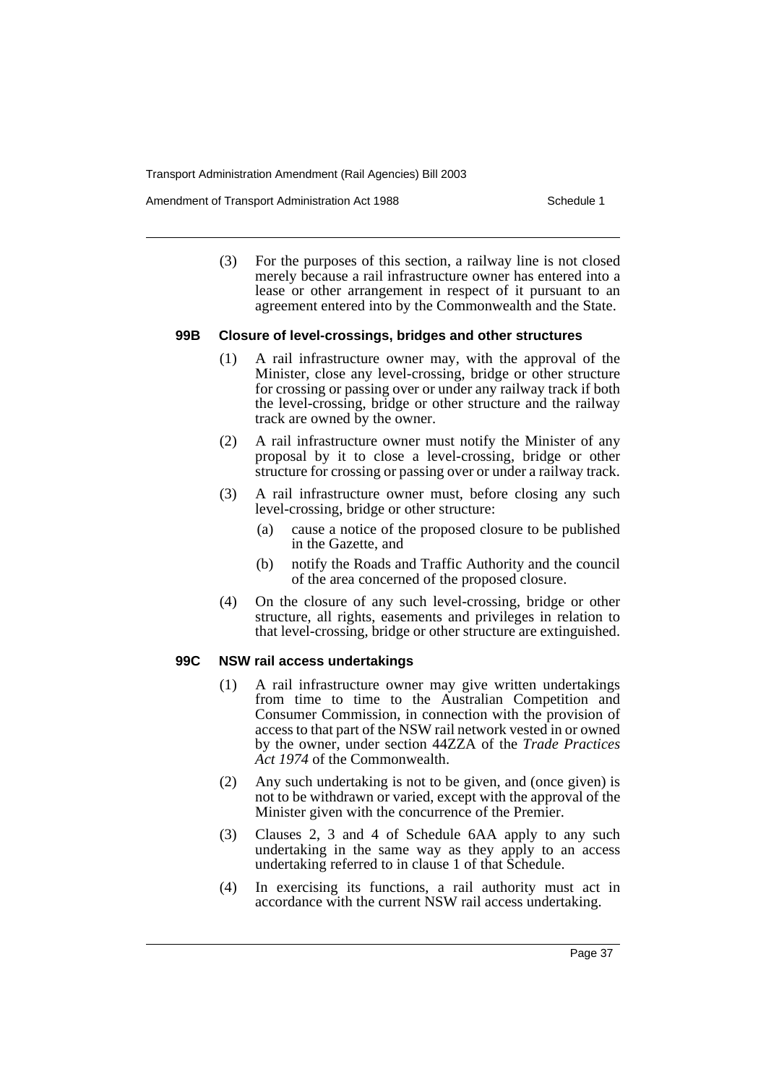Amendment of Transport Administration Act 1988 **Schedule 1** Schedule 1

(3) For the purposes of this section, a railway line is not closed merely because a rail infrastructure owner has entered into a lease or other arrangement in respect of it pursuant to an agreement entered into by the Commonwealth and the State.

#### **99B Closure of level-crossings, bridges and other structures**

- (1) A rail infrastructure owner may, with the approval of the Minister, close any level-crossing, bridge or other structure for crossing or passing over or under any railway track if both the level-crossing, bridge or other structure and the railway track are owned by the owner.
- (2) A rail infrastructure owner must notify the Minister of any proposal by it to close a level-crossing, bridge or other structure for crossing or passing over or under a railway track.
- (3) A rail infrastructure owner must, before closing any such level-crossing, bridge or other structure:
	- (a) cause a notice of the proposed closure to be published in the Gazette, and
	- (b) notify the Roads and Traffic Authority and the council of the area concerned of the proposed closure.
- (4) On the closure of any such level-crossing, bridge or other structure, all rights, easements and privileges in relation to that level-crossing, bridge or other structure are extinguished.

# **99C NSW rail access undertakings**

- (1) A rail infrastructure owner may give written undertakings from time to time to the Australian Competition and Consumer Commission, in connection with the provision of access to that part of the NSW rail network vested in or owned by the owner, under section 44ZZA of the *Trade Practices Act 1974* of the Commonwealth.
- (2) Any such undertaking is not to be given, and (once given) is not to be withdrawn or varied, except with the approval of the Minister given with the concurrence of the Premier.
- (3) Clauses 2, 3 and 4 of Schedule 6AA apply to any such undertaking in the same way as they apply to an access undertaking referred to in clause 1 of that Schedule.
- (4) In exercising its functions, a rail authority must act in accordance with the current NSW rail access undertaking.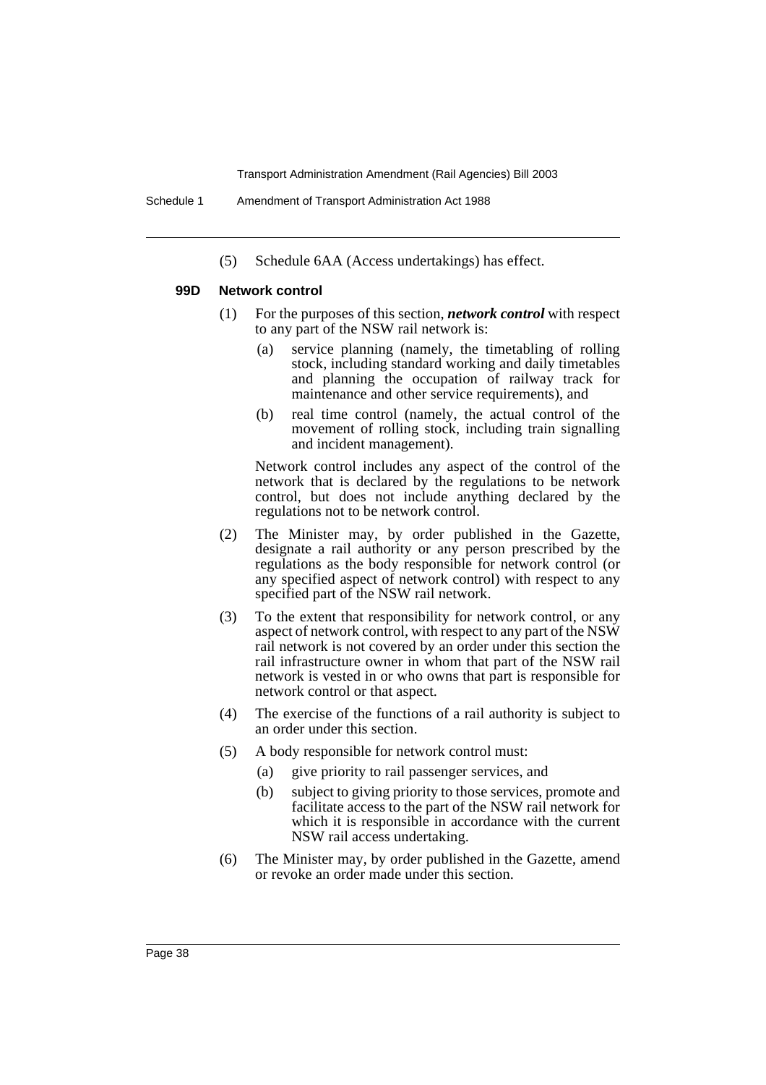(5) Schedule 6AA (Access undertakings) has effect.

### **99D Network control**

- (1) For the purposes of this section, *network control* with respect to any part of the NSW rail network is:
	- (a) service planning (namely, the timetabling of rolling stock, including standard working and daily timetables and planning the occupation of railway track for maintenance and other service requirements), and
	- (b) real time control (namely, the actual control of the movement of rolling stock, including train signalling and incident management).

Network control includes any aspect of the control of the network that is declared by the regulations to be network control, but does not include anything declared by the regulations not to be network control.

- (2) The Minister may, by order published in the Gazette, designate a rail authority or any person prescribed by the regulations as the body responsible for network control (or any specified aspect of network control) with respect to any specified part of the NSW rail network.
- (3) To the extent that responsibility for network control, or any aspect of network control, with respect to any part of the NSW rail network is not covered by an order under this section the rail infrastructure owner in whom that part of the NSW rail network is vested in or who owns that part is responsible for network control or that aspect.
- (4) The exercise of the functions of a rail authority is subject to an order under this section.
- (5) A body responsible for network control must:
	- (a) give priority to rail passenger services, and
	- (b) subject to giving priority to those services, promote and facilitate access to the part of the NSW rail network for which it is responsible in accordance with the current NSW rail access undertaking.
- (6) The Minister may, by order published in the Gazette, amend or revoke an order made under this section.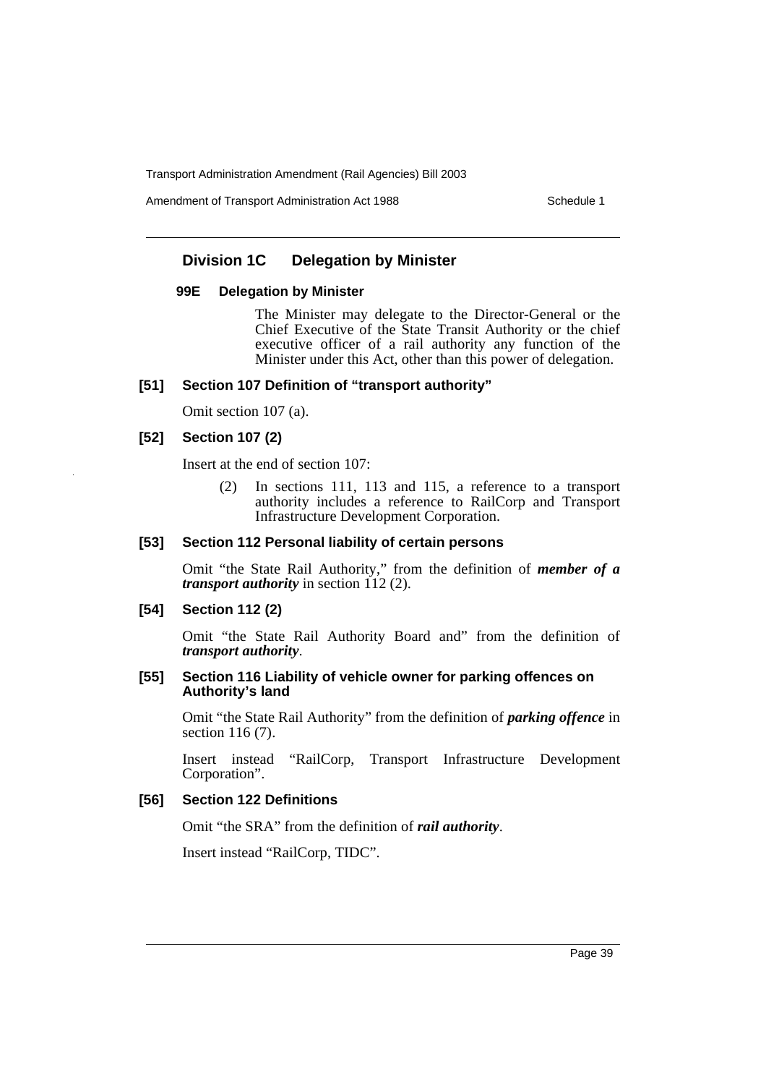Amendment of Transport Administration Act 1988 **Schedule 1** Schedule 1

# **Division 1C Delegation by Minister**

#### **99E Delegation by Minister**

The Minister may delegate to the Director-General or the Chief Executive of the State Transit Authority or the chief executive officer of a rail authority any function of the Minister under this Act, other than this power of delegation.

# **[51] Section 107 Definition of "transport authority"**

Omit section 107 (a).

### **[52] Section 107 (2)**

Insert at the end of section 107:

(2) In sections 111, 113 and 115, a reference to a transport authority includes a reference to RailCorp and Transport Infrastructure Development Corporation.

### **[53] Section 112 Personal liability of certain persons**

Omit "the State Rail Authority," from the definition of *member of a transport authority* in section 112 (2).

#### **[54] Section 112 (2)**

Omit "the State Rail Authority Board and" from the definition of *transport authority*.

#### **[55] Section 116 Liability of vehicle owner for parking offences on Authority's land**

Omit "the State Rail Authority" from the definition of *parking offence* in section 116 (7).

Insert instead "RailCorp, Transport Infrastructure Development Corporation".

### **[56] Section 122 Definitions**

Omit "the SRA" from the definition of *rail authority*.

Insert instead "RailCorp, TIDC".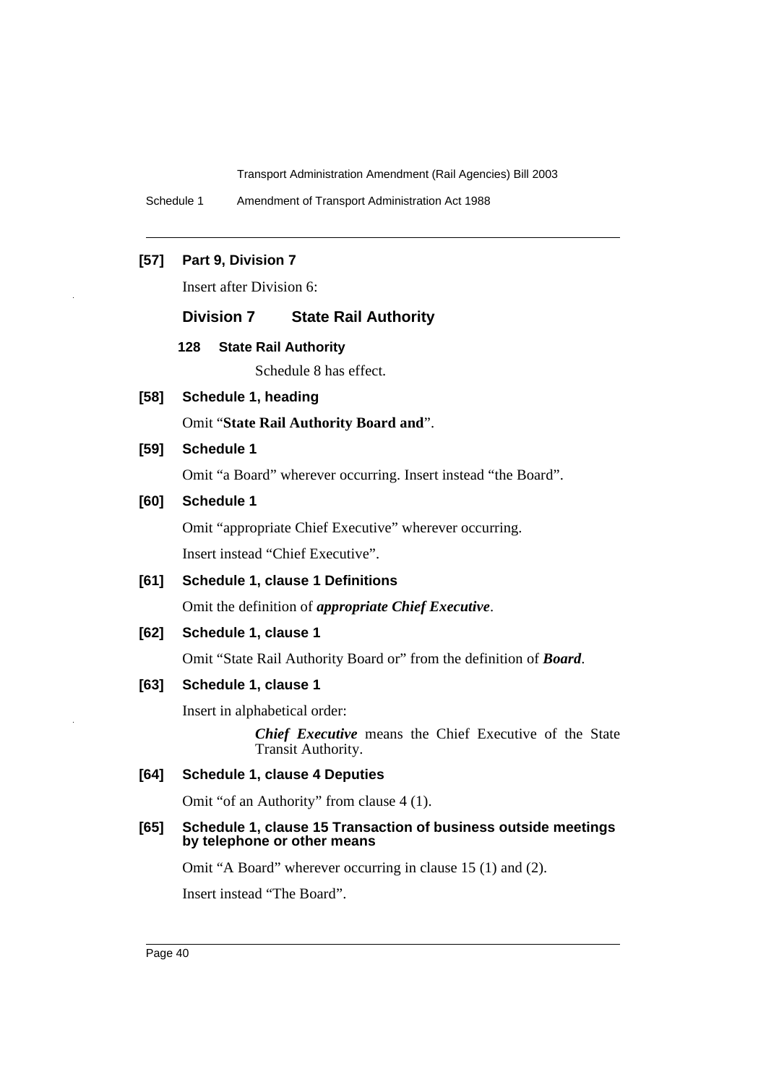Schedule 1 Amendment of Transport Administration Act 1988

# **[57] Part 9, Division 7**

Insert after Division 6:

#### **Division 7 State Rail Authority**

#### **128 State Rail Authority**

Schedule 8 has effect.

**[58] Schedule 1, heading**

Omit "**State Rail Authority Board and**".

#### **[59] Schedule 1**

Omit "a Board" wherever occurring. Insert instead "the Board".

### **[60] Schedule 1**

Omit "appropriate Chief Executive" wherever occurring. Insert instead "Chief Executive".

# **[61] Schedule 1, clause 1 Definitions**

Omit the definition of *appropriate Chief Executive*.

# **[62] Schedule 1, clause 1**

Omit "State Rail Authority Board or" from the definition of *Board*.

### **[63] Schedule 1, clause 1**

Insert in alphabetical order:

*Chief Executive* means the Chief Executive of the State Transit Authority.

# **[64] Schedule 1, clause 4 Deputies**

Omit "of an Authority" from clause 4 (1).

#### **[65] Schedule 1, clause 15 Transaction of business outside meetings by telephone or other means**

Omit "A Board" wherever occurring in clause 15 (1) and (2).

Insert instead "The Board".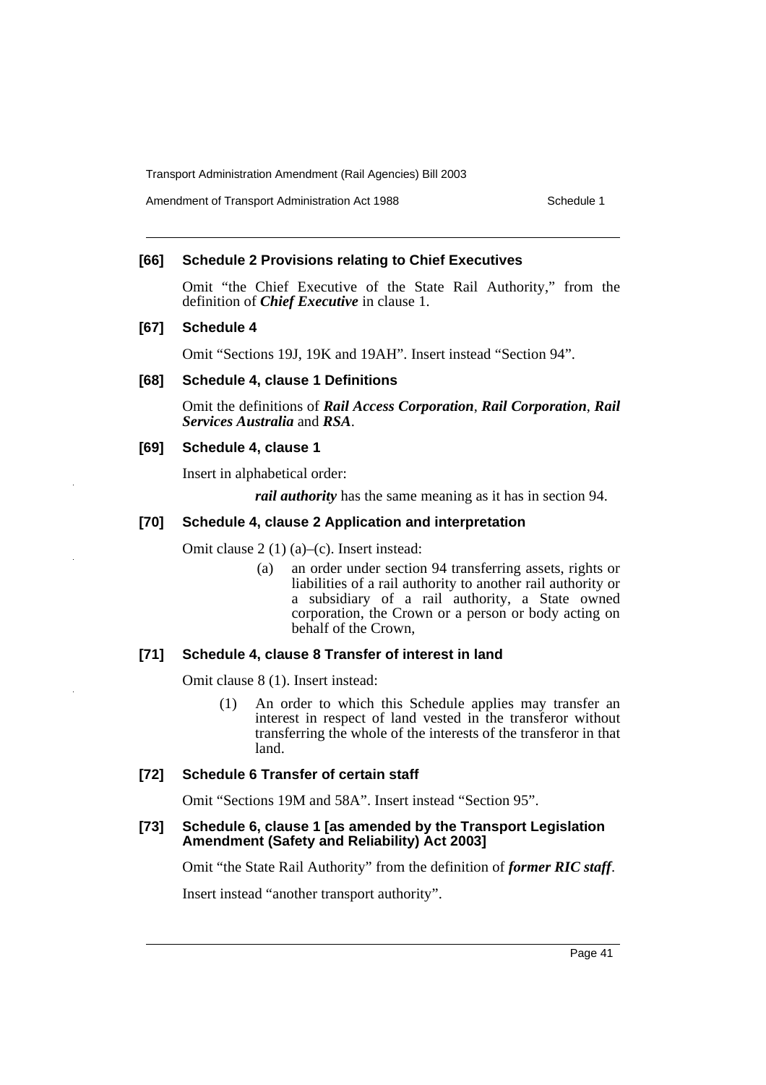Amendment of Transport Administration Act 1988 **Schedule 1** Schedule 1

#### **[66] Schedule 2 Provisions relating to Chief Executives**

Omit "the Chief Executive of the State Rail Authority," from the definition of *Chief Executive* in clause 1.

### **[67] Schedule 4**

Omit "Sections 19J, 19K and 19AH". Insert instead "Section 94".

#### **[68] Schedule 4, clause 1 Definitions**

Omit the definitions of *Rail Access Corporation*, *Rail Corporation*, *Rail Services Australia* and *RSA*.

### **[69] Schedule 4, clause 1**

Insert in alphabetical order:

*rail authority* has the same meaning as it has in section 94.

#### **[70] Schedule 4, clause 2 Application and interpretation**

Omit clause 2 (1) (a)–(c). Insert instead:

(a) an order under section 94 transferring assets, rights or liabilities of a rail authority to another rail authority or a subsidiary of a rail authority, a State owned corporation, the Crown or a person or body acting on behalf of the Crown,

#### **[71] Schedule 4, clause 8 Transfer of interest in land**

Omit clause 8 (1). Insert instead:

(1) An order to which this Schedule applies may transfer an interest in respect of land vested in the transferor without transferring the whole of the interests of the transferor in that land.

### **[72] Schedule 6 Transfer of certain staff**

Omit "Sections 19M and 58A". Insert instead "Section 95".

#### **[73] Schedule 6, clause 1 [as amended by the Transport Legislation Amendment (Safety and Reliability) Act 2003]**

Omit "the State Rail Authority" from the definition of *former RIC staff*.

Insert instead "another transport authority".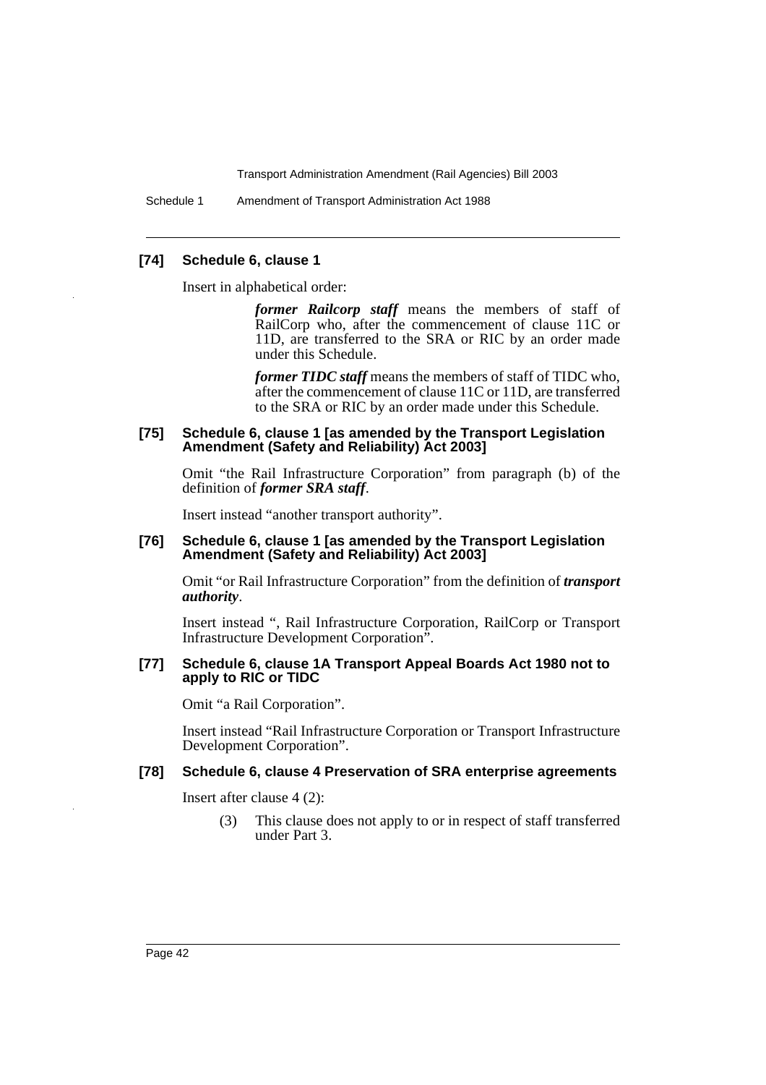Schedule 1 Amendment of Transport Administration Act 1988

#### **[74] Schedule 6, clause 1**

Insert in alphabetical order:

*former Railcorp staff* means the members of staff of RailCorp who, after the commencement of clause 11C or 11D, are transferred to the SRA or RIC by an order made under this Schedule.

*former TIDC staff* means the members of staff of TIDC who, after the commencement of clause 11C or 11D, are transferred to the SRA or RIC by an order made under this Schedule.

#### **[75] Schedule 6, clause 1 [as amended by the Transport Legislation Amendment (Safety and Reliability) Act 2003]**

Omit "the Rail Infrastructure Corporation" from paragraph (b) of the definition of *former SRA staff*.

Insert instead "another transport authority".

#### **[76] Schedule 6, clause 1 [as amended by the Transport Legislation Amendment (Safety and Reliability) Act 2003]**

Omit "or Rail Infrastructure Corporation" from the definition of *transport authority*.

Insert instead ", Rail Infrastructure Corporation, RailCorp or Transport Infrastructure Development Corporation".

#### **[77] Schedule 6, clause 1A Transport Appeal Boards Act 1980 not to apply to RIC or TIDC**

Omit "a Rail Corporation".

Insert instead "Rail Infrastructure Corporation or Transport Infrastructure Development Corporation".

# **[78] Schedule 6, clause 4 Preservation of SRA enterprise agreements**

Insert after clause 4 (2):

(3) This clause does not apply to or in respect of staff transferred under Part 3.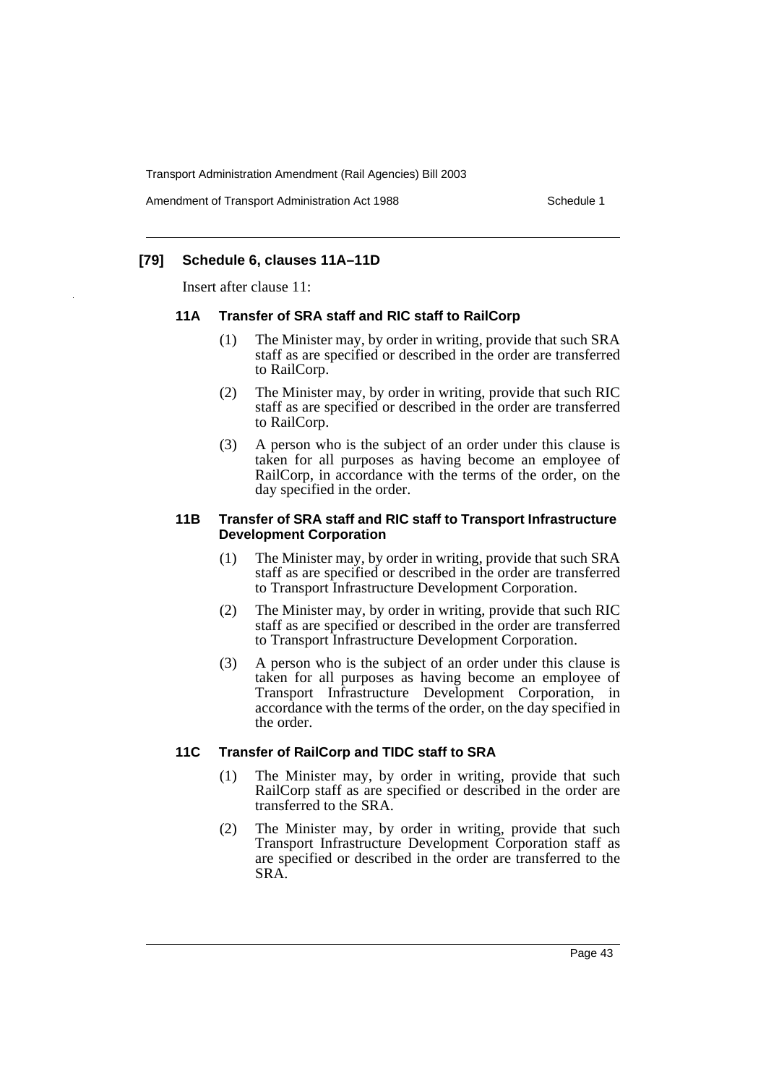Amendment of Transport Administration Act 1988 **Schedule 1** Schedule 1

# **[79] Schedule 6, clauses 11A–11D**

Insert after clause 11:

#### **11A Transfer of SRA staff and RIC staff to RailCorp**

- (1) The Minister may, by order in writing, provide that such SRA staff as are specified or described in the order are transferred to RailCorp.
- (2) The Minister may, by order in writing, provide that such RIC staff as are specified or described in the order are transferred to RailCorp.
- (3) A person who is the subject of an order under this clause is taken for all purposes as having become an employee of RailCorp, in accordance with the terms of the order, on the day specified in the order.

#### **11B Transfer of SRA staff and RIC staff to Transport Infrastructure Development Corporation**

- (1) The Minister may, by order in writing, provide that such SRA staff as are specified or described in the order are transferred to Transport Infrastructure Development Corporation.
- (2) The Minister may, by order in writing, provide that such RIC staff as are specified or described in the order are transferred to Transport Infrastructure Development Corporation.
- (3) A person who is the subject of an order under this clause is taken for all purposes as having become an employee of Transport Infrastructure Development Corporation, in accordance with the terms of the order, on the day specified in the order.

### **11C Transfer of RailCorp and TIDC staff to SRA**

- (1) The Minister may, by order in writing, provide that such RailCorp staff as are specified or described in the order are transferred to the SRA.
- (2) The Minister may, by order in writing, provide that such Transport Infrastructure Development Corporation staff as are specified or described in the order are transferred to the SRA.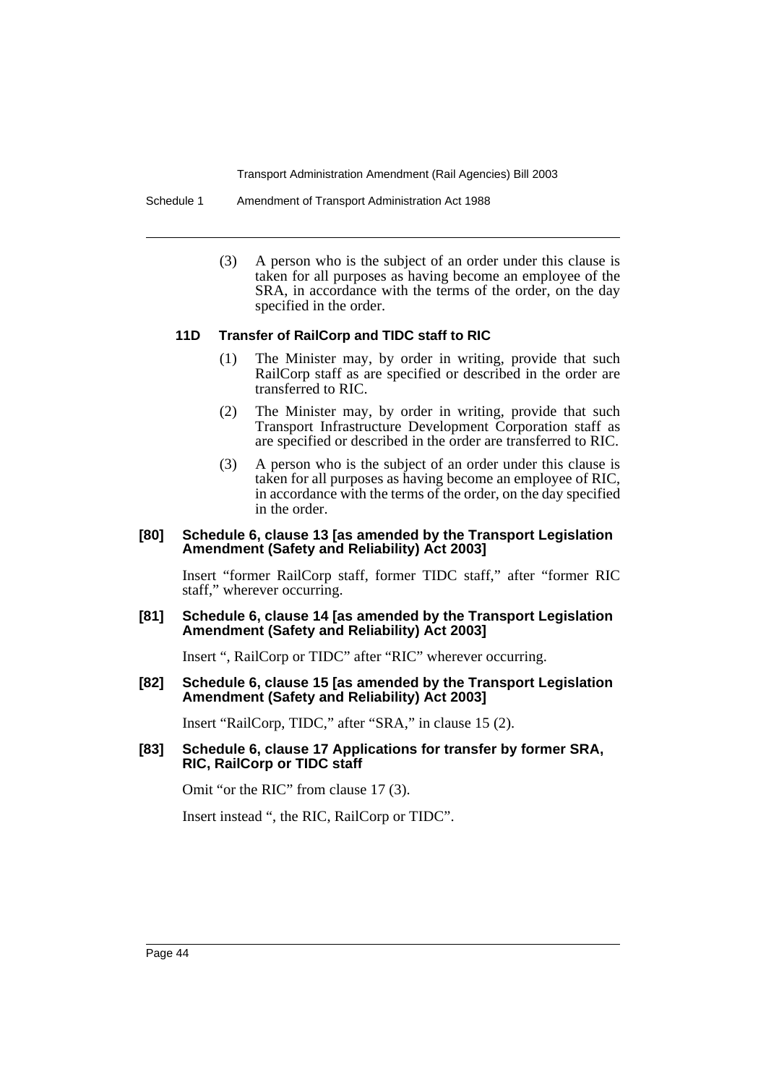Schedule 1 Amendment of Transport Administration Act 1988

(3) A person who is the subject of an order under this clause is taken for all purposes as having become an employee of the SRA, in accordance with the terms of the order, on the day specified in the order.

#### **11D Transfer of RailCorp and TIDC staff to RIC**

- (1) The Minister may, by order in writing, provide that such RailCorp staff as are specified or described in the order are transferred to RIC.
- (2) The Minister may, by order in writing, provide that such Transport Infrastructure Development Corporation staff as are specified or described in the order are transferred to RIC.
- (3) A person who is the subject of an order under this clause is taken for all purposes as having become an employee of RIC, in accordance with the terms of the order, on the day specified in the order.

#### **[80] Schedule 6, clause 13 [as amended by the Transport Legislation Amendment (Safety and Reliability) Act 2003]**

Insert "former RailCorp staff, former TIDC staff," after "former RIC staff," wherever occurring.

#### **[81] Schedule 6, clause 14 [as amended by the Transport Legislation Amendment (Safety and Reliability) Act 2003]**

Insert ", RailCorp or TIDC" after "RIC" wherever occurring.

#### **[82] Schedule 6, clause 15 [as amended by the Transport Legislation Amendment (Safety and Reliability) Act 2003]**

Insert "RailCorp, TIDC," after "SRA," in clause 15 (2).

#### **[83] Schedule 6, clause 17 Applications for transfer by former SRA, RIC, RailCorp or TIDC staff**

Omit "or the RIC" from clause 17 (3).

Insert instead ", the RIC, RailCorp or TIDC".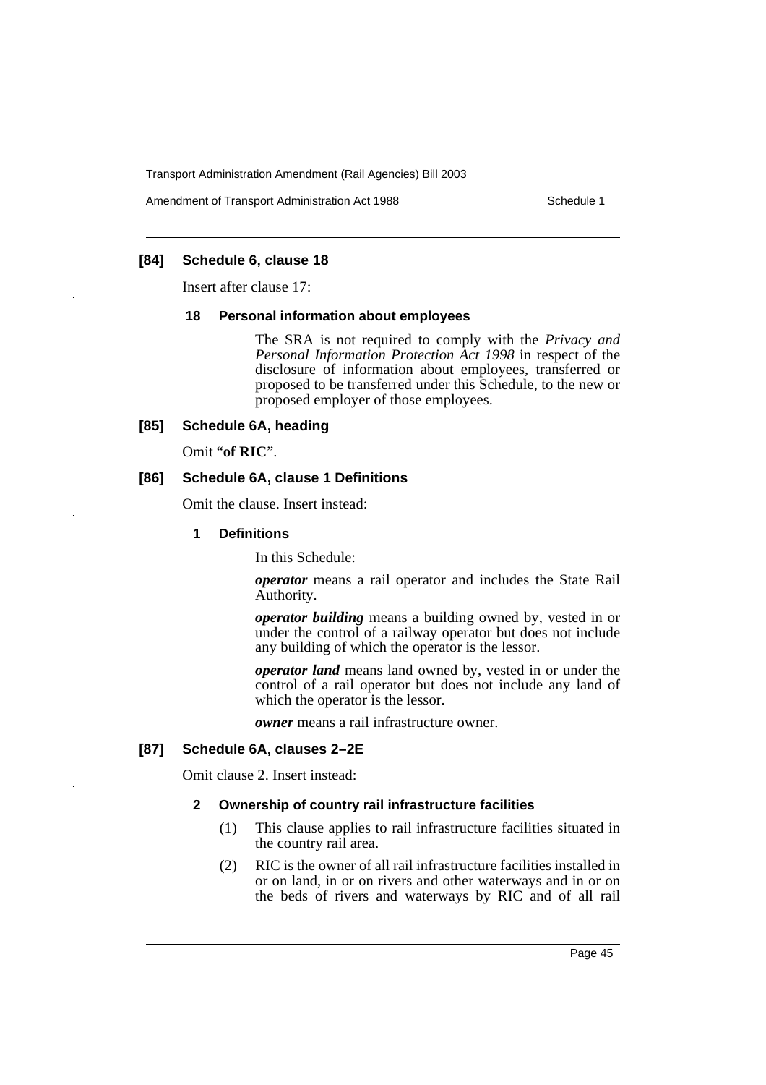Amendment of Transport Administration Act 1988 **Schedule 1** Schedule 1

# **[84] Schedule 6, clause 18**

Insert after clause 17:

#### **18 Personal information about employees**

The SRA is not required to comply with the *Privacy and Personal Information Protection Act 1998* in respect of the disclosure of information about employees, transferred or proposed to be transferred under this Schedule, to the new or proposed employer of those employees.

#### **[85] Schedule 6A, heading**

Omit "**of RIC**".

### **[86] Schedule 6A, clause 1 Definitions**

Omit the clause. Insert instead:

#### **1 Definitions**

In this Schedule:

*operator* means a rail operator and includes the State Rail Authority.

*operator building* means a building owned by, vested in or under the control of a railway operator but does not include any building of which the operator is the lessor.

*operator land* means land owned by, vested in or under the control of a rail operator but does not include any land of which the operator is the lessor.

*owner* means a rail infrastructure owner.

#### **[87] Schedule 6A, clauses 2–2E**

Omit clause 2. Insert instead:

#### **2 Ownership of country rail infrastructure facilities**

- (1) This clause applies to rail infrastructure facilities situated in the country rail area.
- (2) RIC is the owner of all rail infrastructure facilities installed in or on land, in or on rivers and other waterways and in or on the beds of rivers and waterways by RIC and of all rail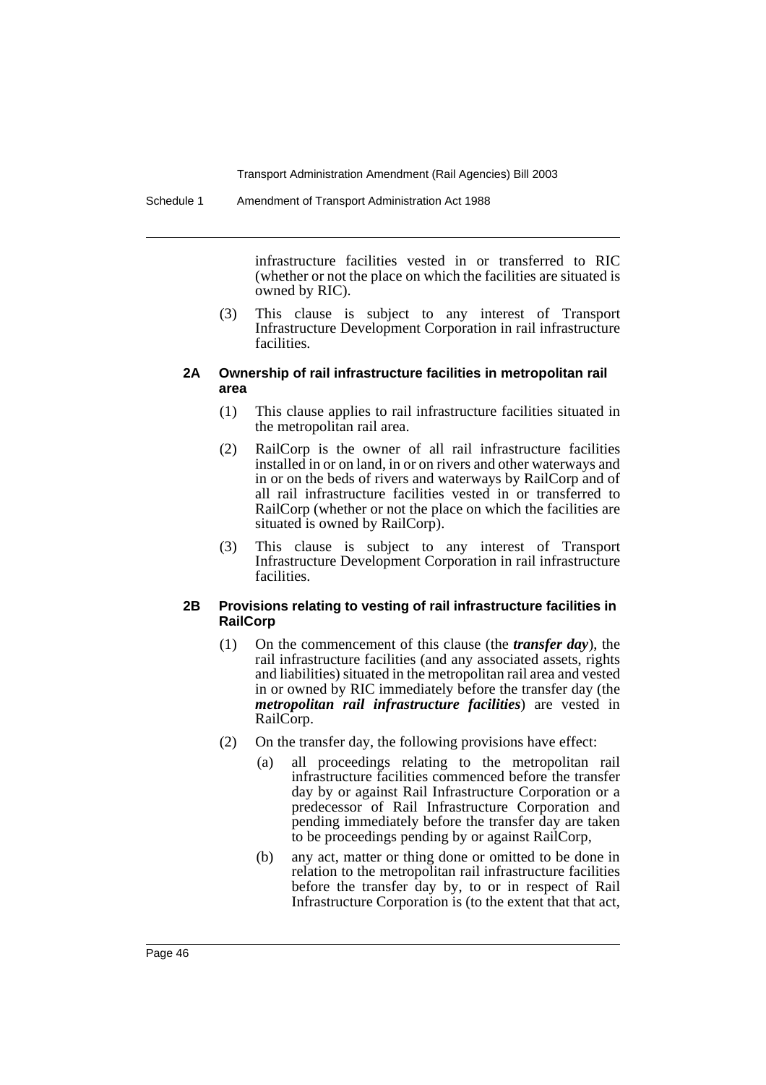infrastructure facilities vested in or transferred to RIC (whether or not the place on which the facilities are situated is owned by RIC).

(3) This clause is subject to any interest of Transport Infrastructure Development Corporation in rail infrastructure facilities.

#### **2A Ownership of rail infrastructure facilities in metropolitan rail area**

- (1) This clause applies to rail infrastructure facilities situated in the metropolitan rail area.
- (2) RailCorp is the owner of all rail infrastructure facilities installed in or on land, in or on rivers and other waterways and in or on the beds of rivers and waterways by RailCorp and of all rail infrastructure facilities vested in or transferred to RailCorp (whether or not the place on which the facilities are situated is owned by RailCorp).
- (3) This clause is subject to any interest of Transport Infrastructure Development Corporation in rail infrastructure facilities.

#### **2B Provisions relating to vesting of rail infrastructure facilities in RailCorp**

- (1) On the commencement of this clause (the *transfer day*), the rail infrastructure facilities (and any associated assets, rights and liabilities) situated in the metropolitan rail area and vested in or owned by RIC immediately before the transfer day (the *metropolitan rail infrastructure facilities*) are vested in RailCorp.
- (2) On the transfer day, the following provisions have effect:
	- (a) all proceedings relating to the metropolitan rail infrastructure facilities commenced before the transfer day by or against Rail Infrastructure Corporation or a predecessor of Rail Infrastructure Corporation and pending immediately before the transfer day are taken to be proceedings pending by or against RailCorp,
	- (b) any act, matter or thing done or omitted to be done in relation to the metropolitan rail infrastructure facilities before the transfer day by, to or in respect of Rail Infrastructure Corporation is (to the extent that that act,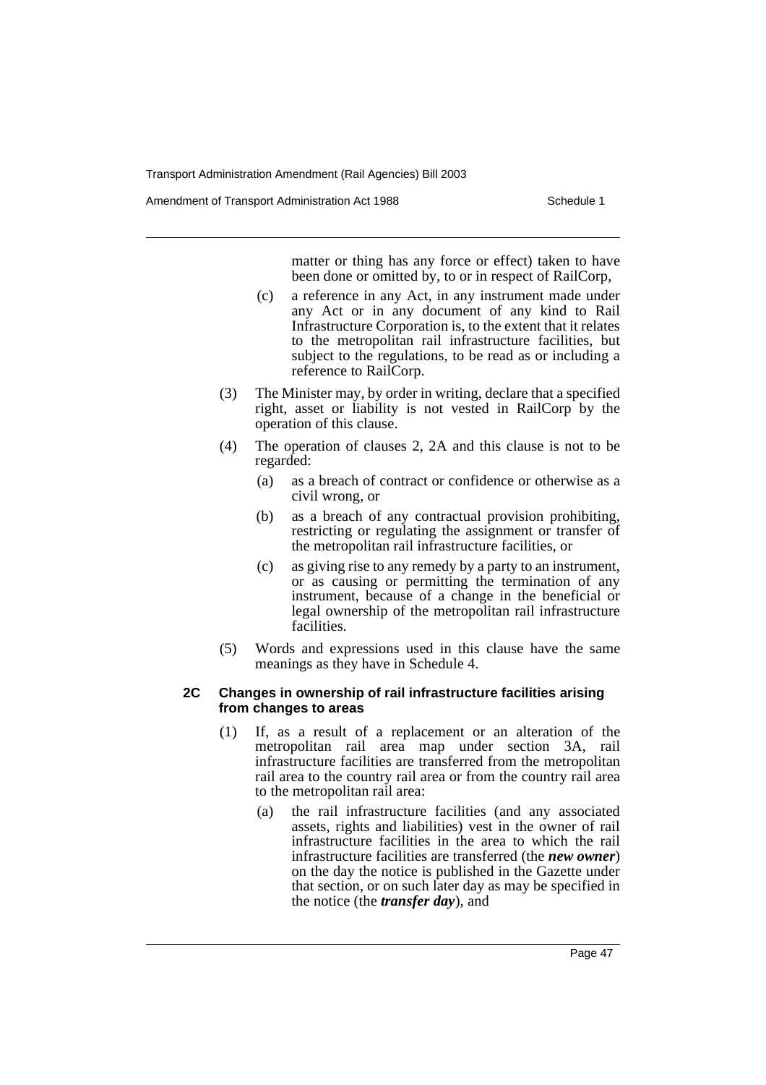Amendment of Transport Administration Act 1988 **Schedule 1** Schedule 1

matter or thing has any force or effect) taken to have been done or omitted by, to or in respect of RailCorp,

- (c) a reference in any Act, in any instrument made under any Act or in any document of any kind to Rail Infrastructure Corporation is, to the extent that it relates to the metropolitan rail infrastructure facilities, but subject to the regulations, to be read as or including a reference to RailCorp.
- (3) The Minister may, by order in writing, declare that a specified right, asset or liability is not vested in RailCorp by the operation of this clause.
- (4) The operation of clauses 2, 2A and this clause is not to be regarded:
	- (a) as a breach of contract or confidence or otherwise as a civil wrong, or
	- (b) as a breach of any contractual provision prohibiting, restricting or regulating the assignment or transfer of the metropolitan rail infrastructure facilities, or
	- (c) as giving rise to any remedy by a party to an instrument, or as causing or permitting the termination of any instrument, because of a change in the beneficial or legal ownership of the metropolitan rail infrastructure facilities.
- (5) Words and expressions used in this clause have the same meanings as they have in Schedule 4.

### **2C Changes in ownership of rail infrastructure facilities arising from changes to areas**

- (1) If, as a result of a replacement or an alteration of the metropolitan rail area map under section 3A, rail infrastructure facilities are transferred from the metropolitan rail area to the country rail area or from the country rail area to the metropolitan rail area:
	- (a) the rail infrastructure facilities (and any associated assets, rights and liabilities) vest in the owner of rail infrastructure facilities in the area to which the rail infrastructure facilities are transferred (the *new owner*) on the day the notice is published in the Gazette under that section, or on such later day as may be specified in the notice (the *transfer day*), and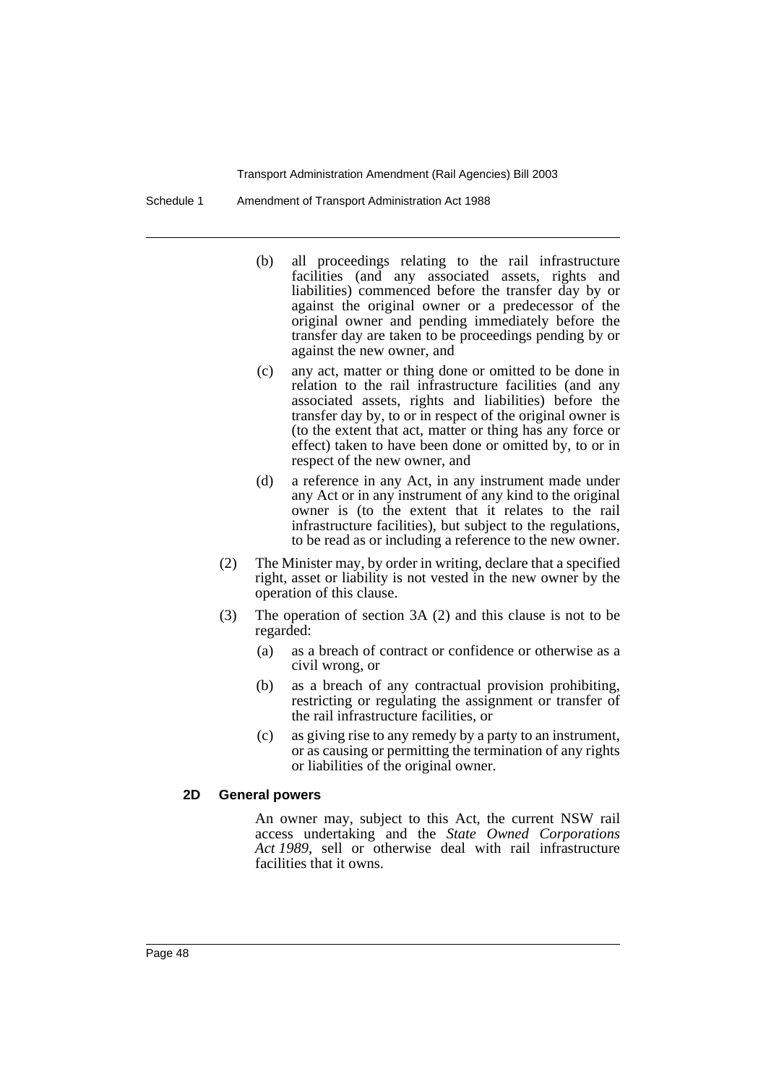Schedule 1 Amendment of Transport Administration Act 1988

- (b) all proceedings relating to the rail infrastructure facilities (and any associated assets, rights and liabilities) commenced before the transfer day by or against the original owner or a predecessor of the original owner and pending immediately before the transfer day are taken to be proceedings pending by or against the new owner, and
- (c) any act, matter or thing done or omitted to be done in relation to the rail infrastructure facilities (and any associated assets, rights and liabilities) before the transfer day by, to or in respect of the original owner is (to the extent that act, matter or thing has any force or effect) taken to have been done or omitted by, to or in respect of the new owner, and
- (d) a reference in any Act, in any instrument made under any Act or in any instrument of any kind to the original owner is (to the extent that it relates to the rail infrastructure facilities), but subject to the regulations, to be read as or including a reference to the new owner.
- (2) The Minister may, by order in writing, declare that a specified right, asset or liability is not vested in the new owner by the operation of this clause.
- (3) The operation of section 3A (2) and this clause is not to be regarded:
	- (a) as a breach of contract or confidence or otherwise as a civil wrong, or
	- (b) as a breach of any contractual provision prohibiting, restricting or regulating the assignment or transfer of the rail infrastructure facilities, or
	- (c) as giving rise to any remedy by a party to an instrument, or as causing or permitting the termination of any rights or liabilities of the original owner.

#### **2D General powers**

An owner may, subject to this Act, the current NSW rail access undertaking and the *State Owned Corporations Act 1989*, sell or otherwise deal with rail infrastructure facilities that it owns.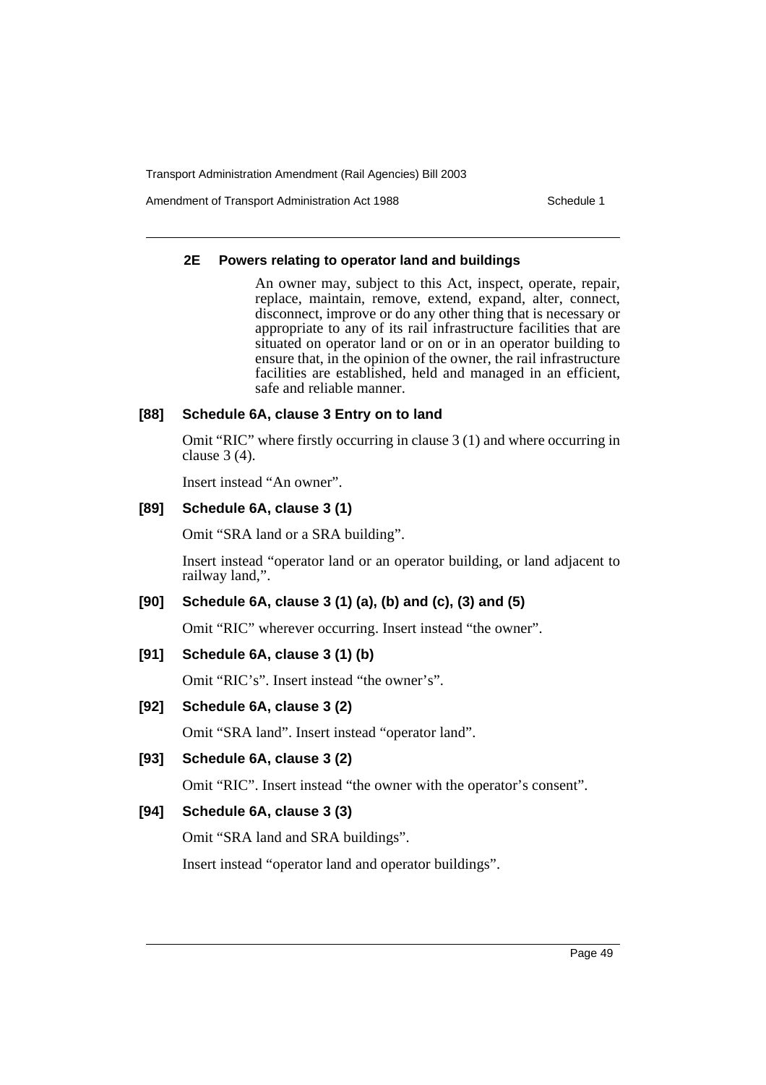Amendment of Transport Administration Act 1988 **Schedule 1** Schedule 1

#### **2E Powers relating to operator land and buildings**

An owner may, subject to this Act, inspect, operate, repair, replace, maintain, remove, extend, expand, alter, connect, disconnect, improve or do any other thing that is necessary or appropriate to any of its rail infrastructure facilities that are situated on operator land or on or in an operator building to ensure that, in the opinion of the owner, the rail infrastructure facilities are established, held and managed in an efficient, safe and reliable manner.

### **[88] Schedule 6A, clause 3 Entry on to land**

Omit "RIC" where firstly occurring in clause 3 (1) and where occurring in clause 3 (4).

Insert instead "An owner".

# **[89] Schedule 6A, clause 3 (1)**

Omit "SRA land or a SRA building".

Insert instead "operator land or an operator building, or land adjacent to railway land,".

# **[90] Schedule 6A, clause 3 (1) (a), (b) and (c), (3) and (5)**

Omit "RIC" wherever occurring. Insert instead "the owner".

#### **[91] Schedule 6A, clause 3 (1) (b)**

Omit "RIC's". Insert instead "the owner's".

### **[92] Schedule 6A, clause 3 (2)**

Omit "SRA land". Insert instead "operator land".

### **[93] Schedule 6A, clause 3 (2)**

Omit "RIC". Insert instead "the owner with the operator's consent".

### **[94] Schedule 6A, clause 3 (3)**

Omit "SRA land and SRA buildings".

Insert instead "operator land and operator buildings".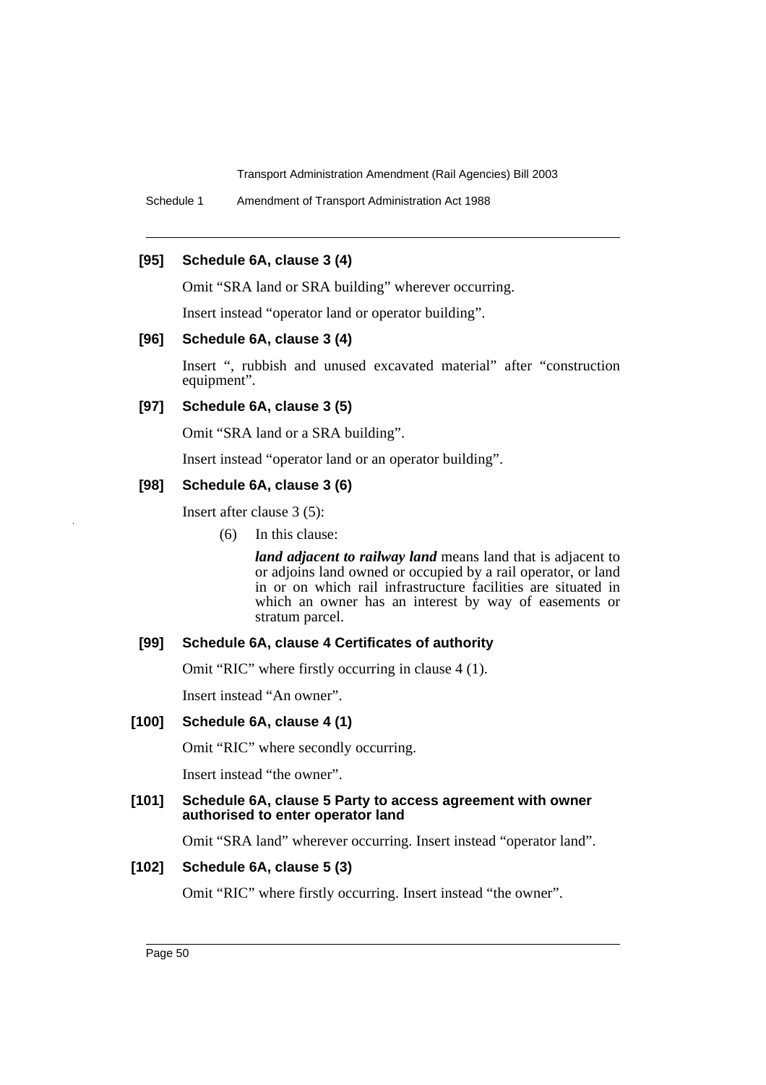Schedule 1 Amendment of Transport Administration Act 1988

### **[95] Schedule 6A, clause 3 (4)**

Omit "SRA land or SRA building" wherever occurring.

Insert instead "operator land or operator building".

# **[96] Schedule 6A, clause 3 (4)**

Insert ", rubbish and unused excavated material" after "construction equipment".

#### **[97] Schedule 6A, clause 3 (5)**

Omit "SRA land or a SRA building".

Insert instead "operator land or an operator building".

### **[98] Schedule 6A, clause 3 (6)**

Insert after clause 3 (5):

(6) In this clause:

*land adjacent to railway land* means land that is adjacent to or adjoins land owned or occupied by a rail operator, or land in or on which rail infrastructure facilities are situated in which an owner has an interest by way of easements or stratum parcel.

#### **[99] Schedule 6A, clause 4 Certificates of authority**

Omit "RIC" where firstly occurring in clause 4 (1).

Insert instead "An owner".

# **[100] Schedule 6A, clause 4 (1)**

Omit "RIC" where secondly occurring.

Insert instead "the owner".

#### **[101] Schedule 6A, clause 5 Party to access agreement with owner authorised to enter operator land**

Omit "SRA land" wherever occurring. Insert instead "operator land".

#### **[102] Schedule 6A, clause 5 (3)**

Omit "RIC" where firstly occurring. Insert instead "the owner".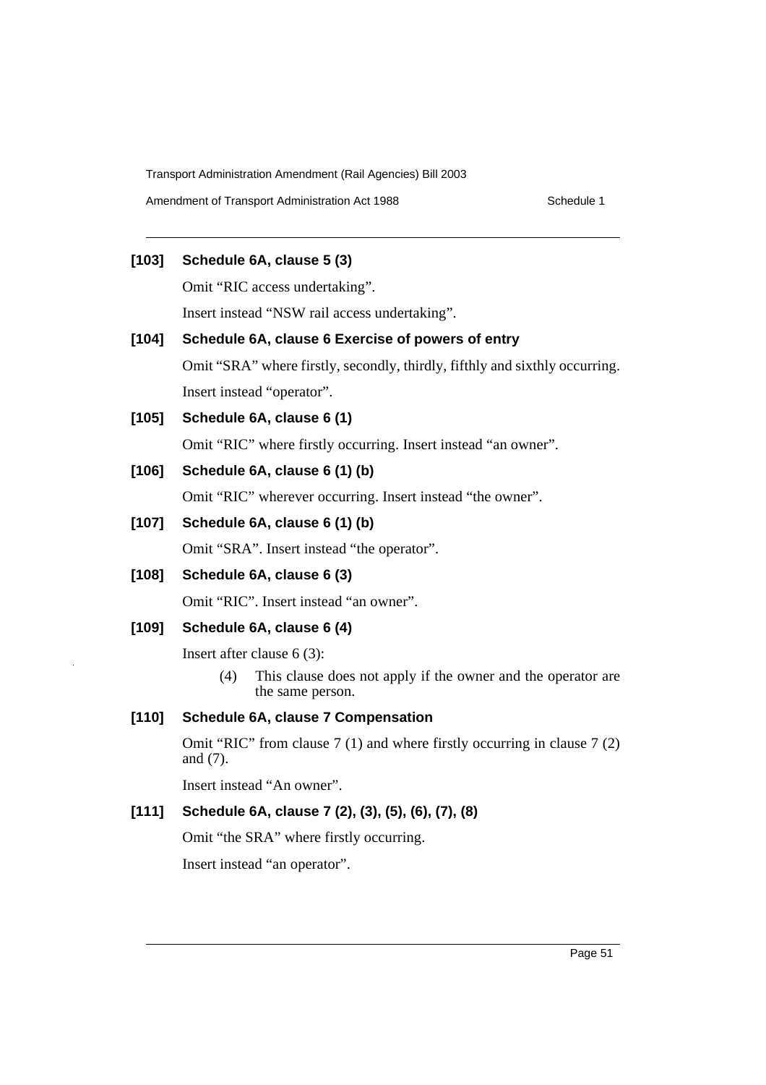Amendment of Transport Administration Act 1988 Schedule 1

# **[103] Schedule 6A, clause 5 (3)**

Omit "RIC access undertaking".

Insert instead "NSW rail access undertaking".

# **[104] Schedule 6A, clause 6 Exercise of powers of entry**

Omit "SRA" where firstly, secondly, thirdly, fifthly and sixthly occurring. Insert instead "operator".

# **[105] Schedule 6A, clause 6 (1)**

Omit "RIC" where firstly occurring. Insert instead "an owner".

# **[106] Schedule 6A, clause 6 (1) (b)**

Omit "RIC" wherever occurring. Insert instead "the owner".

# **[107] Schedule 6A, clause 6 (1) (b)**

Omit "SRA". Insert instead "the operator".

**[108] Schedule 6A, clause 6 (3)**

Omit "RIC". Insert instead "an owner".

# **[109] Schedule 6A, clause 6 (4)**

Insert after clause 6 (3):

(4) This clause does not apply if the owner and the operator are the same person.

# **[110] Schedule 6A, clause 7 Compensation**

Omit "RIC" from clause 7 (1) and where firstly occurring in clause 7 (2) and (7).

Insert instead "An owner".

# **[111] Schedule 6A, clause 7 (2), (3), (5), (6), (7), (8)**

Omit "the SRA" where firstly occurring.

Insert instead "an operator".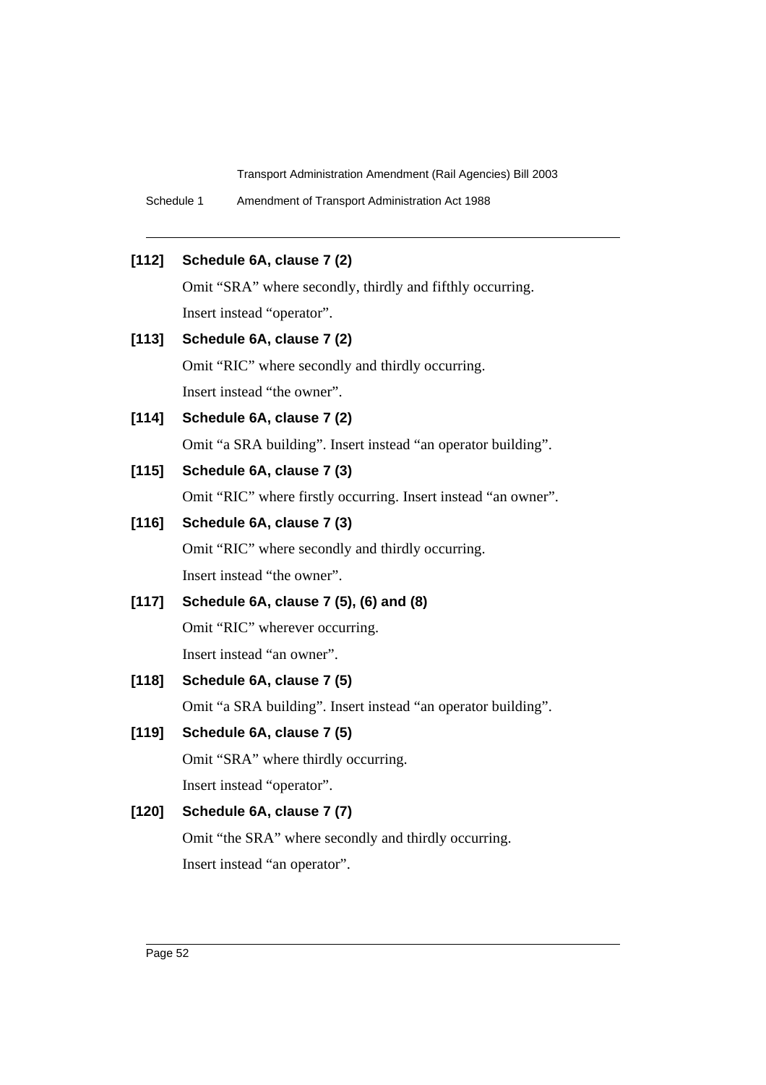Schedule 1 Amendment of Transport Administration Act 1988

# **[112] Schedule 6A, clause 7 (2)**

Omit "SRA" where secondly, thirdly and fifthly occurring. Insert instead "operator".

# **[113] Schedule 6A, clause 7 (2)**

Omit "RIC" where secondly and thirdly occurring. Insert instead "the owner".

#### **[114] Schedule 6A, clause 7 (2)**

Omit "a SRA building". Insert instead "an operator building".

# **[115] Schedule 6A, clause 7 (3)**

Omit "RIC" where firstly occurring. Insert instead "an owner".

# **[116] Schedule 6A, clause 7 (3)**

Omit "RIC" where secondly and thirdly occurring. Insert instead "the owner".

# **[117] Schedule 6A, clause 7 (5), (6) and (8)**

Omit "RIC" wherever occurring. Insert instead "an owner".

#### **[118] Schedule 6A, clause 7 (5)**

Omit "a SRA building". Insert instead "an operator building".

# **[119] Schedule 6A, clause 7 (5)**

Omit "SRA" where thirdly occurring. Insert instead "operator".

# **[120] Schedule 6A, clause 7 (7)**

Omit "the SRA" where secondly and thirdly occurring. Insert instead "an operator".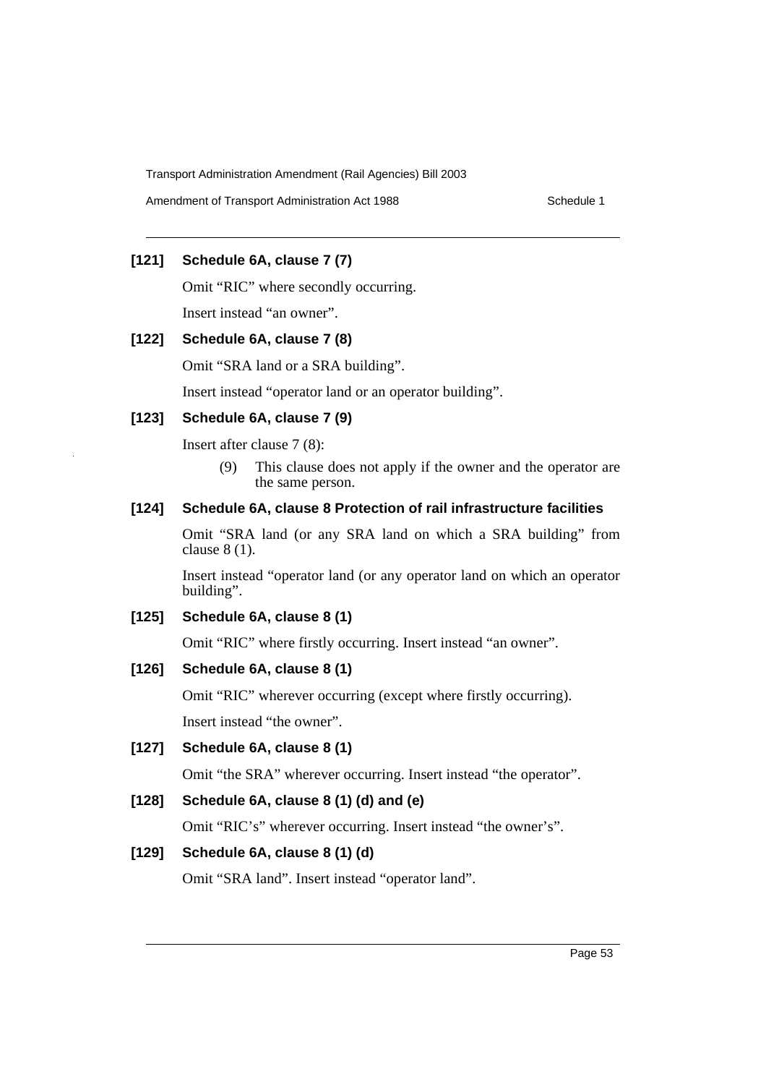Amendment of Transport Administration Act 1988 Schedule 1

# **[121] Schedule 6A, clause 7 (7)**

Omit "RIC" where secondly occurring.

Insert instead "an owner".

# **[122] Schedule 6A, clause 7 (8)**

Omit "SRA land or a SRA building".

Insert instead "operator land or an operator building".

# **[123] Schedule 6A, clause 7 (9)**

Insert after clause 7 (8):

(9) This clause does not apply if the owner and the operator are the same person.

# **[124] Schedule 6A, clause 8 Protection of rail infrastructure facilities**

Omit "SRA land (or any SRA land on which a SRA building" from clause 8 (1).

Insert instead "operator land (or any operator land on which an operator building".

# **[125] Schedule 6A, clause 8 (1)**

Omit "RIC" where firstly occurring. Insert instead "an owner".

# **[126] Schedule 6A, clause 8 (1)**

Omit "RIC" wherever occurring (except where firstly occurring).

Insert instead "the owner".

**[127] Schedule 6A, clause 8 (1)**

Omit "the SRA" wherever occurring. Insert instead "the operator".

# **[128] Schedule 6A, clause 8 (1) (d) and (e)**

Omit "RIC's" wherever occurring. Insert instead "the owner's".

# **[129] Schedule 6A, clause 8 (1) (d)**

Omit "SRA land". Insert instead "operator land".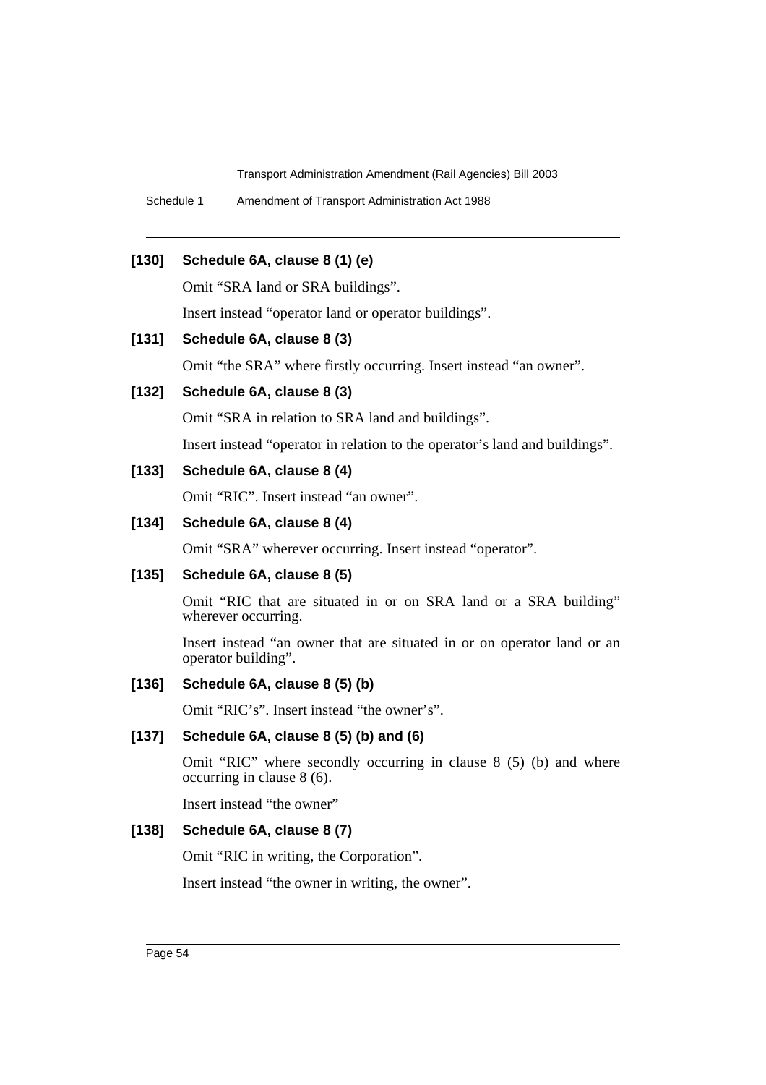Schedule 1 Amendment of Transport Administration Act 1988

# **[130] Schedule 6A, clause 8 (1) (e)**

Omit "SRA land or SRA buildings".

Insert instead "operator land or operator buildings".

# **[131] Schedule 6A, clause 8 (3)**

Omit "the SRA" where firstly occurring. Insert instead "an owner".

### **[132] Schedule 6A, clause 8 (3)**

Omit "SRA in relation to SRA land and buildings".

Insert instead "operator in relation to the operator's land and buildings".

# **[133] Schedule 6A, clause 8 (4)**

Omit "RIC". Insert instead "an owner".

# **[134] Schedule 6A, clause 8 (4)**

Omit "SRA" wherever occurring. Insert instead "operator".

#### **[135] Schedule 6A, clause 8 (5)**

Omit "RIC that are situated in or on SRA land or a SRA building" wherever occurring.

Insert instead "an owner that are situated in or on operator land or an operator building".

#### **[136] Schedule 6A, clause 8 (5) (b)**

Omit "RIC's". Insert instead "the owner's".

# **[137] Schedule 6A, clause 8 (5) (b) and (6)**

Omit "RIC" where secondly occurring in clause 8 (5) (b) and where occurring in clause 8 (6).

Insert instead "the owner"

# **[138] Schedule 6A, clause 8 (7)**

Omit "RIC in writing, the Corporation".

Insert instead "the owner in writing, the owner".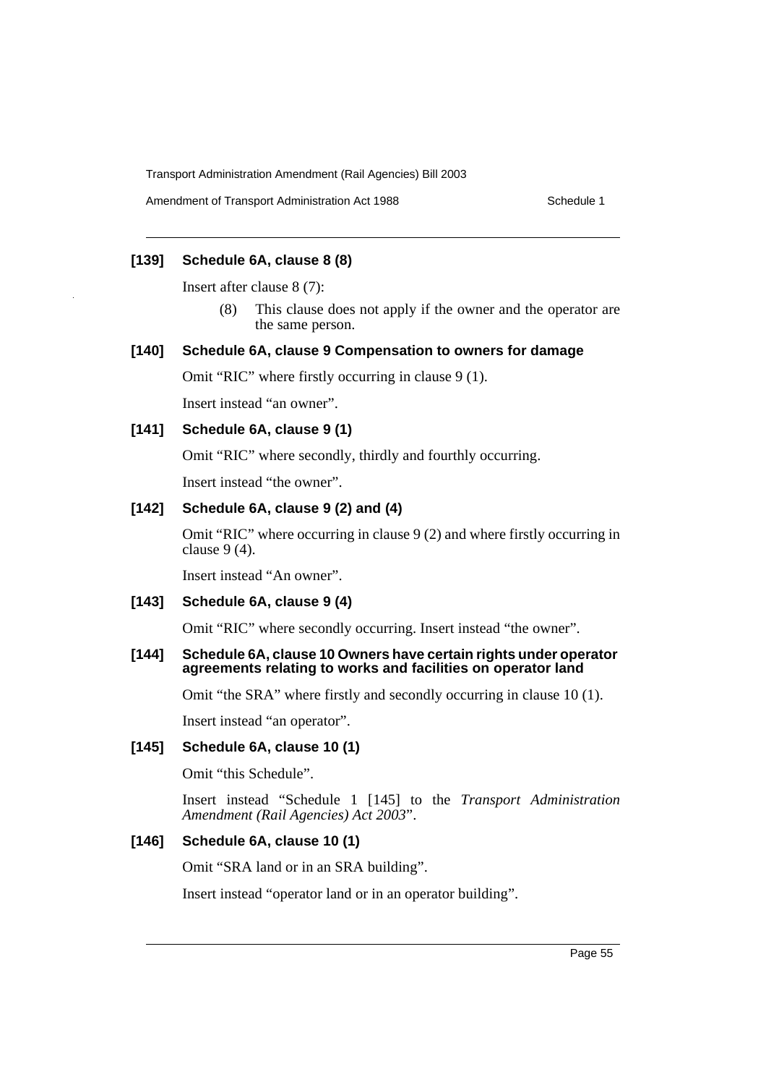# **[139] Schedule 6A, clause 8 (8)**

Insert after clause 8 (7):

(8) This clause does not apply if the owner and the operator are the same person.

### **[140] Schedule 6A, clause 9 Compensation to owners for damage**

Omit "RIC" where firstly occurring in clause 9 (1).

Insert instead "an owner".

# **[141] Schedule 6A, clause 9 (1)**

Omit "RIC" where secondly, thirdly and fourthly occurring.

Insert instead "the owner".

# **[142] Schedule 6A, clause 9 (2) and (4)**

Omit "RIC" where occurring in clause 9 (2) and where firstly occurring in clause 9 (4).

Insert instead "An owner".

#### **[143] Schedule 6A, clause 9 (4)**

Omit "RIC" where secondly occurring. Insert instead "the owner".

#### **[144] Schedule 6A, clause 10 Owners have certain rights under operator agreements relating to works and facilities on operator land**

Omit "the SRA" where firstly and secondly occurring in clause 10 (1).

Insert instead "an operator".

### **[145] Schedule 6A, clause 10 (1)**

Omit "this Schedule".

Insert instead "Schedule 1 [145] to the *Transport Administration Amendment (Rail Agencies) Act 2003*".

#### **[146] Schedule 6A, clause 10 (1)**

Omit "SRA land or in an SRA building".

Insert instead "operator land or in an operator building".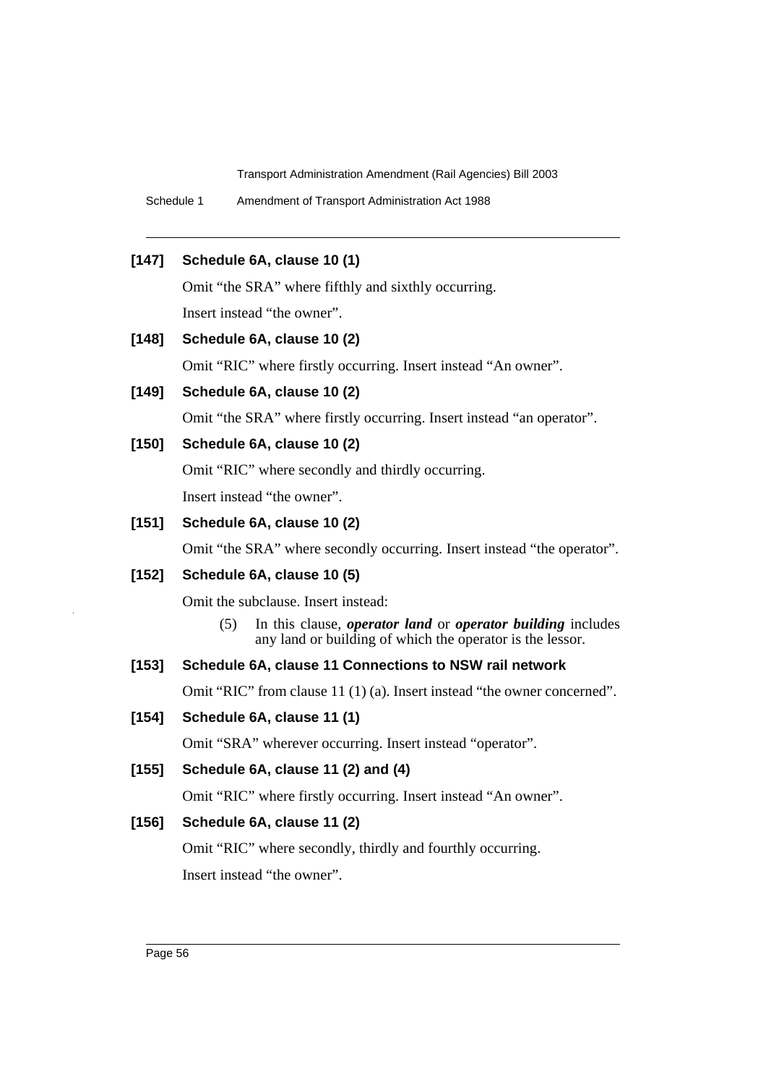Schedule 1 Amendment of Transport Administration Act 1988

### **[147] Schedule 6A, clause 10 (1)**

Omit "the SRA" where fifthly and sixthly occurring.

Insert instead "the owner".

# **[148] Schedule 6A, clause 10 (2)**

Omit "RIC" where firstly occurring. Insert instead "An owner".

# **[149] Schedule 6A, clause 10 (2)**

Omit "the SRA" where firstly occurring. Insert instead "an operator".

# **[150] Schedule 6A, clause 10 (2)**

Omit "RIC" where secondly and thirdly occurring.

Insert instead "the owner".

# **[151] Schedule 6A, clause 10 (2)**

Omit "the SRA" where secondly occurring. Insert instead "the operator".

### **[152] Schedule 6A, clause 10 (5)**

Omit the subclause. Insert instead:

(5) In this clause, *operator land* or *operator building* includes any land or building of which the operator is the lessor.

# **[153] Schedule 6A, clause 11 Connections to NSW rail network**

Omit "RIC" from clause 11 (1) (a). Insert instead "the owner concerned".

# **[154] Schedule 6A, clause 11 (1)**

Omit "SRA" wherever occurring. Insert instead "operator".

### **[155] Schedule 6A, clause 11 (2) and (4)**

Omit "RIC" where firstly occurring. Insert instead "An owner".

# **[156] Schedule 6A, clause 11 (2)**

Omit "RIC" where secondly, thirdly and fourthly occurring. Insert instead "the owner".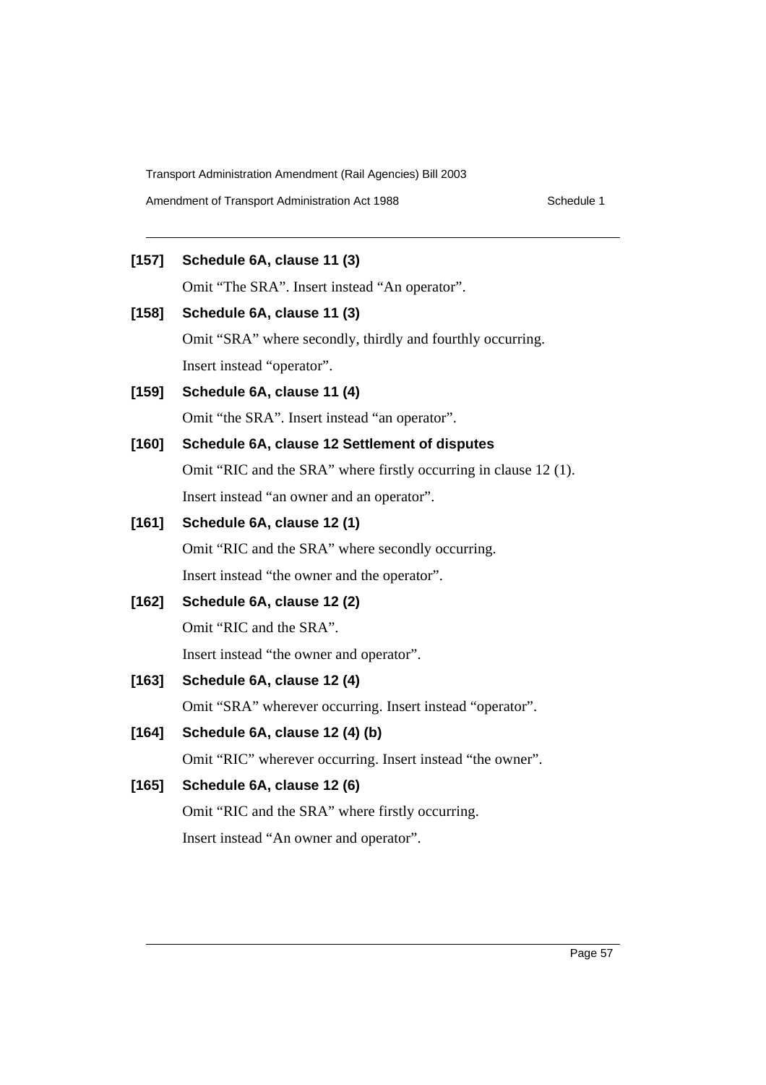# **[157] Schedule 6A, clause 11 (3)**

Omit "The SRA". Insert instead "An operator".

# **[158] Schedule 6A, clause 11 (3)**

Omit "SRA" where secondly, thirdly and fourthly occurring. Insert instead "operator".

**[159] Schedule 6A, clause 11 (4)** Omit "the SRA". Insert instead "an operator".

# **[160] Schedule 6A, clause 12 Settlement of disputes**

Omit "RIC and the SRA" where firstly occurring in clause 12 (1). Insert instead "an owner and an operator".

# **[161] Schedule 6A, clause 12 (1)**

Omit "RIC and the SRA" where secondly occurring. Insert instead "the owner and the operator".

# **[162] Schedule 6A, clause 12 (2)**

Omit "RIC and the SRA".

Insert instead "the owner and operator".

# **[163] Schedule 6A, clause 12 (4)**

Omit "SRA" wherever occurring. Insert instead "operator".

# **[164] Schedule 6A, clause 12 (4) (b)**

Omit "RIC" wherever occurring. Insert instead "the owner".

# **[165] Schedule 6A, clause 12 (6)**

Omit "RIC and the SRA" where firstly occurring. Insert instead "An owner and operator".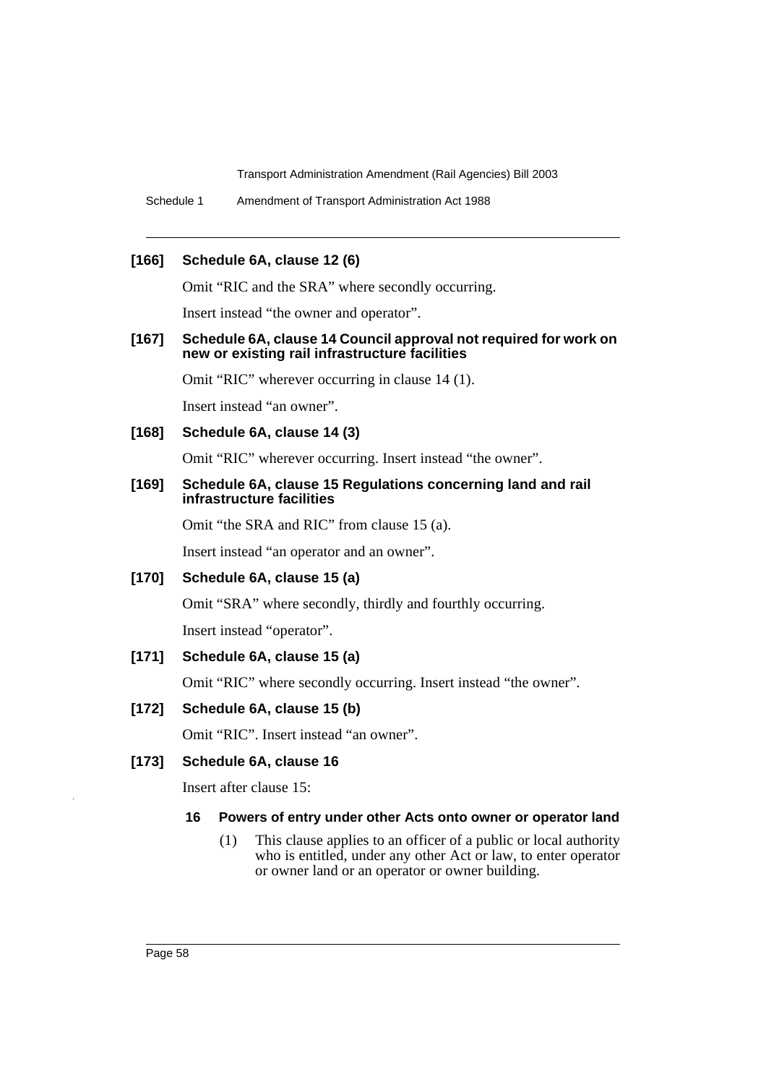Schedule 1 Amendment of Transport Administration Act 1988

### **[166] Schedule 6A, clause 12 (6)**

Omit "RIC and the SRA" where secondly occurring.

Insert instead "the owner and operator".

#### **[167] Schedule 6A, clause 14 Council approval not required for work on new or existing rail infrastructure facilities**

Omit "RIC" wherever occurring in clause 14 (1).

Insert instead "an owner".

# **[168] Schedule 6A, clause 14 (3)**

Omit "RIC" wherever occurring. Insert instead "the owner".

#### **[169] Schedule 6A, clause 15 Regulations concerning land and rail infrastructure facilities**

Omit "the SRA and RIC" from clause 15 (a).

Insert instead "an operator and an owner".

**[170] Schedule 6A, clause 15 (a)**

Omit "SRA" where secondly, thirdly and fourthly occurring.

Insert instead "operator".

### **[171] Schedule 6A, clause 15 (a)**

Omit "RIC" where secondly occurring. Insert instead "the owner".

### **[172] Schedule 6A, clause 15 (b)**

Omit "RIC". Insert instead "an owner".

### **[173] Schedule 6A, clause 16**

Insert after clause 15:

#### **16 Powers of entry under other Acts onto owner or operator land**

(1) This clause applies to an officer of a public or local authority who is entitled, under any other Act or law, to enter operator or owner land or an operator or owner building.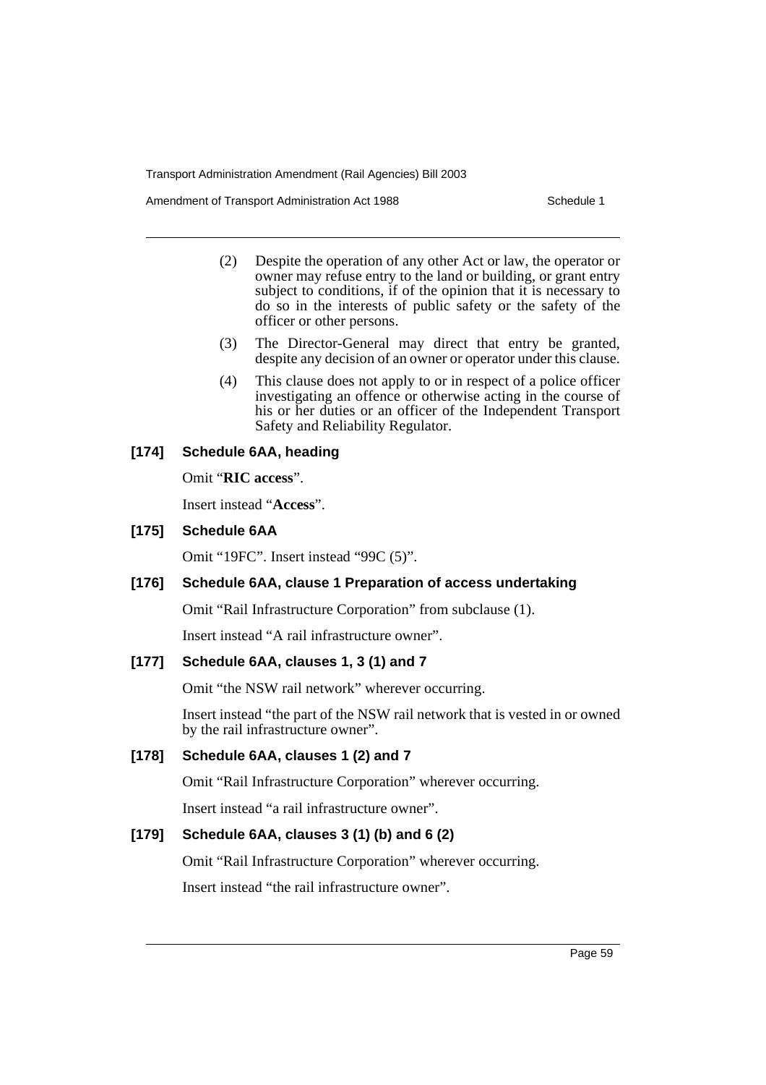Amendment of Transport Administration Act 1988 **Schedule 1** Schedule 1

- (2) Despite the operation of any other Act or law, the operator or owner may refuse entry to the land or building, or grant entry subject to conditions, if of the opinion that it is necessary to do so in the interests of public safety or the safety of the officer or other persons.
- (3) The Director-General may direct that entry be granted, despite any decision of an owner or operator under this clause.
- (4) This clause does not apply to or in respect of a police officer investigating an offence or otherwise acting in the course of his or her duties or an officer of the Independent Transport Safety and Reliability Regulator.

# **[174] Schedule 6AA, heading**

Omit "**RIC access**".

Insert instead "**Access**".

# **[175] Schedule 6AA**

Omit "19FC". Insert instead "99C (5)".

# **[176] Schedule 6AA, clause 1 Preparation of access undertaking**

Omit "Rail Infrastructure Corporation" from subclause (1).

Insert instead "A rail infrastructure owner".

# **[177] Schedule 6AA, clauses 1, 3 (1) and 7**

Omit "the NSW rail network" wherever occurring.

Insert instead "the part of the NSW rail network that is vested in or owned by the rail infrastructure owner".

# **[178] Schedule 6AA, clauses 1 (2) and 7**

Omit "Rail Infrastructure Corporation" wherever occurring.

Insert instead "a rail infrastructure owner".

# **[179] Schedule 6AA, clauses 3 (1) (b) and 6 (2)**

Omit "Rail Infrastructure Corporation" wherever occurring.

Insert instead "the rail infrastructure owner".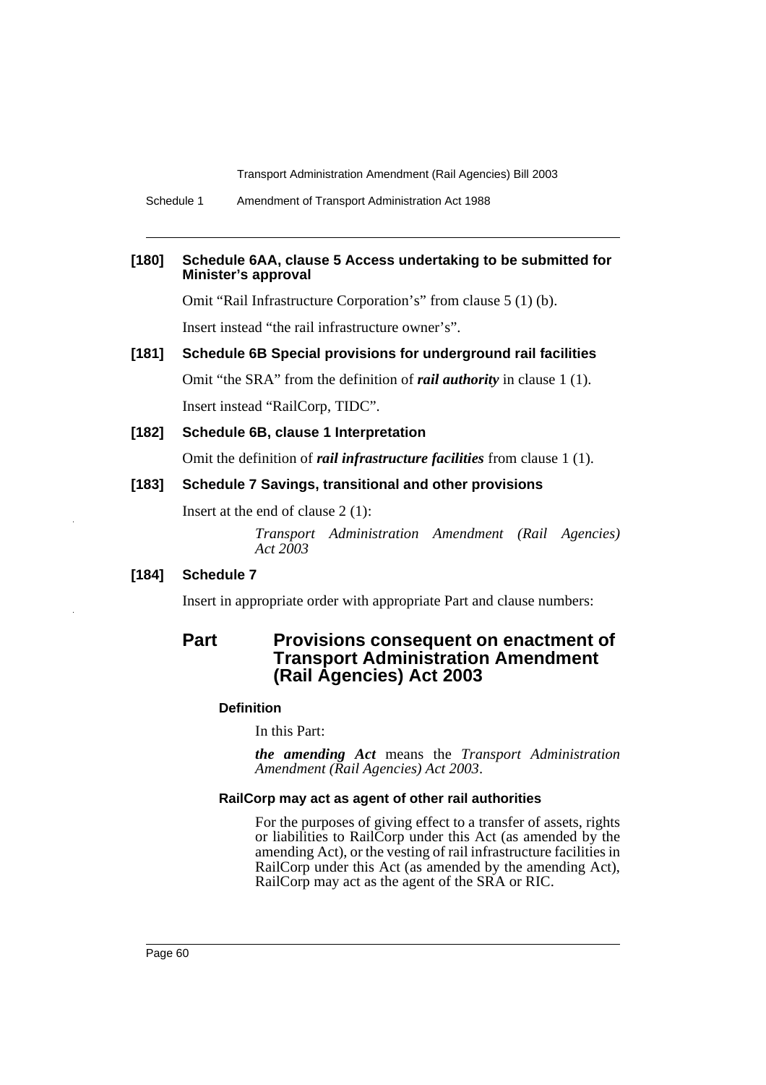Schedule 1 Amendment of Transport Administration Act 1988

### **[180] Schedule 6AA, clause 5 Access undertaking to be submitted for Minister's approval**

Omit "Rail Infrastructure Corporation's" from clause 5 (1) (b).

Insert instead "the rail infrastructure owner's".

# **[181] Schedule 6B Special provisions for underground rail facilities**

Omit "the SRA" from the definition of *rail authority* in clause 1 (1). Insert instead "RailCorp, TIDC".

**[182] Schedule 6B, clause 1 Interpretation**

Omit the definition of *rail infrastructure facilities* from clause 1 (1).

### **[183] Schedule 7 Savings, transitional and other provisions**

Insert at the end of clause 2 (1):

*Transport Administration Amendment (Rail Agencies) Act 2003*

### **[184] Schedule 7**

Insert in appropriate order with appropriate Part and clause numbers:

# **Part Provisions consequent on enactment of Transport Administration Amendment (Rail Agencies) Act 2003**

### **Definition**

In this Part:

*the amending Act* means the *Transport Administration Amendment (Rail Agencies) Act 2003*.

#### **RailCorp may act as agent of other rail authorities**

For the purposes of giving effect to a transfer of assets, rights or liabilities to RailCorp under this Act (as amended by the amending Act), or the vesting of rail infrastructure facilities in RailCorp under this Act (as amended by the amending Act), RailCorp may act as the agent of the SRA or RIC.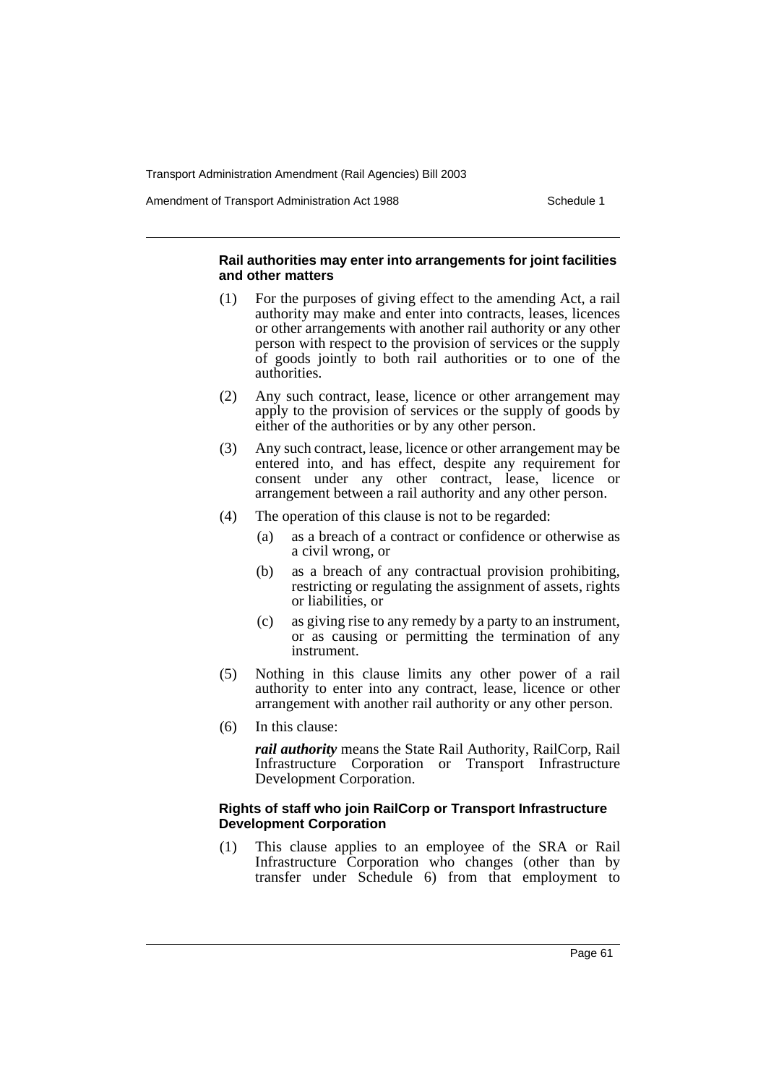Amendment of Transport Administration Act 1988 Schedule 1

#### **Rail authorities may enter into arrangements for joint facilities and other matters**

- (1) For the purposes of giving effect to the amending Act, a rail authority may make and enter into contracts, leases, licences or other arrangements with another rail authority or any other person with respect to the provision of services or the supply of goods jointly to both rail authorities or to one of the authorities.
- (2) Any such contract, lease, licence or other arrangement may apply to the provision of services or the supply of goods by either of the authorities or by any other person.
- (3) Any such contract, lease, licence or other arrangement may be entered into, and has effect, despite any requirement for consent under any other contract, lease, licence or arrangement between a rail authority and any other person.
- (4) The operation of this clause is not to be regarded:
	- (a) as a breach of a contract or confidence or otherwise as a civil wrong, or
	- (b) as a breach of any contractual provision prohibiting, restricting or regulating the assignment of assets, rights or liabilities, or
	- (c) as giving rise to any remedy by a party to an instrument, or as causing or permitting the termination of any instrument.
- (5) Nothing in this clause limits any other power of a rail authority to enter into any contract, lease, licence or other arrangement with another rail authority or any other person.
- (6) In this clause:

*rail authority* means the State Rail Authority, RailCorp, Rail Infrastructure Corporation or Transport Infrastructure Development Corporation.

### **Rights of staff who join RailCorp or Transport Infrastructure Development Corporation**

(1) This clause applies to an employee of the SRA or Rail Infrastructure Corporation who changes (other than by transfer under Schedule 6) from that employment to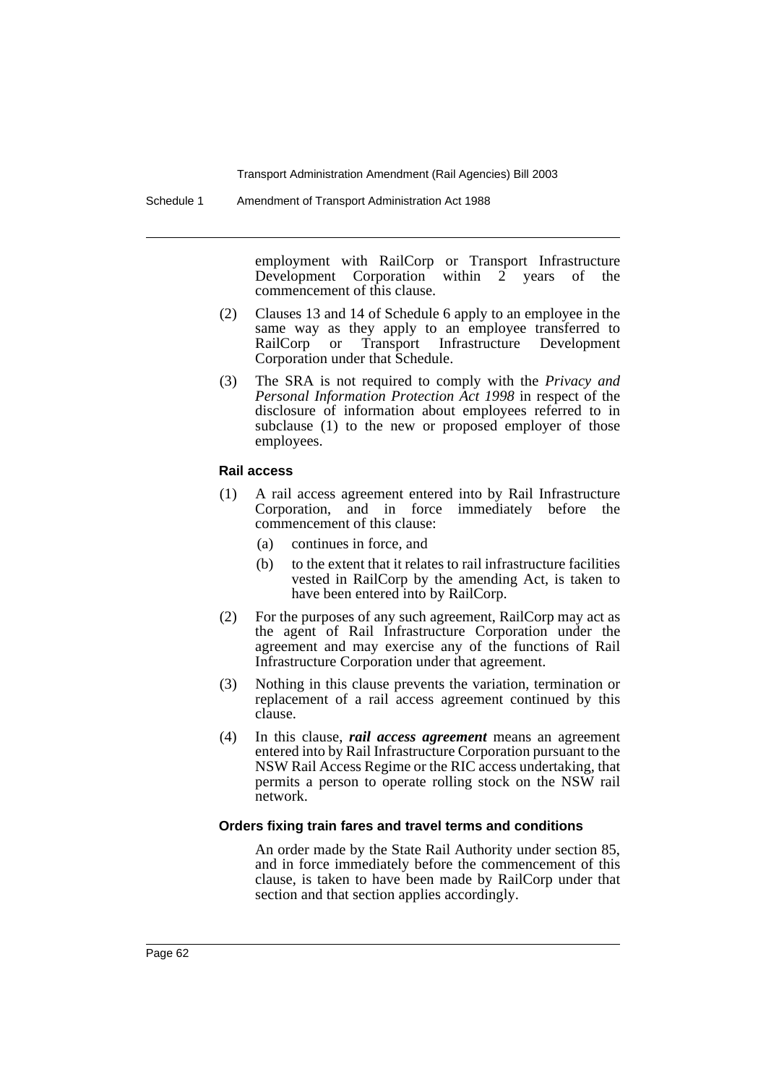Schedule 1 Amendment of Transport Administration Act 1988

employment with RailCorp or Transport Infrastructure Development Corporation within 2 years of the commencement of this clause.

- (2) Clauses 13 and 14 of Schedule 6 apply to an employee in the same way as they apply to an employee transferred to<br>RailCorp or Transport Infrastructure Development RailCorp or Transport Infrastructure Development Corporation under that Schedule.
- (3) The SRA is not required to comply with the *Privacy and Personal Information Protection Act 1998* in respect of the disclosure of information about employees referred to in subclause (1) to the new or proposed employer of those employees.

#### **Rail access**

- (1) A rail access agreement entered into by Rail Infrastructure Corporation, and in force immediately before the commencement of this clause:
	- (a) continues in force, and
	- (b) to the extent that it relates to rail infrastructure facilities vested in RailCorp by the amending Act, is taken to have been entered into by RailCorp.
- (2) For the purposes of any such agreement, RailCorp may act as the agent of Rail Infrastructure Corporation under the agreement and may exercise any of the functions of Rail Infrastructure Corporation under that agreement.
- (3) Nothing in this clause prevents the variation, termination or replacement of a rail access agreement continued by this clause.
- (4) In this clause, *rail access agreement* means an agreement entered into by Rail Infrastructure Corporation pursuant to the NSW Rail Access Regime or the RIC access undertaking, that permits a person to operate rolling stock on the NSW rail network.

#### **Orders fixing train fares and travel terms and conditions**

An order made by the State Rail Authority under section 85, and in force immediately before the commencement of this clause, is taken to have been made by RailCorp under that section and that section applies accordingly.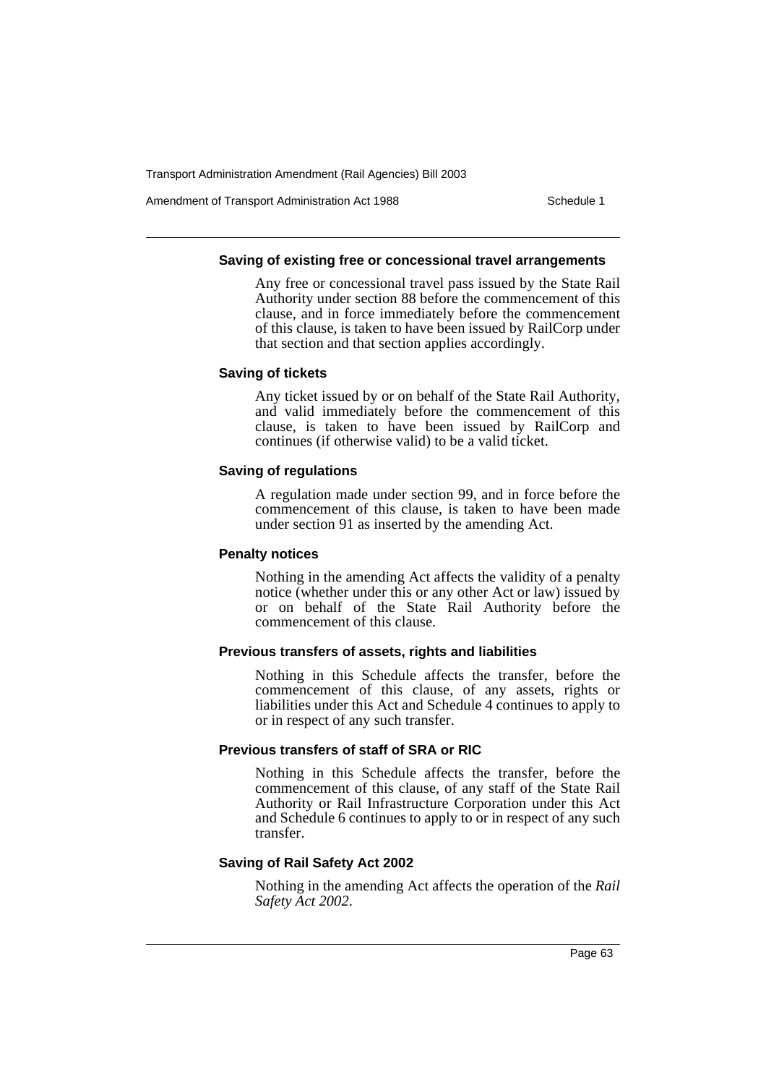Amendment of Transport Administration Act 1988 **Schedule 1** Schedule 1

#### **Saving of existing free or concessional travel arrangements**

Any free or concessional travel pass issued by the State Rail Authority under section 88 before the commencement of this clause, and in force immediately before the commencement of this clause, is taken to have been issued by RailCorp under that section and that section applies accordingly.

#### **Saving of tickets**

Any ticket issued by or on behalf of the State Rail Authority, and valid immediately before the commencement of this clause, is taken to have been issued by RailCorp and continues (if otherwise valid) to be a valid ticket.

# **Saving of regulations**

A regulation made under section 99, and in force before the commencement of this clause, is taken to have been made under section 91 as inserted by the amending Act.

### **Penalty notices**

Nothing in the amending Act affects the validity of a penalty notice (whether under this or any other Act or law) issued by or on behalf of the State Rail Authority before the commencement of this clause.

### **Previous transfers of assets, rights and liabilities**

Nothing in this Schedule affects the transfer, before the commencement of this clause, of any assets, rights or liabilities under this Act and Schedule 4 continues to apply to or in respect of any such transfer.

### **Previous transfers of staff of SRA or RIC**

Nothing in this Schedule affects the transfer, before the commencement of this clause, of any staff of the State Rail Authority or Rail Infrastructure Corporation under this Act and Schedule 6 continues to apply to or in respect of any such transfer.

### **Saving of Rail Safety Act 2002**

Nothing in the amending Act affects the operation of the *Rail Safety Act 2002*.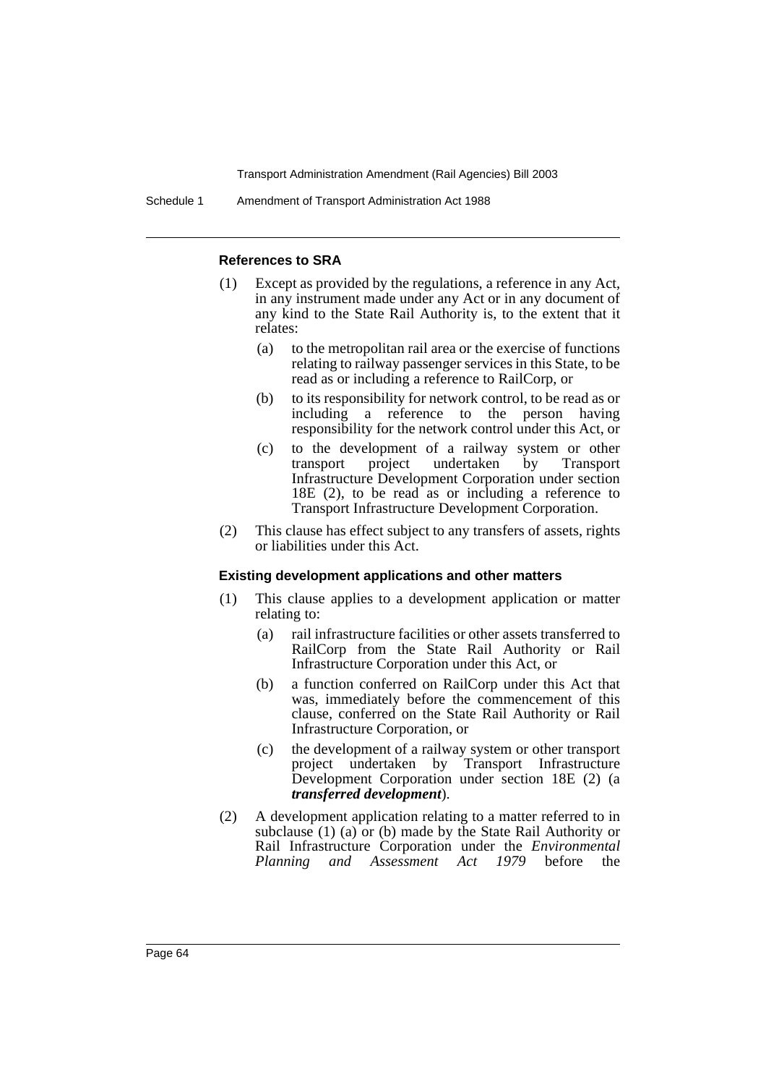Schedule 1 Amendment of Transport Administration Act 1988

#### **References to SRA**

- (1) Except as provided by the regulations, a reference in any Act, in any instrument made under any Act or in any document of any kind to the State Rail Authority is, to the extent that it relates:
	- (a) to the metropolitan rail area or the exercise of functions relating to railway passenger services in this State, to be read as or including a reference to RailCorp, or
	- (b) to its responsibility for network control, to be read as or including a reference to the person having responsibility for the network control under this Act, or
	- (c) to the development of a railway system or other transport project undertaken by Transport Infrastructure Development Corporation under section 18E (2), to be read as or including a reference to Transport Infrastructure Development Corporation.
- (2) This clause has effect subject to any transfers of assets, rights or liabilities under this Act.

#### **Existing development applications and other matters**

- (1) This clause applies to a development application or matter relating to:
	- (a) rail infrastructure facilities or other assets transferred to RailCorp from the State Rail Authority or Rail Infrastructure Corporation under this Act, or
	- (b) a function conferred on RailCorp under this Act that was, immediately before the commencement of this clause, conferred on the State Rail Authority or Rail Infrastructure Corporation, or
	- (c) the development of a railway system or other transport project undertaken by Transport Infrastructure Development Corporation under section 18E (2) (a *transferred development*).
- (2) A development application relating to a matter referred to in subclause (1) (a) or (b) made by the State Rail Authority or Rail Infrastructure Corporation under the *Environmental Planning and Assessment Act 1979* before the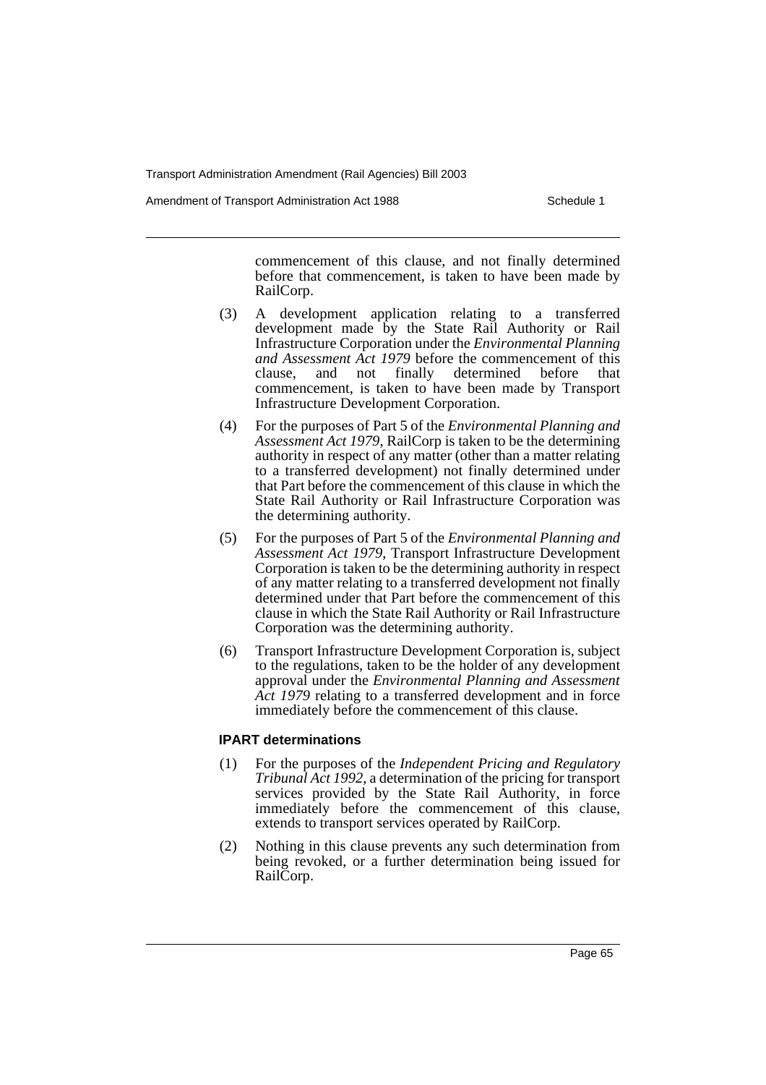Amendment of Transport Administration Act 1988 **Schedule 1** Schedule 1

commencement of this clause, and not finally determined before that commencement, is taken to have been made by RailCorp.

- (3) A development application relating to a transferred development made by the State Rail Authority or Rail Infrastructure Corporation under the *Environmental Planning and Assessment Act 1979* before the commencement of this clause, and not finally determined before that clause, and not finally determined before that commencement, is taken to have been made by Transport Infrastructure Development Corporation.
- (4) For the purposes of Part 5 of the *Environmental Planning and Assessment Act 1979*, RailCorp is taken to be the determining authority in respect of any matter (other than a matter relating to a transferred development) not finally determined under that Part before the commencement of this clause in which the State Rail Authority or Rail Infrastructure Corporation was the determining authority.
- (5) For the purposes of Part 5 of the *Environmental Planning and Assessment Act 1979*, Transport Infrastructure Development Corporation is taken to be the determining authority in respect of any matter relating to a transferred development not finally determined under that Part before the commencement of this clause in which the State Rail Authority or Rail Infrastructure Corporation was the determining authority.
- (6) Transport Infrastructure Development Corporation is, subject to the regulations, taken to be the holder of any development approval under the *Environmental Planning and Assessment Act 1979* relating to a transferred development and in force immediately before the commencement of this clause.

### **IPART determinations**

- (1) For the purposes of the *Independent Pricing and Regulatory Tribunal Act 1992*, a determination of the pricing for transport services provided by the State Rail Authority, in force immediately before the commencement of this clause, extends to transport services operated by RailCorp.
- (2) Nothing in this clause prevents any such determination from being revoked, or a further determination being issued for RailCorp.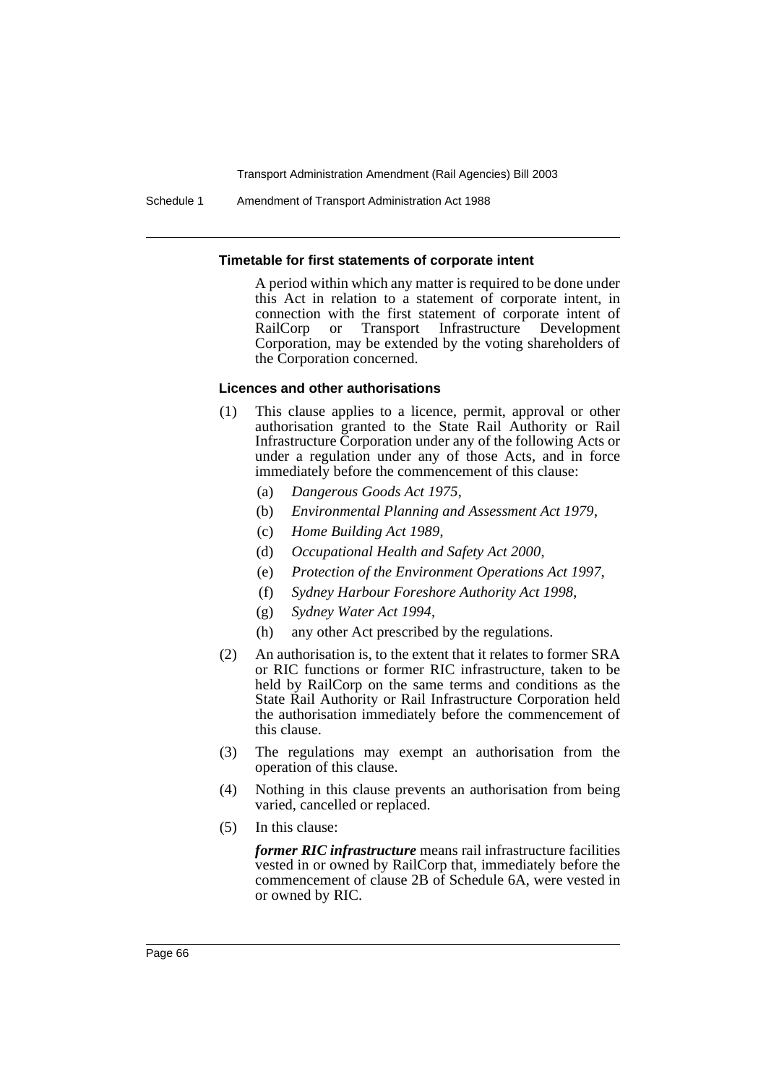Schedule 1 Amendment of Transport Administration Act 1988

#### **Timetable for first statements of corporate intent**

A period within which any matter is required to be done under this Act in relation to a statement of corporate intent, in connection with the first statement of corporate intent of RailCorp or Transport Infrastructure Development Corporation, may be extended by the voting shareholders of the Corporation concerned.

#### **Licences and other authorisations**

- (1) This clause applies to a licence, permit, approval or other authorisation granted to the State Rail Authority or Rail Infrastructure Corporation under any of the following Acts or under a regulation under any of those Acts, and in force immediately before the commencement of this clause:
	- (a) *Dangerous Goods Act 1975*,
	- (b) *Environmental Planning and Assessment Act 1979*,
	- (c) *Home Building Act 1989*,
	- (d) *Occupational Health and Safety Act 2000*,
	- (e) *Protection of the Environment Operations Act 1997*,
	- (f) *Sydney Harbour Foreshore Authority Act 1998*,
	- (g) *Sydney Water Act 1994*,
	- (h) any other Act prescribed by the regulations.
- (2) An authorisation is, to the extent that it relates to former SRA or RIC functions or former RIC infrastructure, taken to be held by RailCorp on the same terms and conditions as the State Rail Authority or Rail Infrastructure Corporation held the authorisation immediately before the commencement of this clause.
- (3) The regulations may exempt an authorisation from the operation of this clause.
- (4) Nothing in this clause prevents an authorisation from being varied, cancelled or replaced.
- (5) In this clause:

*former RIC infrastructure* means rail infrastructure facilities vested in or owned by RailCorp that, immediately before the commencement of clause 2B of Schedule 6A, were vested in or owned by RIC.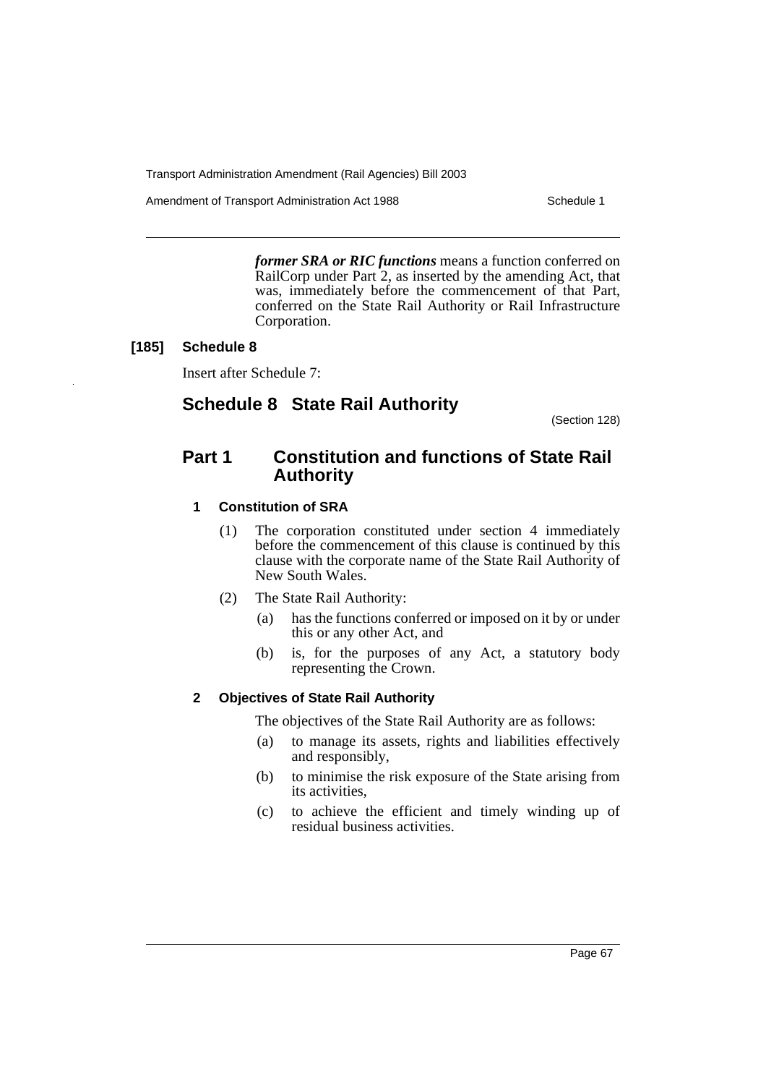Amendment of Transport Administration Act 1988 **Schedule 1** Schedule 1

*former SRA or RIC functions* means a function conferred on RailCorp under Part 2, as inserted by the amending Act, that was, immediately before the commencement of that Part, conferred on the State Rail Authority or Rail Infrastructure Corporation.

#### **[185] Schedule 8**

Insert after Schedule 7:

# **Schedule 8 State Rail Authority**

(Section 128)

# **Part 1 Constitution and functions of State Rail Authority**

### **1 Constitution of SRA**

- (1) The corporation constituted under section 4 immediately before the commencement of this clause is continued by this clause with the corporate name of the State Rail Authority of New South Wales.
- (2) The State Rail Authority:
	- (a) has the functions conferred or imposed on it by or under this or any other Act, and
	- (b) is, for the purposes of any Act, a statutory body representing the Crown.

### **2 Objectives of State Rail Authority**

The objectives of the State Rail Authority are as follows:

- (a) to manage its assets, rights and liabilities effectively and responsibly,
- (b) to minimise the risk exposure of the State arising from its activities,
- (c) to achieve the efficient and timely winding up of residual business activities.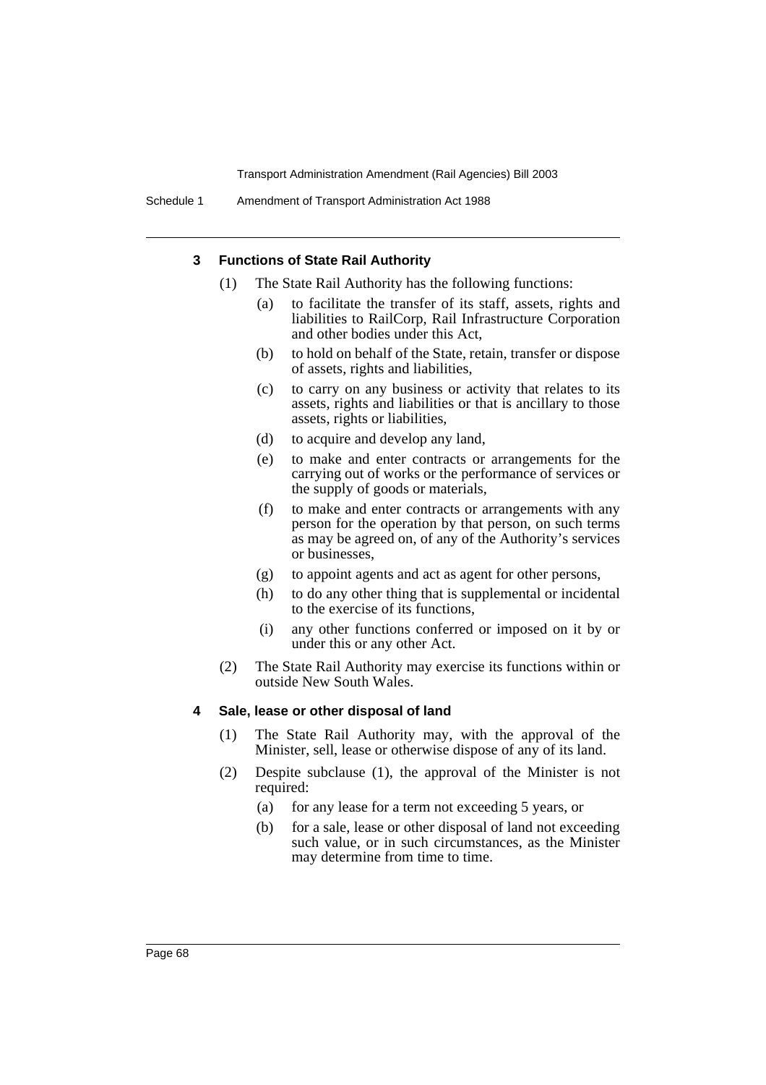#### **3 Functions of State Rail Authority**

- (1) The State Rail Authority has the following functions:
	- to facilitate the transfer of its staff, assets, rights and liabilities to RailCorp, Rail Infrastructure Corporation and other bodies under this Act,
	- (b) to hold on behalf of the State, retain, transfer or dispose of assets, rights and liabilities,
	- (c) to carry on any business or activity that relates to its assets, rights and liabilities or that is ancillary to those assets, rights or liabilities,
	- (d) to acquire and develop any land,
	- (e) to make and enter contracts or arrangements for the carrying out of works or the performance of services or the supply of goods or materials,
	- (f) to make and enter contracts or arrangements with any person for the operation by that person, on such terms as may be agreed on, of any of the Authority's services or businesses,
	- (g) to appoint agents and act as agent for other persons,
	- (h) to do any other thing that is supplemental or incidental to the exercise of its functions,
	- (i) any other functions conferred or imposed on it by or under this or any other Act.
- (2) The State Rail Authority may exercise its functions within or outside New South Wales.

#### **4 Sale, lease or other disposal of land**

- (1) The State Rail Authority may, with the approval of the Minister, sell, lease or otherwise dispose of any of its land.
- (2) Despite subclause (1), the approval of the Minister is not required:
	- (a) for any lease for a term not exceeding 5 years, or
	- (b) for a sale, lease or other disposal of land not exceeding such value, or in such circumstances, as the Minister may determine from time to time.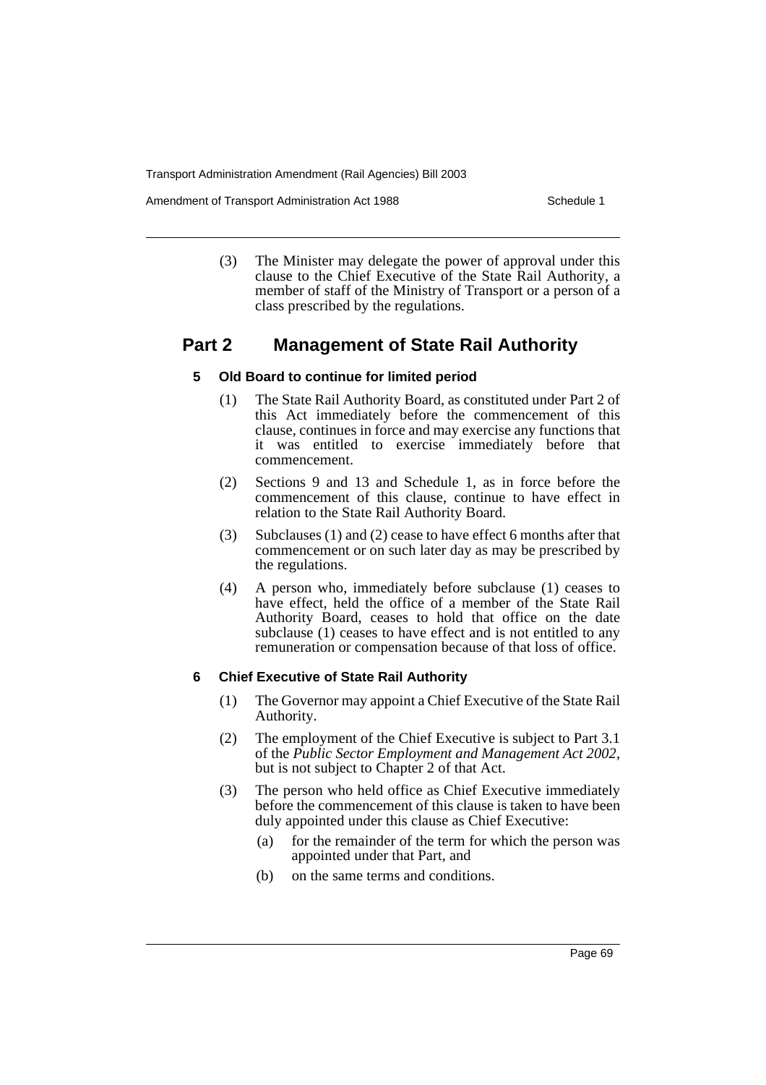Amendment of Transport Administration Act 1988 **Schedule 1** Schedule 1

(3) The Minister may delegate the power of approval under this clause to the Chief Executive of the State Rail Authority, a member of staff of the Ministry of Transport or a person of a class prescribed by the regulations.

# **Part 2 Management of State Rail Authority**

# **5 Old Board to continue for limited period**

- (1) The State Rail Authority Board, as constituted under Part 2 of this Act immediately before the commencement of this clause, continues in force and may exercise any functions that it was entitled to exercise immediately before that commencement.
- (2) Sections 9 and 13 and Schedule 1, as in force before the commencement of this clause, continue to have effect in relation to the State Rail Authority Board.
- (3) Subclauses (1) and (2) cease to have effect 6 months after that commencement or on such later day as may be prescribed by the regulations.
- (4) A person who, immediately before subclause (1) ceases to have effect, held the office of a member of the State Rail Authority Board, ceases to hold that office on the date subclause (1) ceases to have effect and is not entitled to any remuneration or compensation because of that loss of office.

### **6 Chief Executive of State Rail Authority**

- (1) The Governor may appoint a Chief Executive of the State Rail Authority.
- (2) The employment of the Chief Executive is subject to Part 3.1 of the *Public Sector Employment and Management Act 2002*, but is not subject to Chapter 2 of that Act.
- (3) The person who held office as Chief Executive immediately before the commencement of this clause is taken to have been duly appointed under this clause as Chief Executive:
	- (a) for the remainder of the term for which the person was appointed under that Part, and
	- (b) on the same terms and conditions.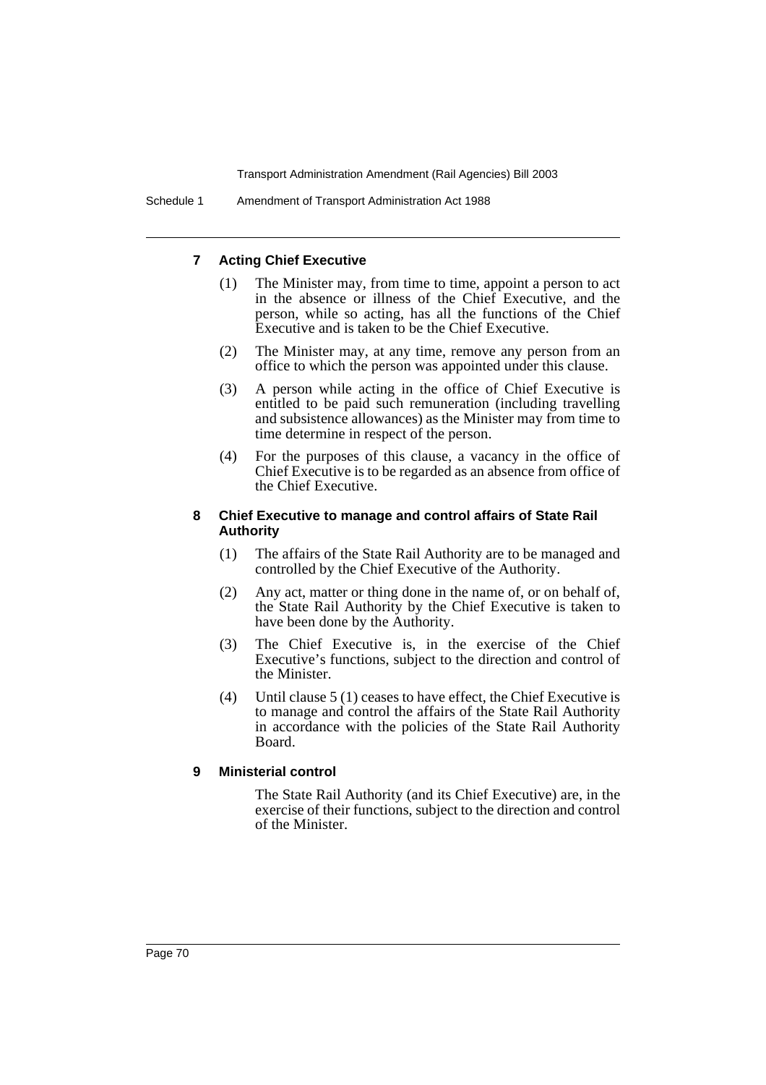### **7 Acting Chief Executive**

- (1) The Minister may, from time to time, appoint a person to act in the absence or illness of the Chief Executive, and the person, while so acting, has all the functions of the Chief Executive and is taken to be the Chief Executive.
- (2) The Minister may, at any time, remove any person from an office to which the person was appointed under this clause.
- (3) A person while acting in the office of Chief Executive is entitled to be paid such remuneration (including travelling and subsistence allowances) as the Minister may from time to time determine in respect of the person.
- (4) For the purposes of this clause, a vacancy in the office of Chief Executive is to be regarded as an absence from office of the Chief Executive.

#### **8 Chief Executive to manage and control affairs of State Rail Authority**

- (1) The affairs of the State Rail Authority are to be managed and controlled by the Chief Executive of the Authority.
- (2) Any act, matter or thing done in the name of, or on behalf of, the State Rail Authority by the Chief Executive is taken to have been done by the Authority.
- (3) The Chief Executive is, in the exercise of the Chief Executive's functions, subject to the direction and control of the Minister.
- (4) Until clause 5 (1) ceases to have effect, the Chief Executive is to manage and control the affairs of the State Rail Authority in accordance with the policies of the State Rail Authority Board.

#### **9 Ministerial control**

The State Rail Authority (and its Chief Executive) are, in the exercise of their functions, subject to the direction and control of the Minister.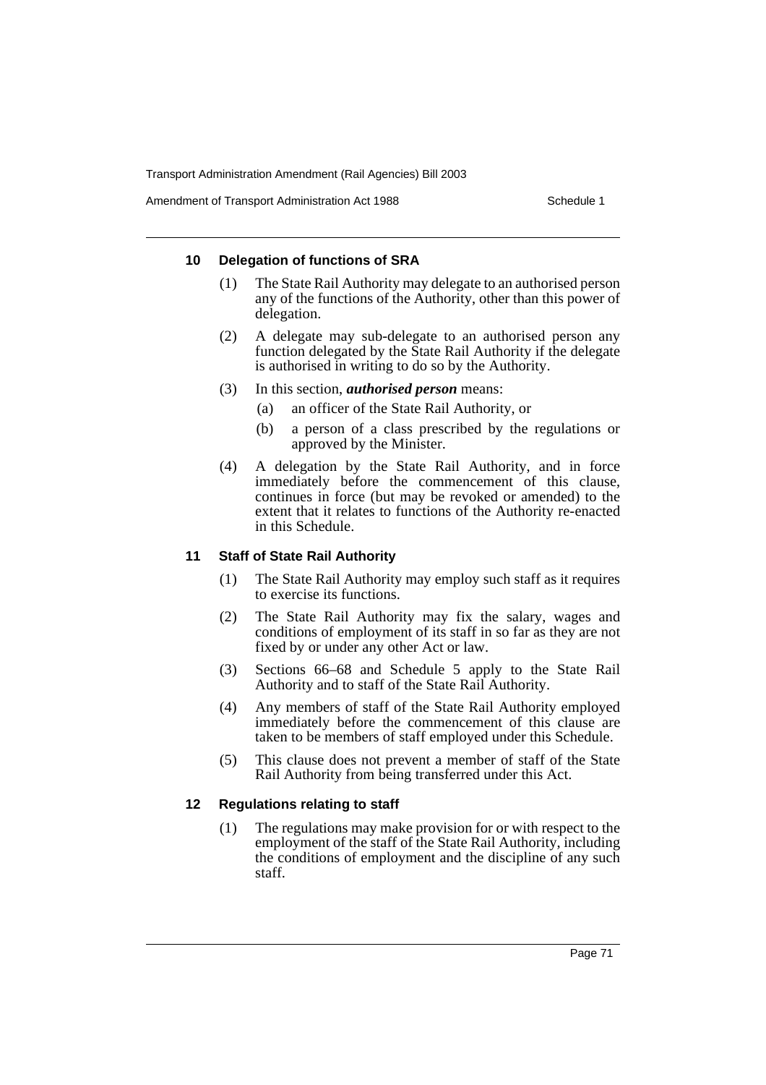Amendment of Transport Administration Act 1988 **Schedule 1** Schedule 1

#### **10 Delegation of functions of SRA**

- (1) The State Rail Authority may delegate to an authorised person any of the functions of the Authority, other than this power of delegation.
- (2) A delegate may sub-delegate to an authorised person any function delegated by the State Rail Authority if the delegate is authorised in writing to do so by the Authority.
- (3) In this section, *authorised person* means:
	- (a) an officer of the State Rail Authority, or
	- (b) a person of a class prescribed by the regulations or approved by the Minister.
- (4) A delegation by the State Rail Authority, and in force immediately before the commencement of this clause, continues in force (but may be revoked or amended) to the extent that it relates to functions of the Authority re-enacted in this Schedule.

### **11 Staff of State Rail Authority**

- (1) The State Rail Authority may employ such staff as it requires to exercise its functions.
- (2) The State Rail Authority may fix the salary, wages and conditions of employment of its staff in so far as they are not fixed by or under any other Act or law.
- (3) Sections 66–68 and Schedule 5 apply to the State Rail Authority and to staff of the State Rail Authority.
- (4) Any members of staff of the State Rail Authority employed immediately before the commencement of this clause are taken to be members of staff employed under this Schedule.
- (5) This clause does not prevent a member of staff of the State Rail Authority from being transferred under this Act.

### **12 Regulations relating to staff**

(1) The regulations may make provision for or with respect to the employment of the staff of the State Rail Authority, including the conditions of employment and the discipline of any such staff.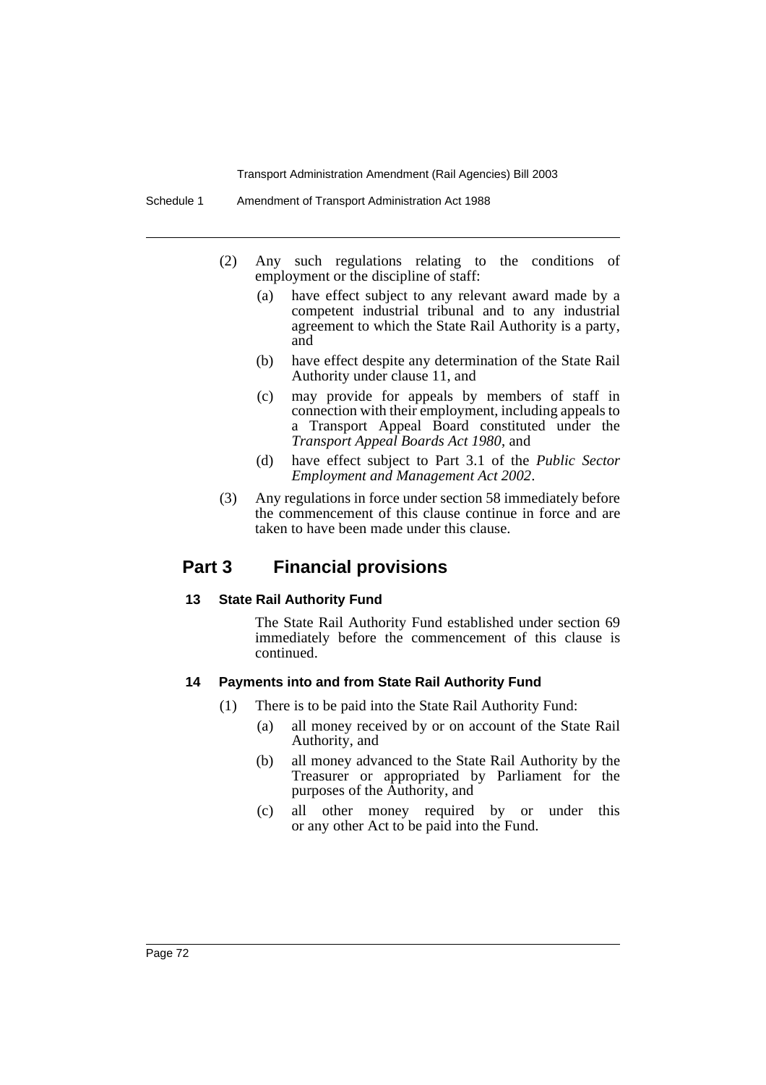- (2) Any such regulations relating to the conditions of employment or the discipline of staff:
	- (a) have effect subject to any relevant award made by a competent industrial tribunal and to any industrial agreement to which the State Rail Authority is a party, and
	- (b) have effect despite any determination of the State Rail Authority under clause 11, and
	- (c) may provide for appeals by members of staff in connection with their employment, including appeals to a Transport Appeal Board constituted under the *Transport Appeal Boards Act 1980*, and
	- (d) have effect subject to Part 3.1 of the *Public Sector Employment and Management Act 2002*.
- (3) Any regulations in force under section 58 immediately before the commencement of this clause continue in force and are taken to have been made under this clause.

## **Part 3 Financial provisions**

#### **13 State Rail Authority Fund**

The State Rail Authority Fund established under section 69 immediately before the commencement of this clause is continued.

#### **14 Payments into and from State Rail Authority Fund**

- (1) There is to be paid into the State Rail Authority Fund:
	- (a) all money received by or on account of the State Rail Authority, and
	- (b) all money advanced to the State Rail Authority by the Treasurer or appropriated by Parliament for the purposes of the Authority, and
	- (c) all other money required by or under this or any other Act to be paid into the Fund.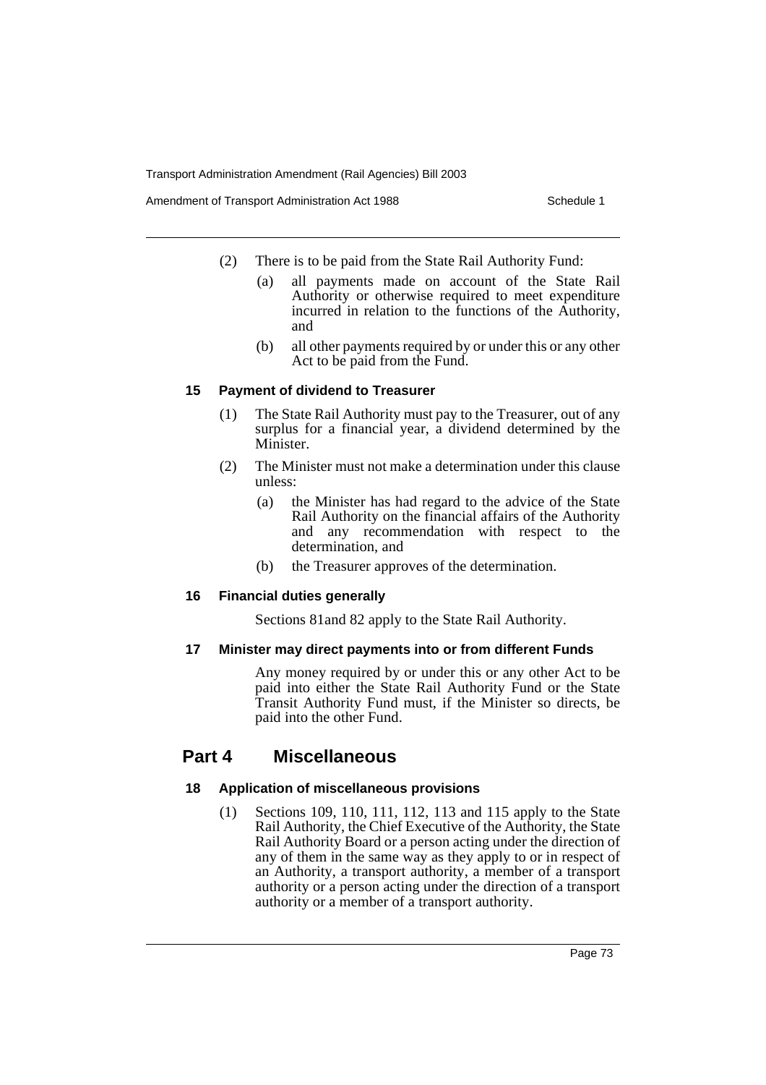Amendment of Transport Administration Act 1988 **Schedule 1** Schedule 1

- (2) There is to be paid from the State Rail Authority Fund:
	- (a) all payments made on account of the State Rail Authority or otherwise required to meet expenditure incurred in relation to the functions of the Authority, and
	- (b) all other payments required by or under this or any other Act to be paid from the Fund.

### **15 Payment of dividend to Treasurer**

- (1) The State Rail Authority must pay to the Treasurer, out of any surplus for a financial year, a dividend determined by the Minister.
- (2) The Minister must not make a determination under this clause unless:
	- (a) the Minister has had regard to the advice of the State Rail Authority on the financial affairs of the Authority and any recommendation with respect to the determination, and
	- (b) the Treasurer approves of the determination.

### **16 Financial duties generally**

Sections 81and 82 apply to the State Rail Authority.

### **17 Minister may direct payments into or from different Funds**

Any money required by or under this or any other Act to be paid into either the State Rail Authority Fund or the State Transit Authority Fund must, if the Minister so directs, be paid into the other Fund.

# **Part 4 Miscellaneous**

### **18 Application of miscellaneous provisions**

(1) Sections 109, 110, 111, 112, 113 and 115 apply to the State Rail Authority, the Chief Executive of the Authority, the State Rail Authority Board or a person acting under the direction of any of them in the same way as they apply to or in respect of an Authority, a transport authority, a member of a transport authority or a person acting under the direction of a transport authority or a member of a transport authority.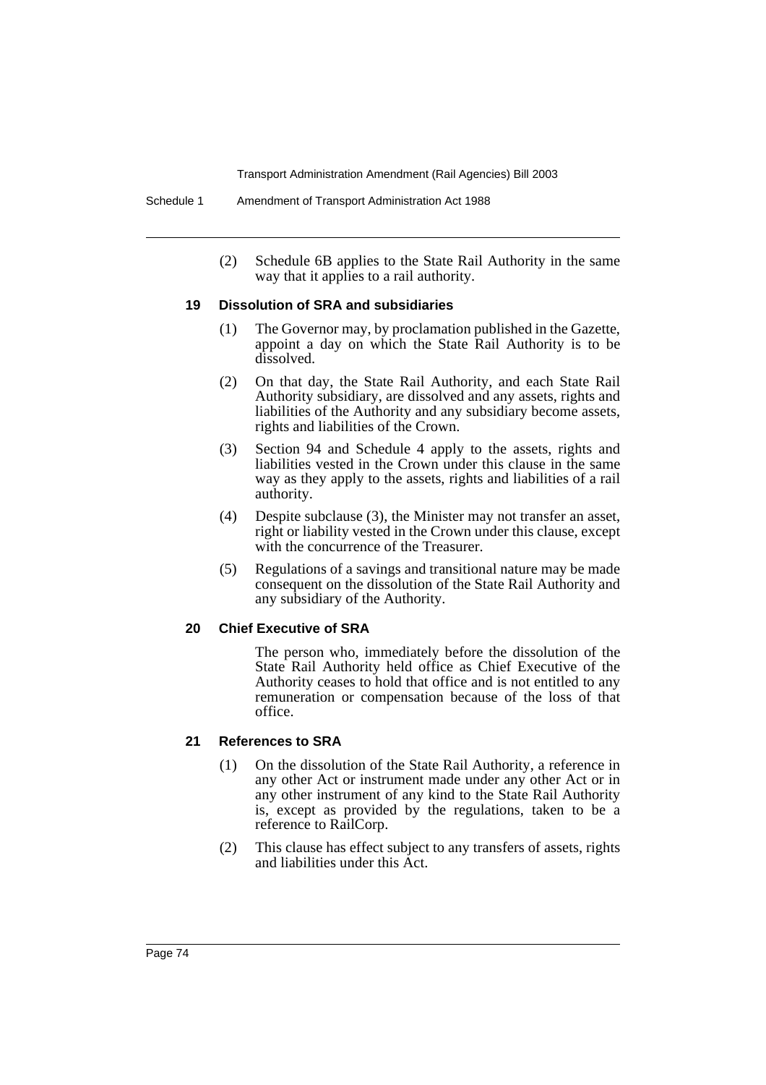(2) Schedule 6B applies to the State Rail Authority in the same way that it applies to a rail authority.

#### **19 Dissolution of SRA and subsidiaries**

- (1) The Governor may, by proclamation published in the Gazette, appoint a day on which the State Rail Authority is to be dissolved.
- (2) On that day, the State Rail Authority, and each State Rail Authority subsidiary, are dissolved and any assets, rights and liabilities of the Authority and any subsidiary become assets, rights and liabilities of the Crown.
- (3) Section 94 and Schedule 4 apply to the assets, rights and liabilities vested in the Crown under this clause in the same way as they apply to the assets, rights and liabilities of a rail authority.
- (4) Despite subclause (3), the Minister may not transfer an asset, right or liability vested in the Crown under this clause, except with the concurrence of the Treasurer.
- (5) Regulations of a savings and transitional nature may be made consequent on the dissolution of the State Rail Authority and any subsidiary of the Authority.

#### **20 Chief Executive of SRA**

The person who, immediately before the dissolution of the State Rail Authority held office as Chief Executive of the Authority ceases to hold that office and is not entitled to any remuneration or compensation because of the loss of that office.

#### **21 References to SRA**

- (1) On the dissolution of the State Rail Authority, a reference in any other Act or instrument made under any other Act or in any other instrument of any kind to the State Rail Authority is, except as provided by the regulations, taken to be a reference to RailCorp.
- (2) This clause has effect subject to any transfers of assets, rights and liabilities under this Act.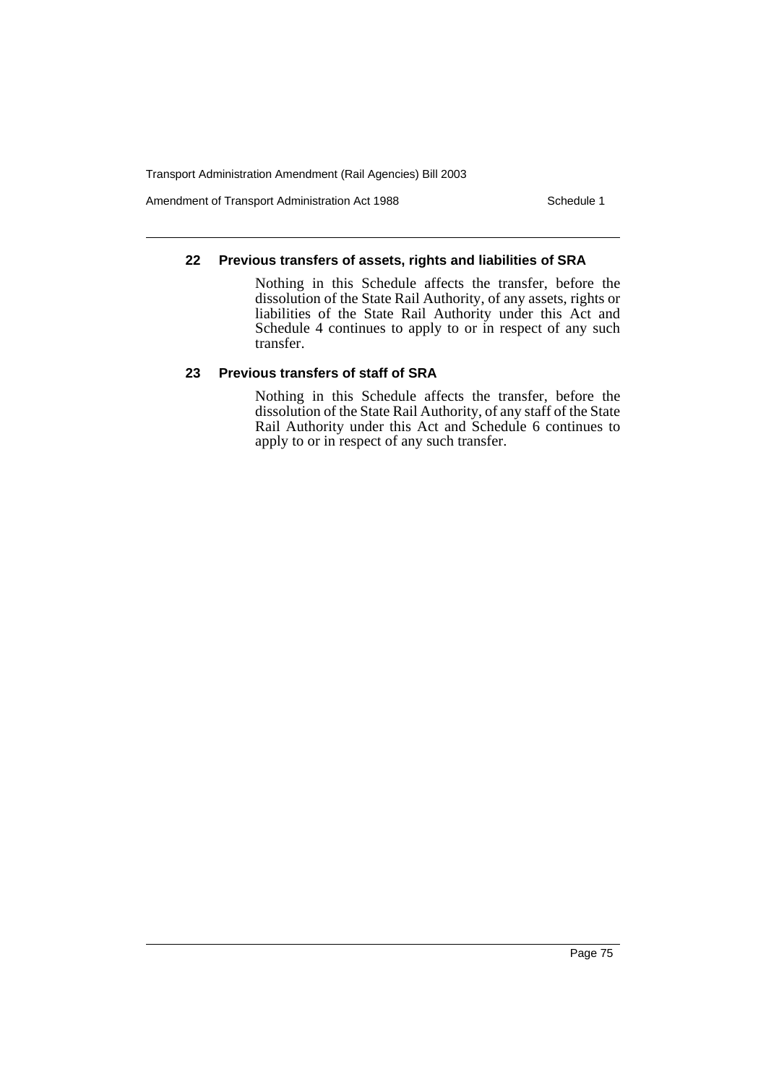Amendment of Transport Administration Act 1988 Schedule 1

### **22 Previous transfers of assets, rights and liabilities of SRA**

Nothing in this Schedule affects the transfer, before the dissolution of the State Rail Authority, of any assets, rights or liabilities of the State Rail Authority under this Act and Schedule 4 continues to apply to or in respect of any such transfer.

### **23 Previous transfers of staff of SRA**

Nothing in this Schedule affects the transfer, before the dissolution of the State Rail Authority, of any staff of the State Rail Authority under this Act and Schedule 6 continues to apply to or in respect of any such transfer.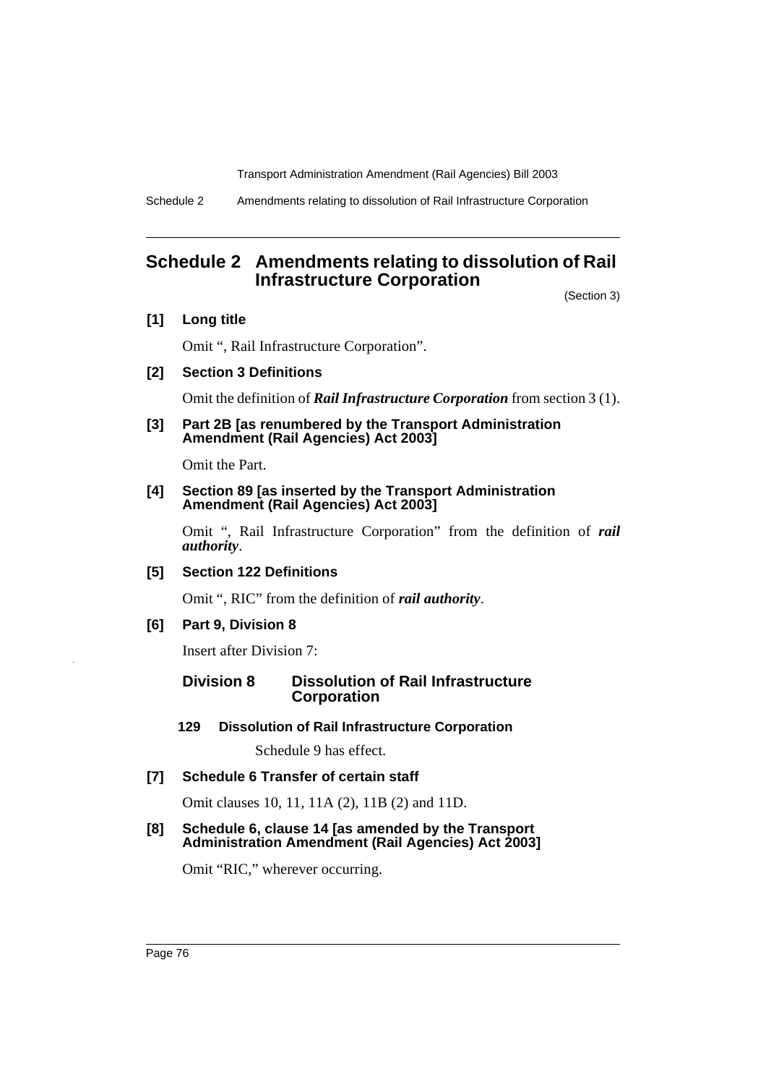Schedule 2 Amendments relating to dissolution of Rail Infrastructure Corporation

# **Schedule 2 Amendments relating to dissolution of Rail Infrastructure Corporation**

(Section 3)

**[1] Long title**

Omit ", Rail Infrastructure Corporation".

**[2] Section 3 Definitions**

Omit the definition of *Rail Infrastructure Corporation* from section 3 (1).

**[3] Part 2B [as renumbered by the Transport Administration Amendment (Rail Agencies) Act 2003]**

Omit the Part.

### **[4] Section 89 [as inserted by the Transport Administration Amendment (Rail Agencies) Act 2003]**

Omit ", Rail Infrastructure Corporation" from the definition of *rail authority*.

**[5] Section 122 Definitions**

Omit ", RIC" from the definition of *rail authority*.

### **[6] Part 9, Division 8**

Insert after Division 7:

### **Division 8 Dissolution of Rail Infrastructure Corporation**

**129 Dissolution of Rail Infrastructure Corporation**

Schedule 9 has effect.

**[7] Schedule 6 Transfer of certain staff**

Omit clauses 10, 11, 11A (2), 11B (2) and 11D.

**[8] Schedule 6, clause 14 [as amended by the Transport Administration Amendment (Rail Agencies) Act 2003]** 

Omit "RIC," wherever occurring.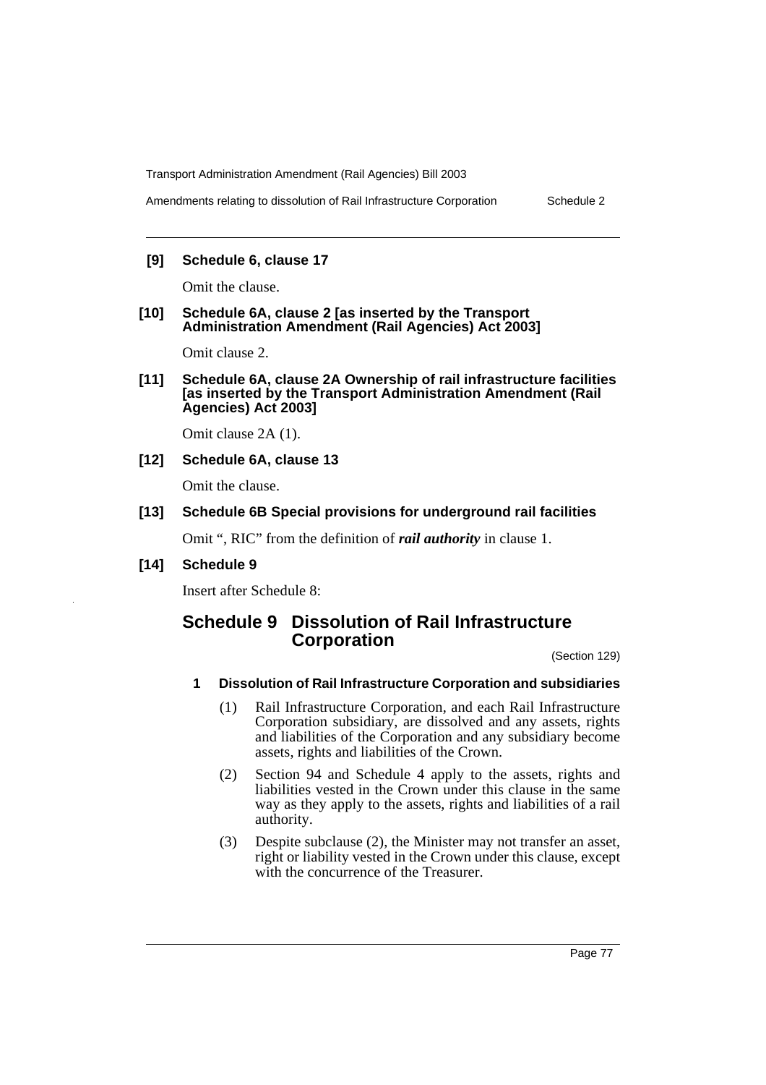Amendments relating to dissolution of Rail Infrastructure Corporation Schedule 2

### **[9] Schedule 6, clause 17**

Omit the clause.

#### **[10] Schedule 6A, clause 2 [as inserted by the Transport Administration Amendment (Rail Agencies) Act 2003]**

Omit clause 2.

**[11] Schedule 6A, clause 2A Ownership of rail infrastructure facilities [as inserted by the Transport Administration Amendment (Rail Agencies) Act 2003]**

Omit clause 2A (1).

### **[12] Schedule 6A, clause 13**

Omit the clause.

### **[13] Schedule 6B Special provisions for underground rail facilities**

Omit ", RIC" from the definition of *rail authority* in clause 1.

**[14] Schedule 9**

Insert after Schedule 8:

# **Schedule 9 Dissolution of Rail Infrastructure Corporation**

(Section 129)

#### **1 Dissolution of Rail Infrastructure Corporation and subsidiaries**

- (1) Rail Infrastructure Corporation, and each Rail Infrastructure Corporation subsidiary, are dissolved and any assets, rights and liabilities of the Corporation and any subsidiary become assets, rights and liabilities of the Crown.
- (2) Section 94 and Schedule 4 apply to the assets, rights and liabilities vested in the Crown under this clause in the same way as they apply to the assets, rights and liabilities of a rail authority.
- (3) Despite subclause (2), the Minister may not transfer an asset, right or liability vested in the Crown under this clause, except with the concurrence of the Treasurer.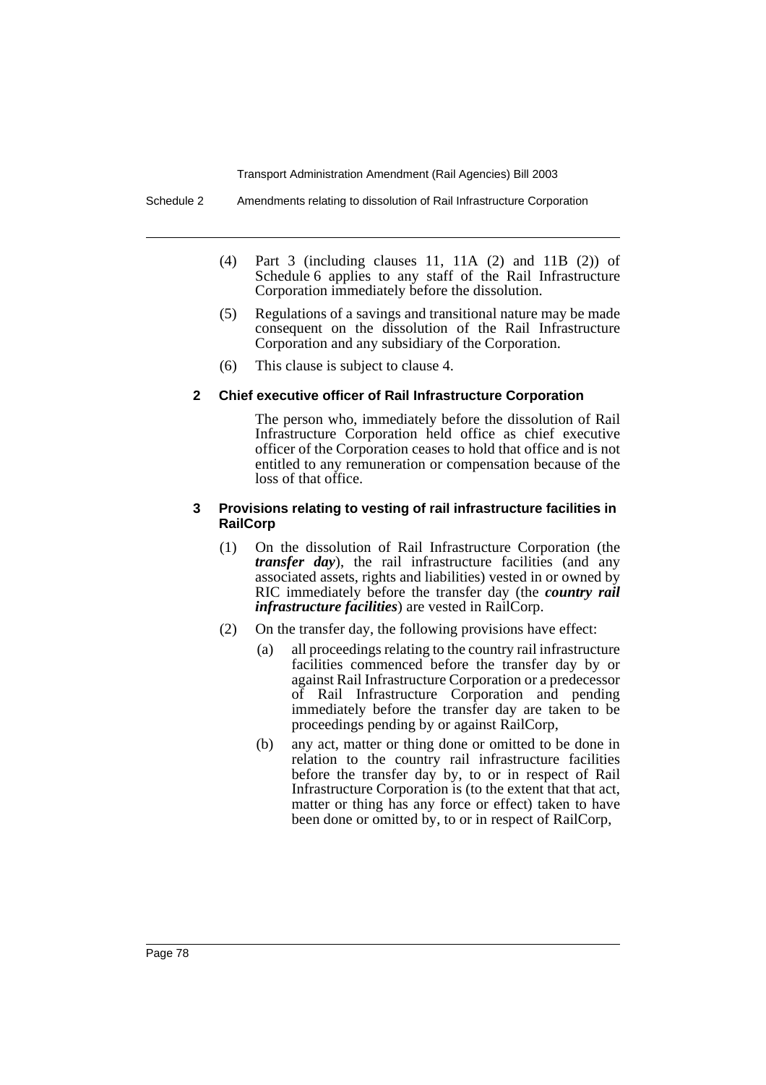- (4) Part 3 (including clauses 11, 11A (2) and 11B (2)) of Schedule 6 applies to any staff of the Rail Infrastructure Corporation immediately before the dissolution.
- (5) Regulations of a savings and transitional nature may be made consequent on the dissolution of the Rail Infrastructure Corporation and any subsidiary of the Corporation.
- (6) This clause is subject to clause 4.

#### **2 Chief executive officer of Rail Infrastructure Corporation**

The person who, immediately before the dissolution of Rail Infrastructure Corporation held office as chief executive officer of the Corporation ceases to hold that office and is not entitled to any remuneration or compensation because of the loss of that office.

#### **3 Provisions relating to vesting of rail infrastructure facilities in RailCorp**

- (1) On the dissolution of Rail Infrastructure Corporation (the *transfer day*), the rail infrastructure facilities (and any associated assets, rights and liabilities) vested in or owned by RIC immediately before the transfer day (the *country rail infrastructure facilities*) are vested in RailCorp.
- (2) On the transfer day, the following provisions have effect:
	- (a) all proceedings relating to the country rail infrastructure facilities commenced before the transfer day by or against Rail Infrastructure Corporation or a predecessor of Rail Infrastructure Corporation and pending immediately before the transfer day are taken to be proceedings pending by or against RailCorp,
	- (b) any act, matter or thing done or omitted to be done in relation to the country rail infrastructure facilities before the transfer day by, to or in respect of Rail Infrastructure Corporation is (to the extent that that act, matter or thing has any force or effect) taken to have been done or omitted by, to or in respect of RailCorp,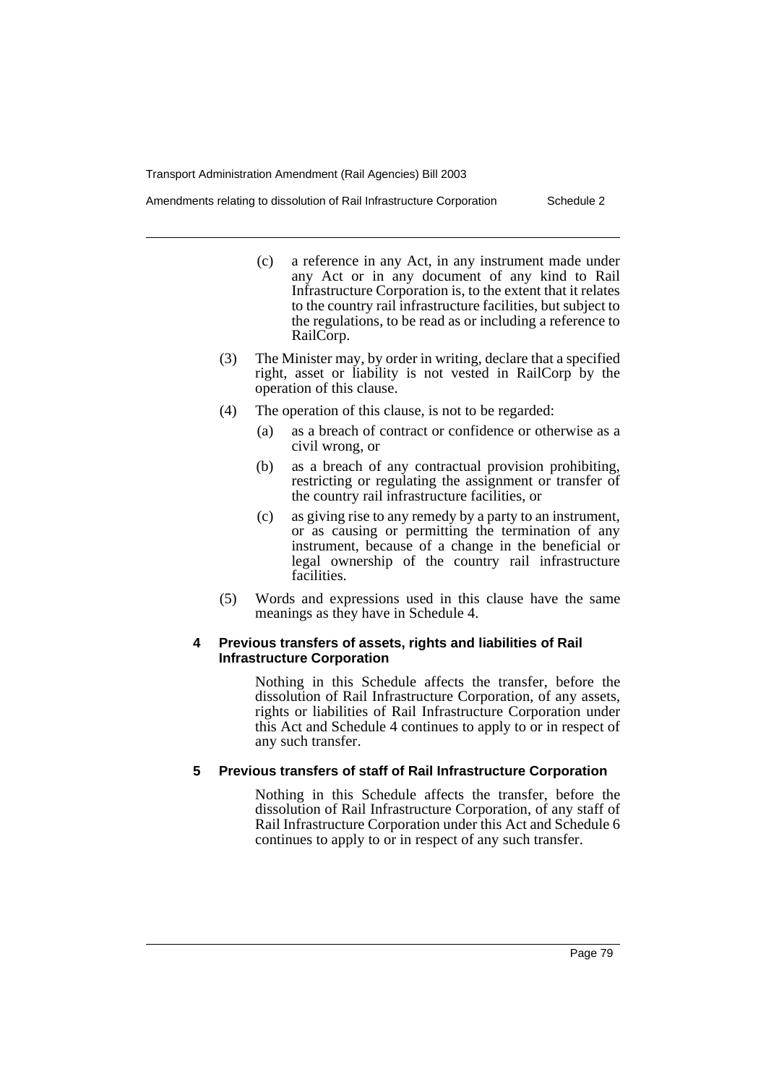Amendments relating to dissolution of Rail Infrastructure Corporation Schedule 2

- (c) a reference in any Act, in any instrument made under any Act or in any document of any kind to Rail Infrastructure Corporation is, to the extent that it relates to the country rail infrastructure facilities, but subject to the regulations, to be read as or including a reference to RailCorp.
- (3) The Minister may, by order in writing, declare that a specified right, asset or liability is not vested in RailCorp by the operation of this clause.
- (4) The operation of this clause, is not to be regarded:
	- (a) as a breach of contract or confidence or otherwise as a civil wrong, or
	- (b) as a breach of any contractual provision prohibiting, restricting or regulating the assignment or transfer of the country rail infrastructure facilities, or
	- (c) as giving rise to any remedy by a party to an instrument, or as causing or permitting the termination of any instrument, because of a change in the beneficial or legal ownership of the country rail infrastructure facilities.
- (5) Words and expressions used in this clause have the same meanings as they have in Schedule 4.

#### **4 Previous transfers of assets, rights and liabilities of Rail Infrastructure Corporation**

Nothing in this Schedule affects the transfer, before the dissolution of Rail Infrastructure Corporation, of any assets, rights or liabilities of Rail Infrastructure Corporation under this Act and Schedule 4 continues to apply to or in respect of any such transfer.

#### **5 Previous transfers of staff of Rail Infrastructure Corporation**

Nothing in this Schedule affects the transfer, before the dissolution of Rail Infrastructure Corporation, of any staff of Rail Infrastructure Corporation under this Act and Schedule 6 continues to apply to or in respect of any such transfer.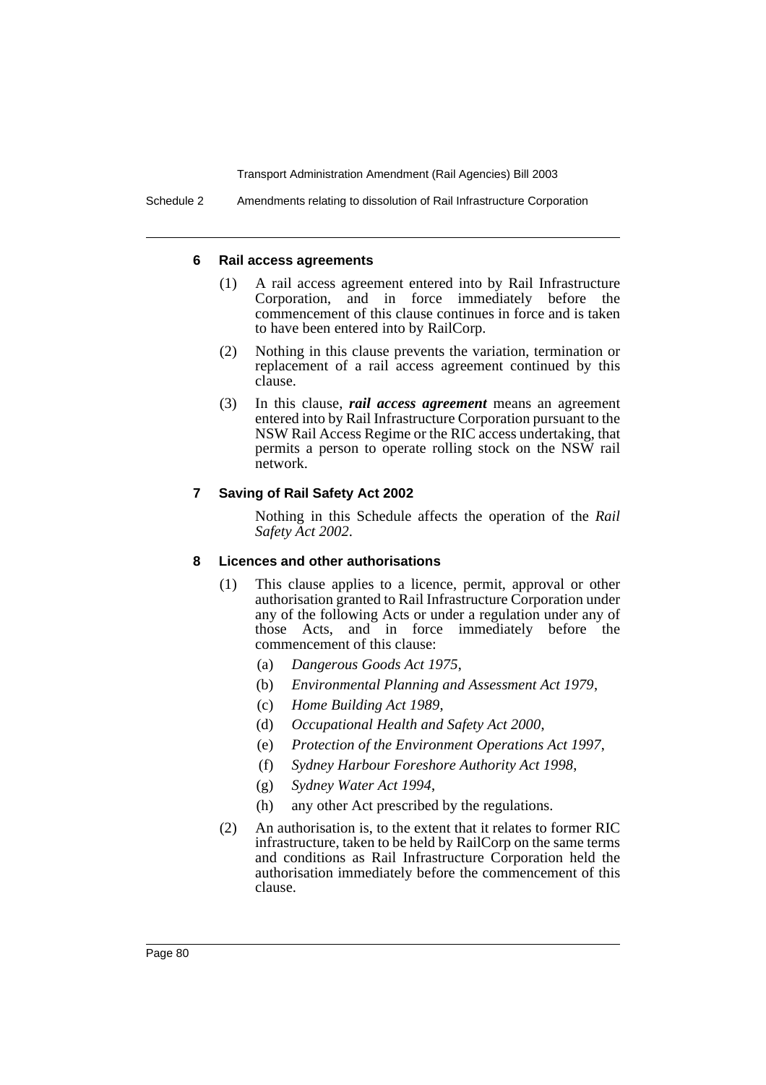#### **6 Rail access agreements**

- (1) A rail access agreement entered into by Rail Infrastructure Corporation, and in force immediately before the commencement of this clause continues in force and is taken to have been entered into by RailCorp.
- (2) Nothing in this clause prevents the variation, termination or replacement of a rail access agreement continued by this clause.
- (3) In this clause, *rail access agreement* means an agreement entered into by Rail Infrastructure Corporation pursuant to the NSW Rail Access Regime or the RIC access undertaking, that permits a person to operate rolling stock on the NSW rail network.

#### **7 Saving of Rail Safety Act 2002**

Nothing in this Schedule affects the operation of the *Rail Safety Act 2002*.

#### **8 Licences and other authorisations**

- (1) This clause applies to a licence, permit, approval or other authorisation granted to Rail Infrastructure Corporation under any of the following Acts or under a regulation under any of those Acts, and in force immediately before the commencement of this clause:
	- (a) *Dangerous Goods Act 1975*,
	- (b) *Environmental Planning and Assessment Act 1979*,
	- (c) *Home Building Act 1989*,
	- (d) *Occupational Health and Safety Act 2000*,
	- (e) *Protection of the Environment Operations Act 1997*,
	- (f) *Sydney Harbour Foreshore Authority Act 1998*,
	- (g) *Sydney Water Act 1994*,
	- (h) any other Act prescribed by the regulations.
- (2) An authorisation is, to the extent that it relates to former RIC infrastructure, taken to be held by RailCorp on the same terms and conditions as Rail Infrastructure Corporation held the authorisation immediately before the commencement of this clause.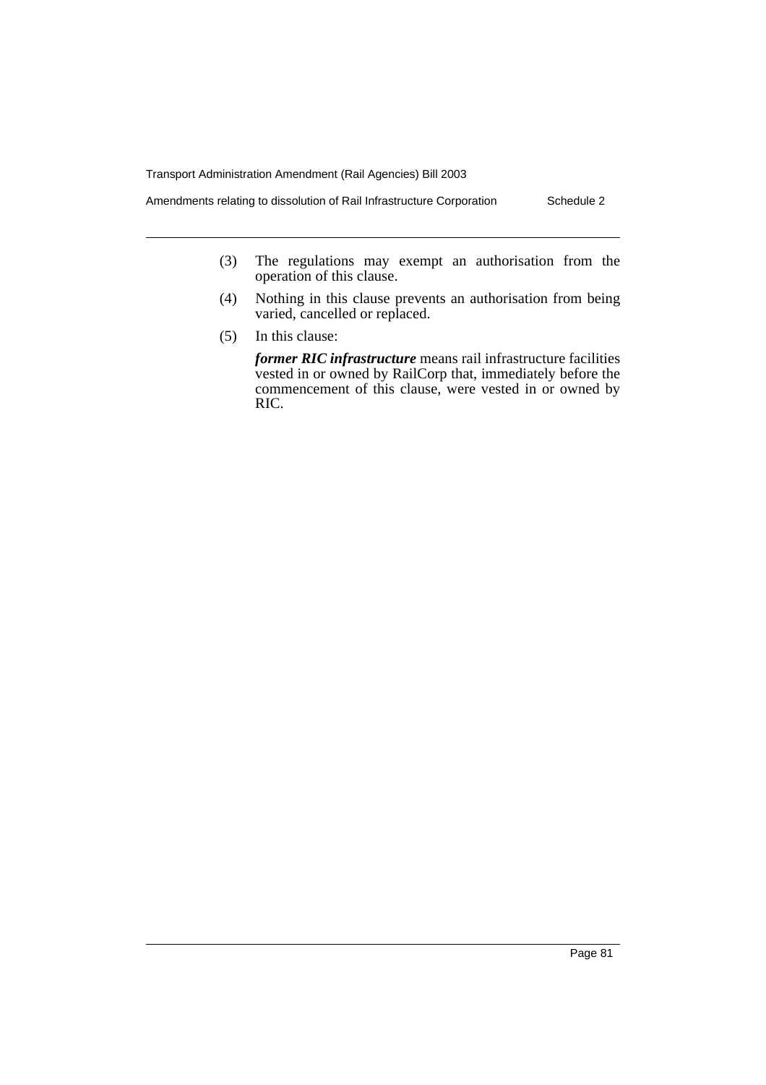Amendments relating to dissolution of Rail Infrastructure Corporation Schedule 2

- (3) The regulations may exempt an authorisation from the operation of this clause.
- (4) Nothing in this clause prevents an authorisation from being varied, cancelled or replaced.
- (5) In this clause:

*former RIC infrastructure* means rail infrastructure facilities vested in or owned by RailCorp that, immediately before the commencement of this clause, were vested in or owned by RIC.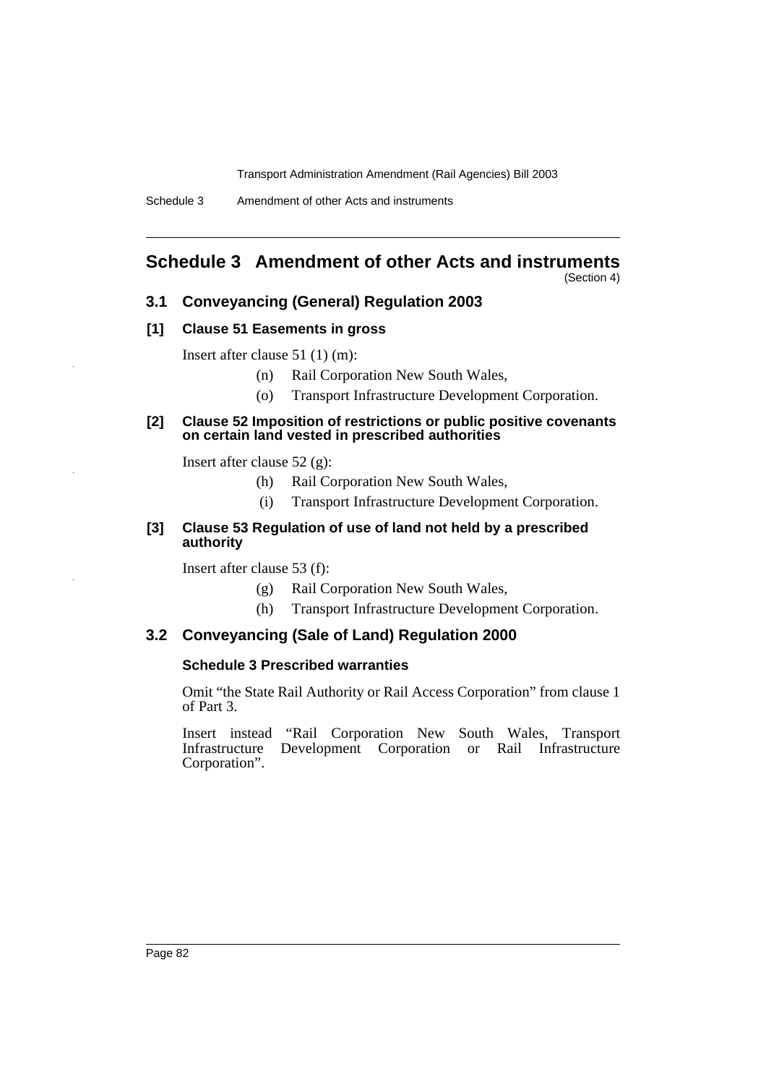# **Schedule 3 Amendment of other Acts and instruments**

(Section 4)

### **3.1 Conveyancing (General) Regulation 2003**

#### **[1] Clause 51 Easements in gross**

Insert after clause 51 (1) (m):

- (n) Rail Corporation New South Wales,
- (o) Transport Infrastructure Development Corporation.

#### **[2] Clause 52 Imposition of restrictions or public positive covenants on certain land vested in prescribed authorities**

Insert after clause 52 (g):

- (h) Rail Corporation New South Wales,
- (i) Transport Infrastructure Development Corporation.

### **[3] Clause 53 Regulation of use of land not held by a prescribed authority**

Insert after clause 53 (f):

- (g) Rail Corporation New South Wales,
- (h) Transport Infrastructure Development Corporation.

### **3.2 Conveyancing (Sale of Land) Regulation 2000**

#### **Schedule 3 Prescribed warranties**

Omit "the State Rail Authority or Rail Access Corporation" from clause 1 of Part 3.

Insert instead "Rail Corporation New South Wales, Transport Infrastructure Development Corporation or Rail Infrastructure Corporation".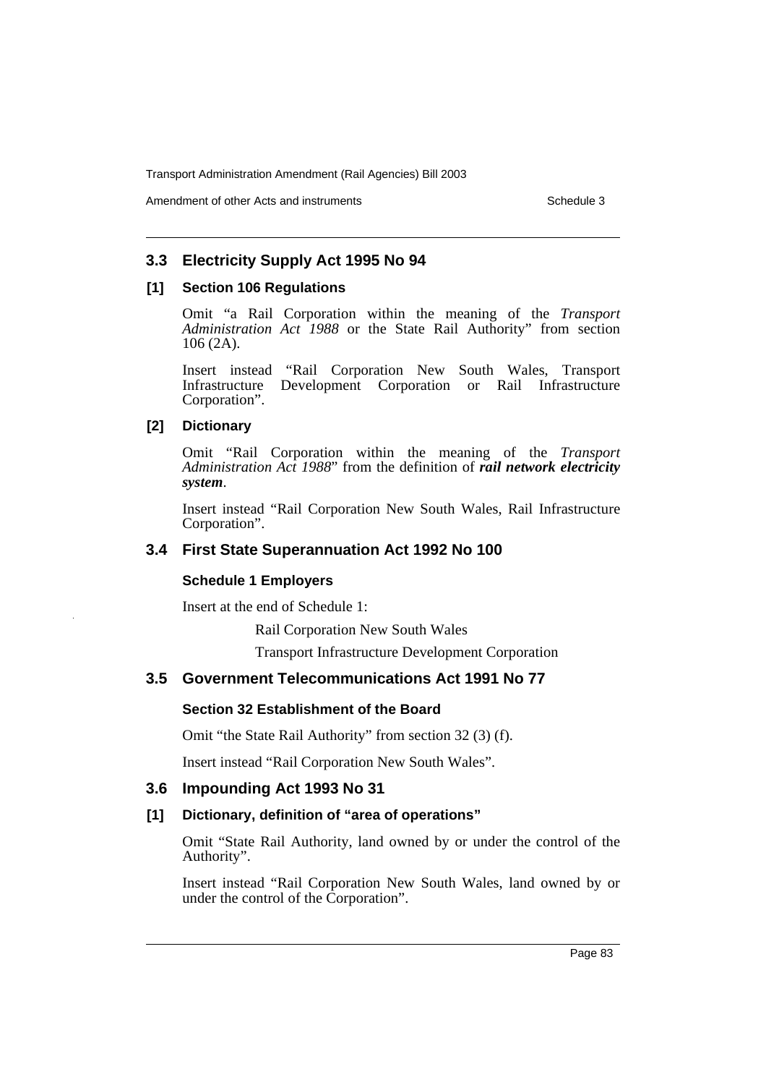Amendment of other Acts and instruments Schedule 3

### **3.3 Electricity Supply Act 1995 No 94**

#### **[1] Section 106 Regulations**

Omit "a Rail Corporation within the meaning of the *Transport Administration Act 1988* or the State Rail Authority" from section 106 (2A).

Insert instead "Rail Corporation New South Wales, Transport Infrastructure Development Corporation or Rail Infrastructure Corporation".

### **[2] Dictionary**

Omit "Rail Corporation within the meaning of the *Transport Administration Act 1988*" from the definition of *rail network electricity system*.

Insert instead "Rail Corporation New South Wales, Rail Infrastructure Corporation".

### **3.4 First State Superannuation Act 1992 No 100**

### **Schedule 1 Employers**

Insert at the end of Schedule 1:

Rail Corporation New South Wales

Transport Infrastructure Development Corporation

### **3.5 Government Telecommunications Act 1991 No 77**

#### **Section 32 Establishment of the Board**

Omit "the State Rail Authority" from section 32 (3) (f).

Insert instead "Rail Corporation New South Wales".

### **3.6 Impounding Act 1993 No 31**

### **[1] Dictionary, definition of "area of operations"**

Omit "State Rail Authority, land owned by or under the control of the Authority".

Insert instead "Rail Corporation New South Wales, land owned by or under the control of the Corporation".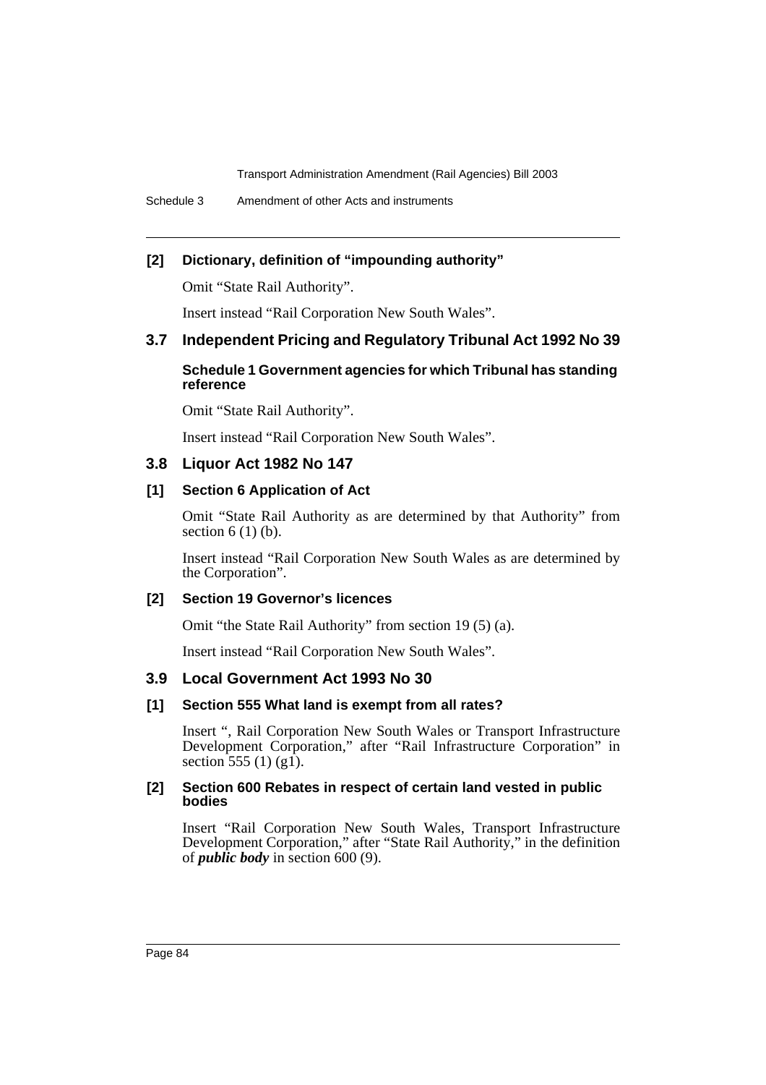### **[2] Dictionary, definition of "impounding authority"**

Omit "State Rail Authority".

Insert instead "Rail Corporation New South Wales".

### **3.7 Independent Pricing and Regulatory Tribunal Act 1992 No 39**

### **Schedule 1 Government agencies for which Tribunal has standing reference**

Omit "State Rail Authority".

Insert instead "Rail Corporation New South Wales".

### **3.8 Liquor Act 1982 No 147**

### **[1] Section 6 Application of Act**

Omit "State Rail Authority as are determined by that Authority" from section  $6(1)(b)$ .

Insert instead "Rail Corporation New South Wales as are determined by the Corporation".

#### **[2] Section 19 Governor's licences**

Omit "the State Rail Authority" from section 19 (5) (a).

Insert instead "Rail Corporation New South Wales".

### **3.9 Local Government Act 1993 No 30**

#### **[1] Section 555 What land is exempt from all rates?**

Insert ", Rail Corporation New South Wales or Transport Infrastructure Development Corporation," after "Rail Infrastructure Corporation" in section 555 (1) (g1).

#### **[2] Section 600 Rebates in respect of certain land vested in public bodies**

Insert "Rail Corporation New South Wales, Transport Infrastructure Development Corporation," after "State Rail Authority," in the definition of *public body* in section 600 (9).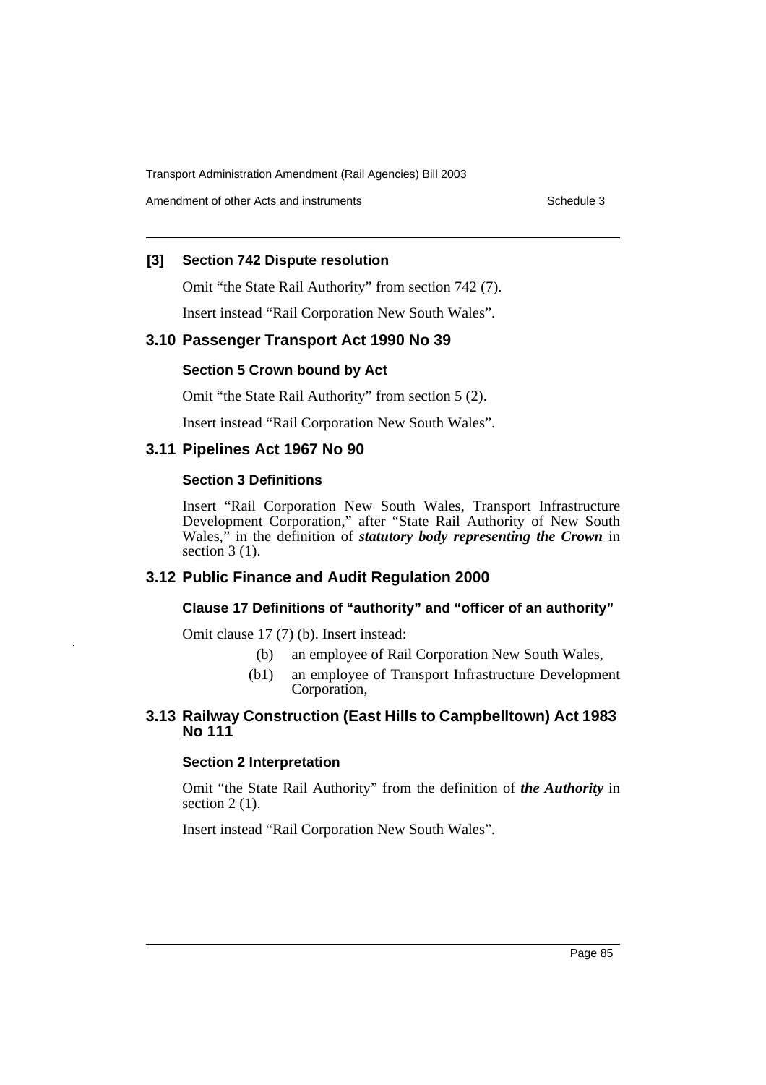Amendment of other Acts and instruments **Schedule 3** Schedule 3

### **[3] Section 742 Dispute resolution**

Omit "the State Rail Authority" from section 742 (7).

Insert instead "Rail Corporation New South Wales".

### **3.10 Passenger Transport Act 1990 No 39**

#### **Section 5 Crown bound by Act**

Omit "the State Rail Authority" from section 5 (2).

Insert instead "Rail Corporation New South Wales".

#### **3.11 Pipelines Act 1967 No 90**

#### **Section 3 Definitions**

Insert "Rail Corporation New South Wales, Transport Infrastructure Development Corporation," after "State Rail Authority of New South Wales," in the definition of *statutory body representing the Crown* in section  $3(1)$ .

### **3.12 Public Finance and Audit Regulation 2000**

### **Clause 17 Definitions of "authority" and "officer of an authority"**

Omit clause 17 (7) (b). Insert instead:

- (b) an employee of Rail Corporation New South Wales,
- (b1) an employee of Transport Infrastructure Development Corporation,

### **3.13 Railway Construction (East Hills to Campbelltown) Act 1983 No 111**

#### **Section 2 Interpretation**

Omit "the State Rail Authority" from the definition of *the Authority* in section  $2(1)$ .

Insert instead "Rail Corporation New South Wales".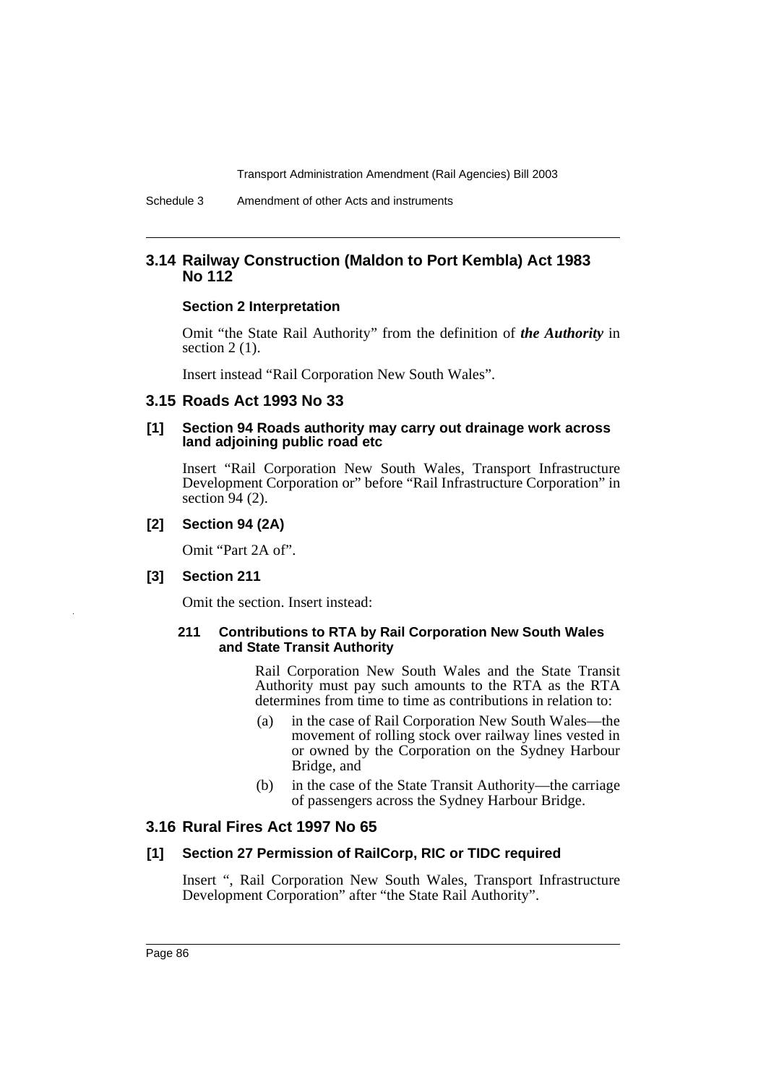### **3.14 Railway Construction (Maldon to Port Kembla) Act 1983 No 112**

#### **Section 2 Interpretation**

Omit "the State Rail Authority" from the definition of *the Authority* in section  $2(1)$ .

Insert instead "Rail Corporation New South Wales".

### **3.15 Roads Act 1993 No 33**

#### **[1] Section 94 Roads authority may carry out drainage work across land adjoining public road etc**

Insert "Rail Corporation New South Wales, Transport Infrastructure Development Corporation or" before "Rail Infrastructure Corporation" in section  $94(2)$ .

#### **[2] Section 94 (2A)**

Omit "Part 2A of".

#### **[3] Section 211**

Omit the section. Insert instead:

#### **211 Contributions to RTA by Rail Corporation New South Wales and State Transit Authority**

Rail Corporation New South Wales and the State Transit Authority must pay such amounts to the RTA as the RTA determines from time to time as contributions in relation to:

- (a) in the case of Rail Corporation New South Wales—the movement of rolling stock over railway lines vested in or owned by the Corporation on the Sydney Harbour Bridge, and
- (b) in the case of the State Transit Authority—the carriage of passengers across the Sydney Harbour Bridge.

### **3.16 Rural Fires Act 1997 No 65**

#### **[1] Section 27 Permission of RailCorp, RIC or TIDC required**

Insert ", Rail Corporation New South Wales, Transport Infrastructure Development Corporation" after "the State Rail Authority".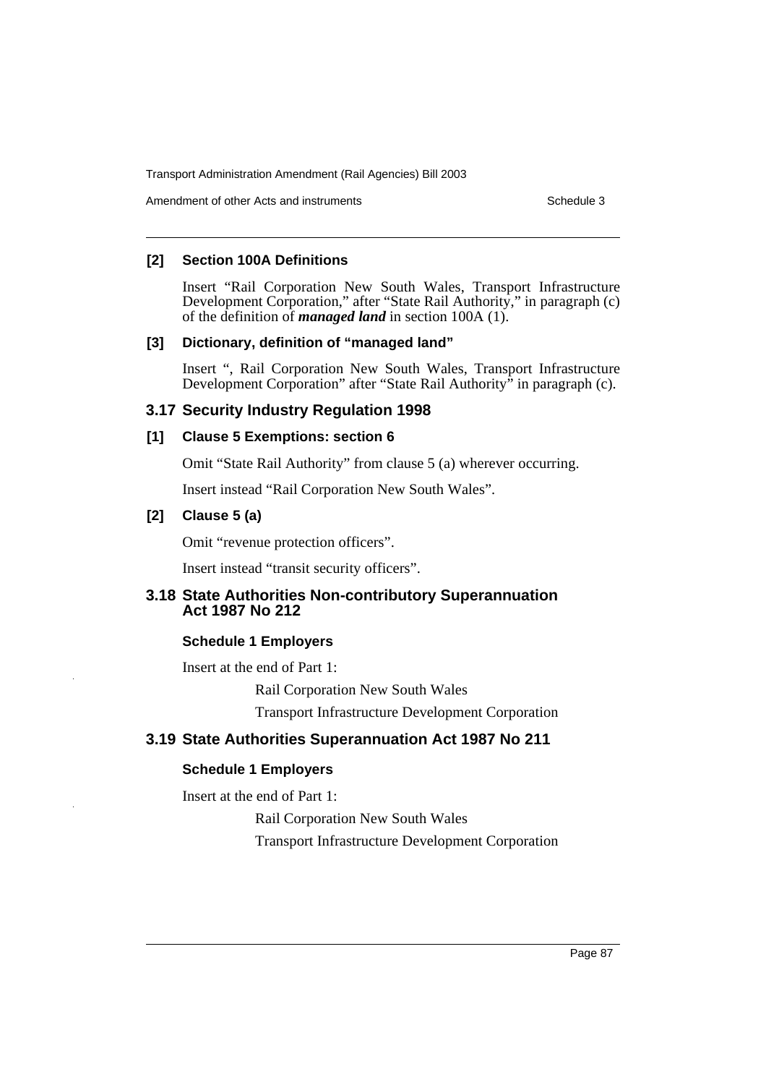Amendment of other Acts and instruments **Schedule 3** Schedule 3

### **[2] Section 100A Definitions**

Insert "Rail Corporation New South Wales, Transport Infrastructure Development Corporation," after "State Rail Authority," in paragraph (c) of the definition of *managed land* in section 100A (1).

### **[3] Dictionary, definition of "managed land"**

Insert ", Rail Corporation New South Wales, Transport Infrastructure Development Corporation" after "State Rail Authority" in paragraph (c).

### **3.17 Security Industry Regulation 1998**

### **[1] Clause 5 Exemptions: section 6**

Omit "State Rail Authority" from clause 5 (a) wherever occurring.

Insert instead "Rail Corporation New South Wales".

### **[2] Clause 5 (a)**

Omit "revenue protection officers".

Insert instead "transit security officers".

### **3.18 State Authorities Non-contributory Superannuation Act 1987 No 212**

### **Schedule 1 Employers**

Insert at the end of Part 1:

Rail Corporation New South Wales

Transport Infrastructure Development Corporation

### **3.19 State Authorities Superannuation Act 1987 No 211**

### **Schedule 1 Employers**

Insert at the end of Part 1:

Rail Corporation New South Wales

Transport Infrastructure Development Corporation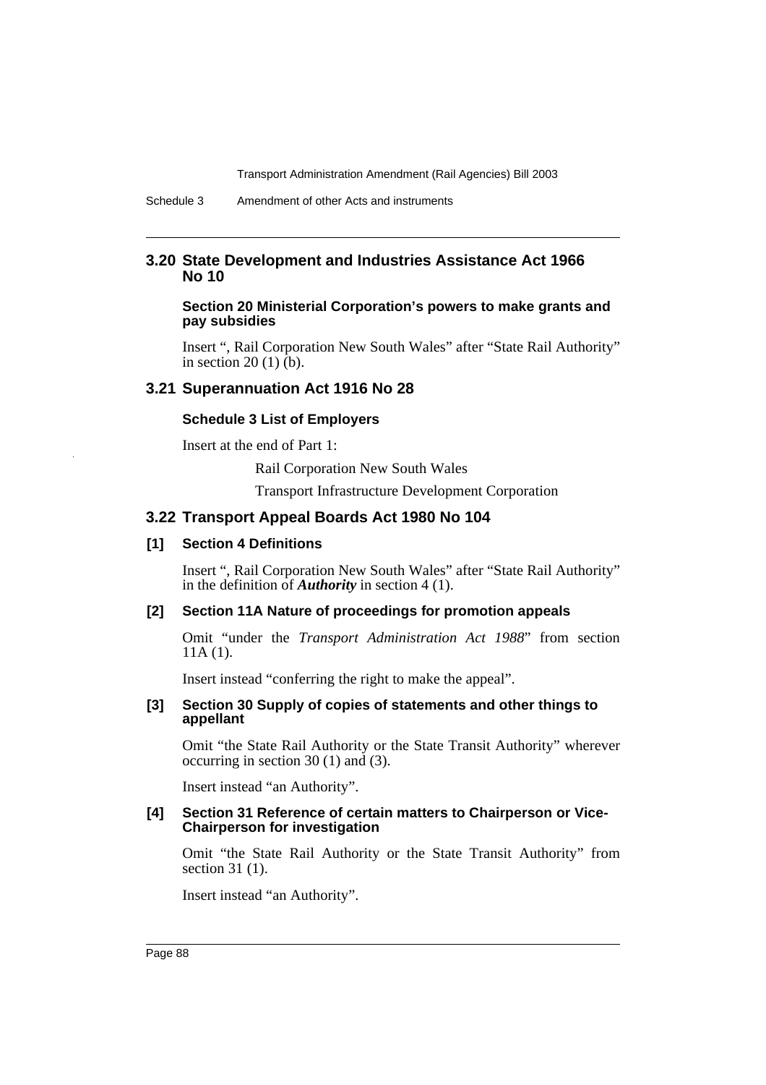### **3.20 State Development and Industries Assistance Act 1966 No 10**

#### **Section 20 Ministerial Corporation's powers to make grants and pay subsidies**

Insert ", Rail Corporation New South Wales" after "State Rail Authority" in section 20 (1)  $(b)$ .

### **3.21 Superannuation Act 1916 No 28**

#### **Schedule 3 List of Employers**

Insert at the end of Part 1:

Rail Corporation New South Wales

Transport Infrastructure Development Corporation

#### **3.22 Transport Appeal Boards Act 1980 No 104**

#### **[1] Section 4 Definitions**

Insert ", Rail Corporation New South Wales" after "State Rail Authority" in the definition of *Authority* in section 4 (1).

#### **[2] Section 11A Nature of proceedings for promotion appeals**

Omit "under the *Transport Administration Act 1988*" from section 11A (1).

Insert instead "conferring the right to make the appeal".

#### **[3] Section 30 Supply of copies of statements and other things to appellant**

Omit "the State Rail Authority or the State Transit Authority" wherever occurring in section 30 (1) and (3).

Insert instead "an Authority".

#### **[4] Section 31 Reference of certain matters to Chairperson or Vice-Chairperson for investigation**

Omit "the State Rail Authority or the State Transit Authority" from section 31 (1).

Insert instead "an Authority".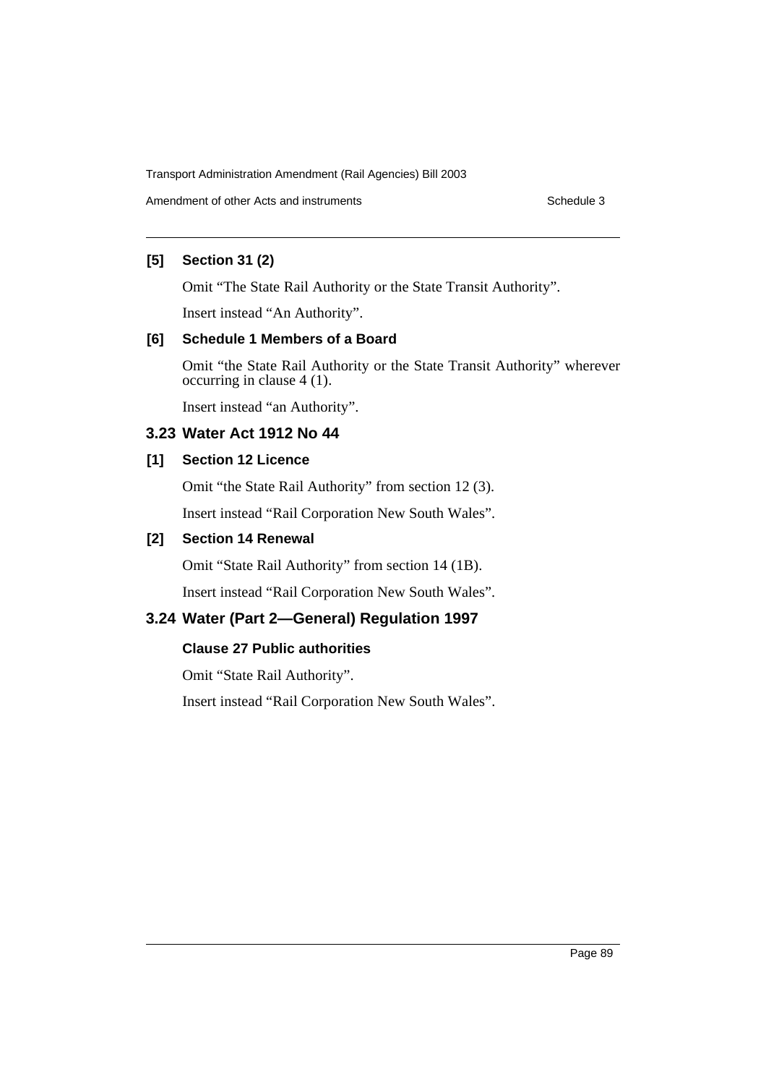Amendment of other Acts and instruments **Schedule 3** Schedule 3

### **[5] Section 31 (2)**

Omit "The State Rail Authority or the State Transit Authority".

Insert instead "An Authority".

### **[6] Schedule 1 Members of a Board**

Omit "the State Rail Authority or the State Transit Authority" wherever occurring in clause 4 (1).

Insert instead "an Authority".

### **3.23 Water Act 1912 No 44**

### **[1] Section 12 Licence**

Omit "the State Rail Authority" from section 12 (3).

Insert instead "Rail Corporation New South Wales".

### **[2] Section 14 Renewal**

Omit "State Rail Authority" from section 14 (1B).

Insert instead "Rail Corporation New South Wales".

## **3.24 Water (Part 2—General) Regulation 1997**

### **Clause 27 Public authorities**

Omit "State Rail Authority".

Insert instead "Rail Corporation New South Wales".